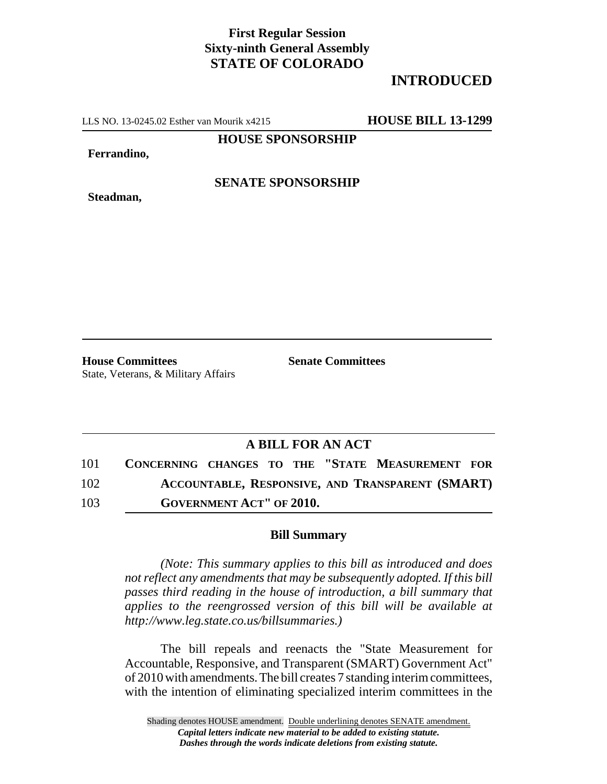## **First Regular Session Sixty-ninth General Assembly STATE OF COLORADO**

## **INTRODUCED**

LLS NO. 13-0245.02 Esther van Mourik x4215 **HOUSE BILL 13-1299**

**HOUSE SPONSORSHIP**

**Ferrandino,**

**Steadman,**

**SENATE SPONSORSHIP**

State, Veterans, & Military Affairs

**House Committees Senate Committees** 

## **A BILL FOR AN ACT**

101 **CONCERNING CHANGES TO THE "STATE MEASUREMENT FOR** 102 **ACCOUNTABLE, RESPONSIVE, AND TRANSPARENT (SMART)**

103 **GOVERNMENT ACT" OF 2010.**

## **Bill Summary**

*(Note: This summary applies to this bill as introduced and does not reflect any amendments that may be subsequently adopted. If this bill passes third reading in the house of introduction, a bill summary that applies to the reengrossed version of this bill will be available at http://www.leg.state.co.us/billsummaries.)*

The bill repeals and reenacts the "State Measurement for Accountable, Responsive, and Transparent (SMART) Government Act" of 2010 with amendments. The bill creates 7 standing interim committees, with the intention of eliminating specialized interim committees in the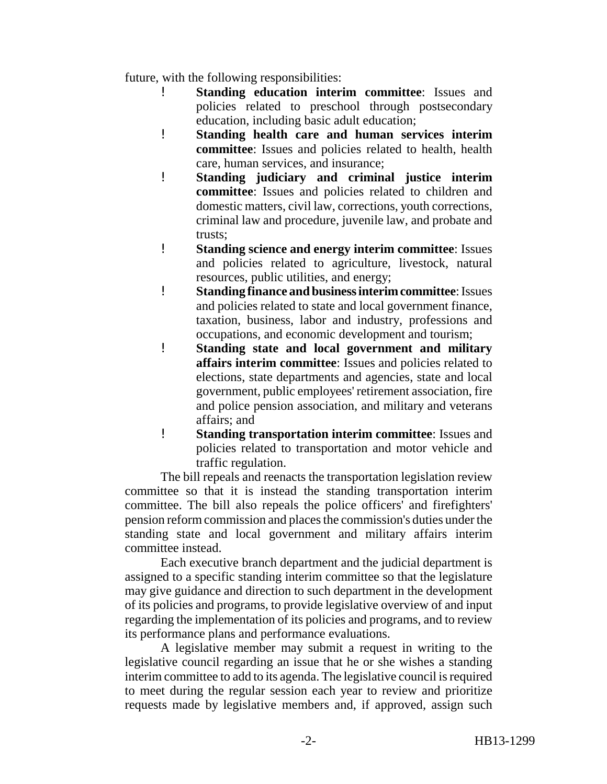future, with the following responsibilities:

- ! **Standing education interim committee**: Issues and policies related to preschool through postsecondary education, including basic adult education;
- ! **Standing health care and human services interim committee**: Issues and policies related to health, health care, human services, and insurance;
- ! **Standing judiciary and criminal justice interim committee**: Issues and policies related to children and domestic matters, civil law, corrections, youth corrections, criminal law and procedure, juvenile law, and probate and trusts;
- ! **Standing science and energy interim committee**: Issues and policies related to agriculture, livestock, natural resources, public utilities, and energy;
- ! **Standing finance and business interim committee**: Issues and policies related to state and local government finance, taxation, business, labor and industry, professions and occupations, and economic development and tourism;
- ! **Standing state and local government and military affairs interim committee**: Issues and policies related to elections, state departments and agencies, state and local government, public employees' retirement association, fire and police pension association, and military and veterans affairs; and
- ! **Standing transportation interim committee**: Issues and policies related to transportation and motor vehicle and traffic regulation.

The bill repeals and reenacts the transportation legislation review committee so that it is instead the standing transportation interim committee. The bill also repeals the police officers' and firefighters' pension reform commission and places the commission's duties under the standing state and local government and military affairs interim committee instead.

Each executive branch department and the judicial department is assigned to a specific standing interim committee so that the legislature may give guidance and direction to such department in the development of its policies and programs, to provide legislative overview of and input regarding the implementation of its policies and programs, and to review its performance plans and performance evaluations.

A legislative member may submit a request in writing to the legislative council regarding an issue that he or she wishes a standing interim committee to add to its agenda. The legislative council is required to meet during the regular session each year to review and prioritize requests made by legislative members and, if approved, assign such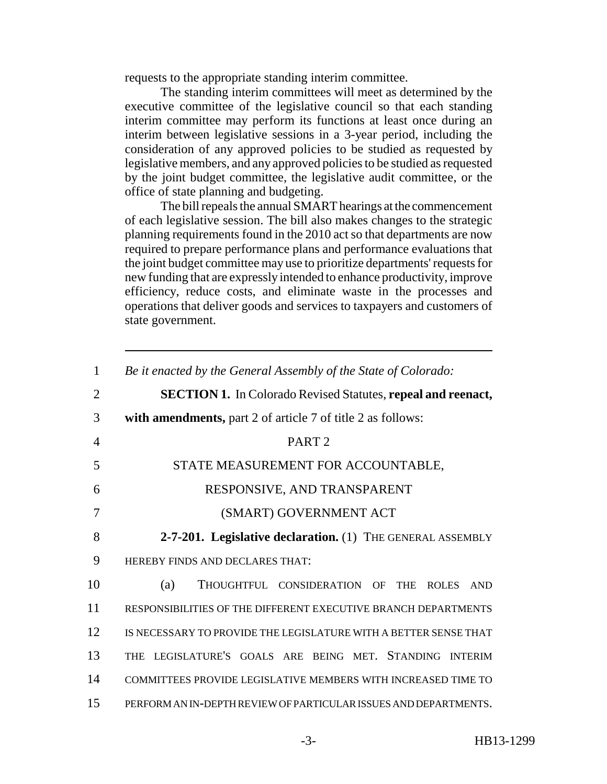requests to the appropriate standing interim committee.

The standing interim committees will meet as determined by the executive committee of the legislative council so that each standing interim committee may perform its functions at least once during an interim between legislative sessions in a 3-year period, including the consideration of any approved policies to be studied as requested by legislative members, and any approved policies to be studied as requested by the joint budget committee, the legislative audit committee, or the office of state planning and budgeting.

The bill repeals the annual SMART hearings at the commencement of each legislative session. The bill also makes changes to the strategic planning requirements found in the 2010 act so that departments are now required to prepare performance plans and performance evaluations that the joint budget committee may use to prioritize departments' requests for new funding that are expressly intended to enhance productivity, improve efficiency, reduce costs, and eliminate waste in the processes and operations that deliver goods and services to taxpayers and customers of state government.

| $\mathbf{1}$   | Be it enacted by the General Assembly of the State of Colorado:         |
|----------------|-------------------------------------------------------------------------|
|                |                                                                         |
| $\overline{2}$ | <b>SECTION 1.</b> In Colorado Revised Statutes, repeal and reenact,     |
| 3              | with amendments, part 2 of article 7 of title 2 as follows:             |
| $\overline{4}$ | PART <sub>2</sub>                                                       |
| 5              | STATE MEASUREMENT FOR ACCOUNTABLE,                                      |
| 6              | RESPONSIVE, AND TRANSPARENT                                             |
| 7              | (SMART) GOVERNMENT ACT                                                  |
| 8              | 2-7-201. Legislative declaration. (1) THE GENERAL ASSEMBLY              |
| 9              | HEREBY FINDS AND DECLARES THAT:                                         |
| 10             | (a)<br>THOUGHTFUL CONSIDERATION OF<br><b>THE</b><br>ROLES<br><b>AND</b> |
| 11             | RESPONSIBILITIES OF THE DIFFERENT EXECUTIVE BRANCH DEPARTMENTS          |
| 12             | IS NECESSARY TO PROVIDE THE LEGISLATURE WITH A BETTER SENSE THAT        |
| 13             | THE LEGISLATURE'S GOALS ARE BEING MET. STANDING INTERIM                 |
| 14             | COMMITTEES PROVIDE LEGISLATIVE MEMBERS WITH INCREASED TIME TO           |
| 15             | PERFORM AN IN-DEPTH REVIEW OF PARTICULAR ISSUES AND DEPARTMENTS.        |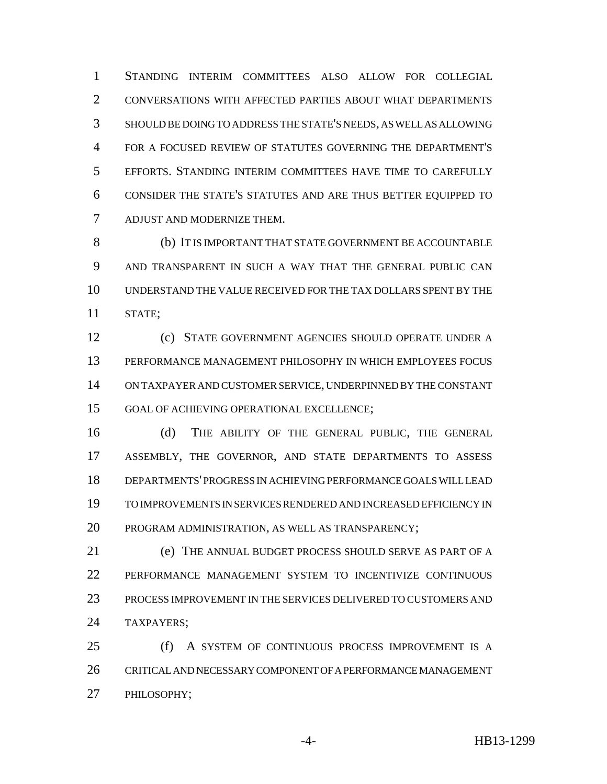STANDING INTERIM COMMITTEES ALSO ALLOW FOR COLLEGIAL CONVERSATIONS WITH AFFECTED PARTIES ABOUT WHAT DEPARTMENTS SHOULD BE DOING TO ADDRESS THE STATE'S NEEDS, AS WELL AS ALLOWING FOR A FOCUSED REVIEW OF STATUTES GOVERNING THE DEPARTMENT'S EFFORTS. STANDING INTERIM COMMITTEES HAVE TIME TO CAREFULLY CONSIDER THE STATE'S STATUTES AND ARE THUS BETTER EQUIPPED TO ADJUST AND MODERNIZE THEM.

 (b) IT IS IMPORTANT THAT STATE GOVERNMENT BE ACCOUNTABLE AND TRANSPARENT IN SUCH A WAY THAT THE GENERAL PUBLIC CAN UNDERSTAND THE VALUE RECEIVED FOR THE TAX DOLLARS SPENT BY THE STATE;

 (c) STATE GOVERNMENT AGENCIES SHOULD OPERATE UNDER A PERFORMANCE MANAGEMENT PHILOSOPHY IN WHICH EMPLOYEES FOCUS ON TAXPAYER AND CUSTOMER SERVICE, UNDERPINNED BY THE CONSTANT GOAL OF ACHIEVING OPERATIONAL EXCELLENCE;

 (d) THE ABILITY OF THE GENERAL PUBLIC, THE GENERAL ASSEMBLY, THE GOVERNOR, AND STATE DEPARTMENTS TO ASSESS DEPARTMENTS' PROGRESS IN ACHIEVING PERFORMANCE GOALS WILL LEAD TO IMPROVEMENTS IN SERVICES RENDERED AND INCREASED EFFICIENCY IN PROGRAM ADMINISTRATION, AS WELL AS TRANSPARENCY;

 (e) THE ANNUAL BUDGET PROCESS SHOULD SERVE AS PART OF A PERFORMANCE MANAGEMENT SYSTEM TO INCENTIVIZE CONTINUOUS PROCESS IMPROVEMENT IN THE SERVICES DELIVERED TO CUSTOMERS AND TAXPAYERS;

 (f) A SYSTEM OF CONTINUOUS PROCESS IMPROVEMENT IS A CRITICAL AND NECESSARY COMPONENT OF A PERFORMANCE MANAGEMENT PHILOSOPHY;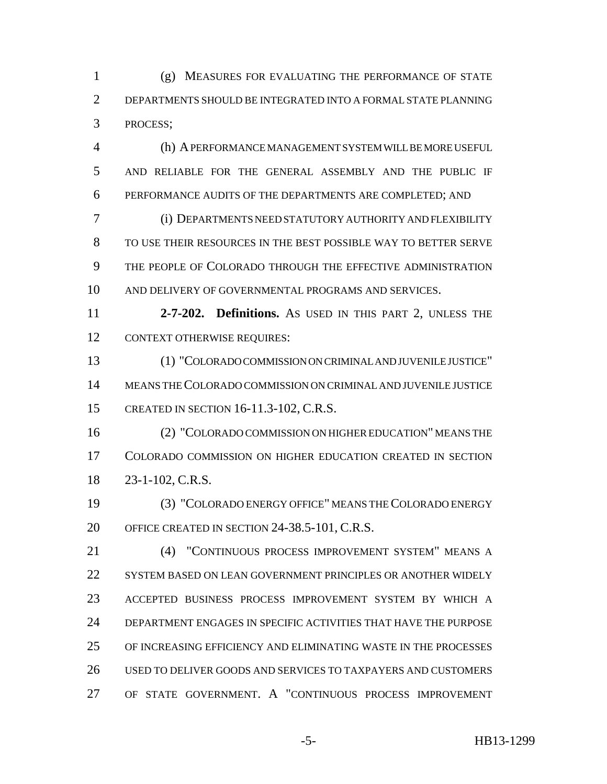(g) MEASURES FOR EVALUATING THE PERFORMANCE OF STATE DEPARTMENTS SHOULD BE INTEGRATED INTO A FORMAL STATE PLANNING PROCESS;

 (h) A PERFORMANCE MANAGEMENT SYSTEM WILL BE MORE USEFUL AND RELIABLE FOR THE GENERAL ASSEMBLY AND THE PUBLIC IF PERFORMANCE AUDITS OF THE DEPARTMENTS ARE COMPLETED; AND

 (i) DEPARTMENTS NEED STATUTORY AUTHORITY AND FLEXIBILITY TO USE THEIR RESOURCES IN THE BEST POSSIBLE WAY TO BETTER SERVE THE PEOPLE OF COLORADO THROUGH THE EFFECTIVE ADMINISTRATION AND DELIVERY OF GOVERNMENTAL PROGRAMS AND SERVICES.

 **2-7-202. Definitions.** AS USED IN THIS PART 2, UNLESS THE CONTEXT OTHERWISE REQUIRES:

 (1) "COLORADO COMMISSION ON CRIMINAL AND JUVENILE JUSTICE" MEANS THE COLORADO COMMISSION ON CRIMINAL AND JUVENILE JUSTICE CREATED IN SECTION 16-11.3-102, C.R.S.

 (2) "COLORADO COMMISSION ON HIGHER EDUCATION" MEANS THE COLORADO COMMISSION ON HIGHER EDUCATION CREATED IN SECTION 23-1-102, C.R.S.

 (3) "COLORADO ENERGY OFFICE" MEANS THE COLORADO ENERGY OFFICE CREATED IN SECTION 24-38.5-101, C.R.S.

 (4) "CONTINUOUS PROCESS IMPROVEMENT SYSTEM" MEANS A 22 SYSTEM BASED ON LEAN GOVERNMENT PRINCIPLES OR ANOTHER WIDELY ACCEPTED BUSINESS PROCESS IMPROVEMENT SYSTEM BY WHICH A DEPARTMENT ENGAGES IN SPECIFIC ACTIVITIES THAT HAVE THE PURPOSE OF INCREASING EFFICIENCY AND ELIMINATING WASTE IN THE PROCESSES USED TO DELIVER GOODS AND SERVICES TO TAXPAYERS AND CUSTOMERS OF STATE GOVERNMENT. A "CONTINUOUS PROCESS IMPROVEMENT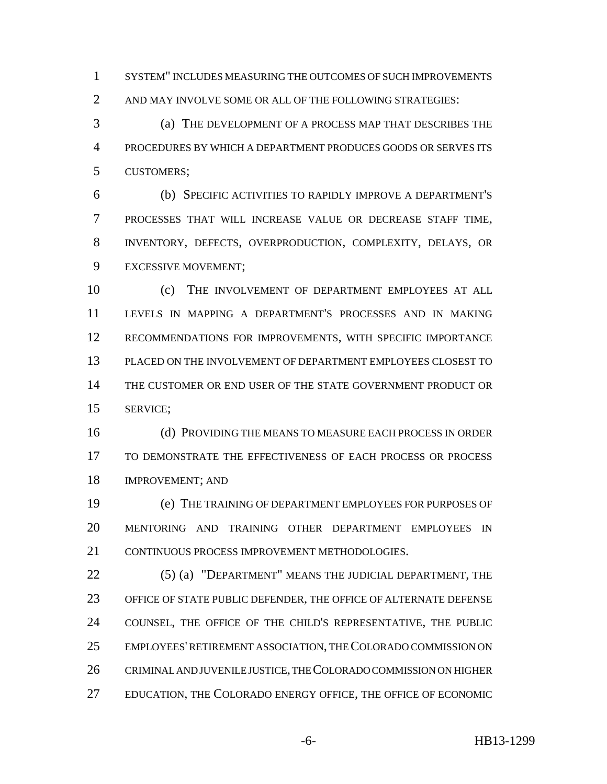SYSTEM" INCLUDES MEASURING THE OUTCOMES OF SUCH IMPROVEMENTS AND MAY INVOLVE SOME OR ALL OF THE FOLLOWING STRATEGIES:

 (a) THE DEVELOPMENT OF A PROCESS MAP THAT DESCRIBES THE PROCEDURES BY WHICH A DEPARTMENT PRODUCES GOODS OR SERVES ITS CUSTOMERS;

 (b) SPECIFIC ACTIVITIES TO RAPIDLY IMPROVE A DEPARTMENT'S PROCESSES THAT WILL INCREASE VALUE OR DECREASE STAFF TIME, INVENTORY, DEFECTS, OVERPRODUCTION, COMPLEXITY, DELAYS, OR EXCESSIVE MOVEMENT;

 (c) THE INVOLVEMENT OF DEPARTMENT EMPLOYEES AT ALL LEVELS IN MAPPING A DEPARTMENT'S PROCESSES AND IN MAKING RECOMMENDATIONS FOR IMPROVEMENTS, WITH SPECIFIC IMPORTANCE PLACED ON THE INVOLVEMENT OF DEPARTMENT EMPLOYEES CLOSEST TO THE CUSTOMER OR END USER OF THE STATE GOVERNMENT PRODUCT OR SERVICE;

 (d) PROVIDING THE MEANS TO MEASURE EACH PROCESS IN ORDER TO DEMONSTRATE THE EFFECTIVENESS OF EACH PROCESS OR PROCESS IMPROVEMENT; AND

 (e) THE TRAINING OF DEPARTMENT EMPLOYEES FOR PURPOSES OF MENTORING AND TRAINING OTHER DEPARTMENT EMPLOYEES IN CONTINUOUS PROCESS IMPROVEMENT METHODOLOGIES.

22 (5) (a) "DEPARTMENT" MEANS THE JUDICIAL DEPARTMENT, THE OFFICE OF STATE PUBLIC DEFENDER, THE OFFICE OF ALTERNATE DEFENSE COUNSEL, THE OFFICE OF THE CHILD'S REPRESENTATIVE, THE PUBLIC EMPLOYEES' RETIREMENT ASSOCIATION, THE COLORADO COMMISSION ON CRIMINAL AND JUVENILE JUSTICE, THE COLORADO COMMISSION ON HIGHER EDUCATION, THE COLORADO ENERGY OFFICE, THE OFFICE OF ECONOMIC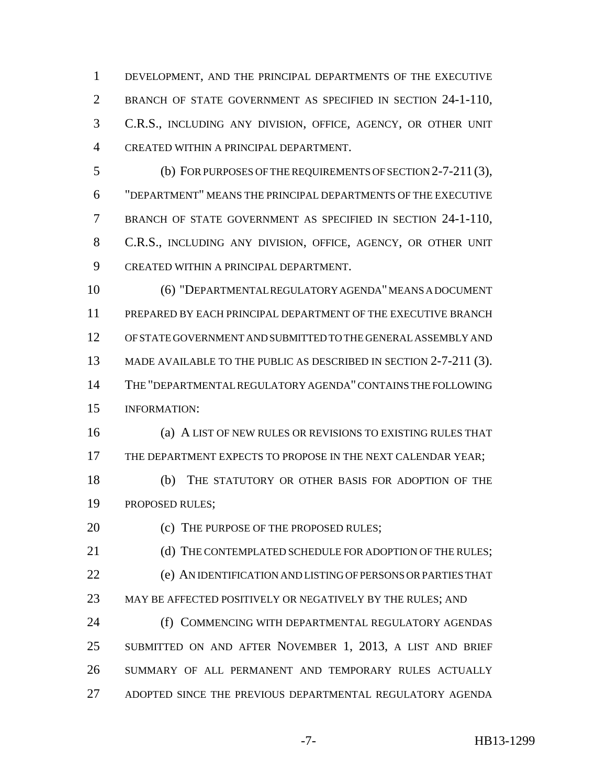DEVELOPMENT, AND THE PRINCIPAL DEPARTMENTS OF THE EXECUTIVE BRANCH OF STATE GOVERNMENT AS SPECIFIED IN SECTION 24-1-110, C.R.S., INCLUDING ANY DIVISION, OFFICE, AGENCY, OR OTHER UNIT CREATED WITHIN A PRINCIPAL DEPARTMENT.

 (b) FOR PURPOSES OF THE REQUIREMENTS OF SECTION 2-7-211 (3), "DEPARTMENT" MEANS THE PRINCIPAL DEPARTMENTS OF THE EXECUTIVE BRANCH OF STATE GOVERNMENT AS SPECIFIED IN SECTION 24-1-110, C.R.S., INCLUDING ANY DIVISION, OFFICE, AGENCY, OR OTHER UNIT CREATED WITHIN A PRINCIPAL DEPARTMENT.

 (6) "DEPARTMENTAL REGULATORY AGENDA" MEANS A DOCUMENT PREPARED BY EACH PRINCIPAL DEPARTMENT OF THE EXECUTIVE BRANCH OF STATE GOVERNMENT AND SUBMITTED TO THE GENERAL ASSEMBLY AND 13 MADE AVAILABLE TO THE PUBLIC AS DESCRIBED IN SECTION 2-7-211 (3). THE "DEPARTMENTAL REGULATORY AGENDA" CONTAINS THE FOLLOWING INFORMATION:

 (a) A LIST OF NEW RULES OR REVISIONS TO EXISTING RULES THAT THE DEPARTMENT EXPECTS TO PROPOSE IN THE NEXT CALENDAR YEAR;

 (b) THE STATUTORY OR OTHER BASIS FOR ADOPTION OF THE PROPOSED RULES;

20 (c) THE PURPOSE OF THE PROPOSED RULES;

21 (d) THE CONTEMPLATED SCHEDULE FOR ADOPTION OF THE RULES: (e) AN IDENTIFICATION AND LISTING OF PERSONS OR PARTIES THAT 23 MAY BE AFFECTED POSITIVELY OR NEGATIVELY BY THE RULES; AND

**(f) COMMENCING WITH DEPARTMENTAL REGULATORY AGENDAS** 25 SUBMITTED ON AND AFTER NOVEMBER 1, 2013, A LIST AND BRIEF SUMMARY OF ALL PERMANENT AND TEMPORARY RULES ACTUALLY ADOPTED SINCE THE PREVIOUS DEPARTMENTAL REGULATORY AGENDA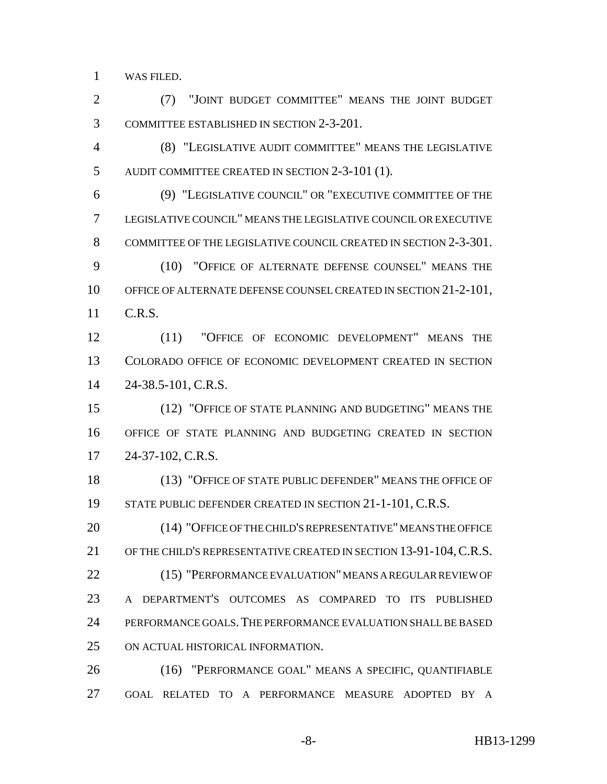WAS FILED.

 (7) "JOINT BUDGET COMMITTEE" MEANS THE JOINT BUDGET COMMITTEE ESTABLISHED IN SECTION 2-3-201.

 (8) "LEGISLATIVE AUDIT COMMITTEE" MEANS THE LEGISLATIVE AUDIT COMMITTEE CREATED IN SECTION 2-3-101 (1).

 (9) "LEGISLATIVE COUNCIL" OR "EXECUTIVE COMMITTEE OF THE LEGISLATIVE COUNCIL" MEANS THE LEGISLATIVE COUNCIL OR EXECUTIVE COMMITTEE OF THE LEGISLATIVE COUNCIL CREATED IN SECTION 2-3-301.

 (10) "OFFICE OF ALTERNATE DEFENSE COUNSEL" MEANS THE OFFICE OF ALTERNATE DEFENSE COUNSEL CREATED IN SECTION 21-2-101, C.R.S.

 (11) "OFFICE OF ECONOMIC DEVELOPMENT" MEANS THE COLORADO OFFICE OF ECONOMIC DEVELOPMENT CREATED IN SECTION 24-38.5-101, C.R.S.

 (12) "OFFICE OF STATE PLANNING AND BUDGETING" MEANS THE OFFICE OF STATE PLANNING AND BUDGETING CREATED IN SECTION 24-37-102, C.R.S.

 (13) "OFFICE OF STATE PUBLIC DEFENDER" MEANS THE OFFICE OF 19 STATE PUBLIC DEFENDER CREATED IN SECTION 21-1-101, C.R.S.

 (14) "OFFICE OF THE CHILD'S REPRESENTATIVE" MEANS THE OFFICE OF THE CHILD'S REPRESENTATIVE CREATED IN SECTION 13-91-104,C.R.S. (15) "PERFORMANCE EVALUATION" MEANS A REGULAR REVIEW OF A DEPARTMENT'S OUTCOMES AS COMPARED TO ITS PUBLISHED PERFORMANCE GOALS.THE PERFORMANCE EVALUATION SHALL BE BASED ON ACTUAL HISTORICAL INFORMATION.

 (16) "PERFORMANCE GOAL" MEANS A SPECIFIC, QUANTIFIABLE GOAL RELATED TO A PERFORMANCE MEASURE ADOPTED BY A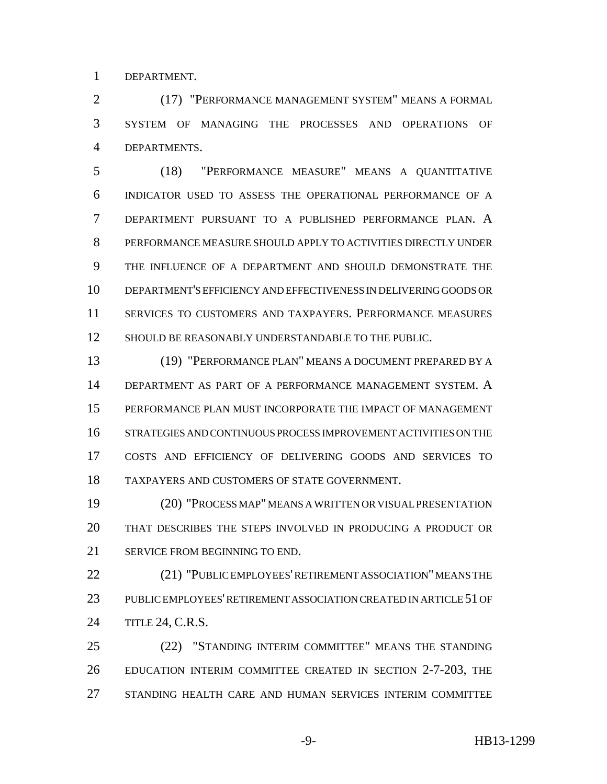DEPARTMENT.

 (17) "PERFORMANCE MANAGEMENT SYSTEM" MEANS A FORMAL SYSTEM OF MANAGING THE PROCESSES AND OPERATIONS OF DEPARTMENTS.

 (18) "PERFORMANCE MEASURE" MEANS A QUANTITATIVE INDICATOR USED TO ASSESS THE OPERATIONAL PERFORMANCE OF A DEPARTMENT PURSUANT TO A PUBLISHED PERFORMANCE PLAN. A PERFORMANCE MEASURE SHOULD APPLY TO ACTIVITIES DIRECTLY UNDER THE INFLUENCE OF A DEPARTMENT AND SHOULD DEMONSTRATE THE DEPARTMENT'S EFFICIENCY AND EFFECTIVENESS IN DELIVERING GOODS OR SERVICES TO CUSTOMERS AND TAXPAYERS. PERFORMANCE MEASURES SHOULD BE REASONABLY UNDERSTANDABLE TO THE PUBLIC.

 (19) "PERFORMANCE PLAN" MEANS A DOCUMENT PREPARED BY A DEPARTMENT AS PART OF A PERFORMANCE MANAGEMENT SYSTEM. A PERFORMANCE PLAN MUST INCORPORATE THE IMPACT OF MANAGEMENT STRATEGIES AND CONTINUOUS PROCESS IMPROVEMENT ACTIVITIES ON THE COSTS AND EFFICIENCY OF DELIVERING GOODS AND SERVICES TO TAXPAYERS AND CUSTOMERS OF STATE GOVERNMENT.

 (20) "PROCESS MAP" MEANS A WRITTEN OR VISUAL PRESENTATION THAT DESCRIBES THE STEPS INVOLVED IN PRODUCING A PRODUCT OR SERVICE FROM BEGINNING TO END.

 (21) "PUBLIC EMPLOYEES' RETIREMENT ASSOCIATION" MEANS THE PUBLIC EMPLOYEES' RETIREMENT ASSOCIATION CREATED IN ARTICLE 51 OF TITLE 24, C.R.S.

 (22) "STANDING INTERIM COMMITTEE" MEANS THE STANDING EDUCATION INTERIM COMMITTEE CREATED IN SECTION 2-7-203, THE STANDING HEALTH CARE AND HUMAN SERVICES INTERIM COMMITTEE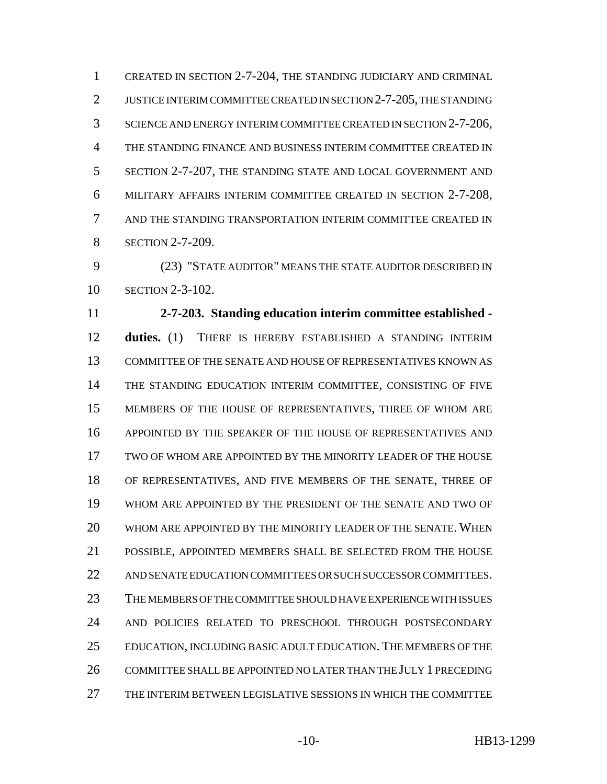CREATED IN SECTION 2-7-204, THE STANDING JUDICIARY AND CRIMINAL 2 JUSTICE INTERIM COMMITTEE CREATED IN SECTION 2-7-205, THE STANDING SCIENCE AND ENERGY INTERIM COMMITTEE CREATED IN SECTION 2-7-206, THE STANDING FINANCE AND BUSINESS INTERIM COMMITTEE CREATED IN SECTION 2-7-207, THE STANDING STATE AND LOCAL GOVERNMENT AND MILITARY AFFAIRS INTERIM COMMITTEE CREATED IN SECTION 2-7-208, AND THE STANDING TRANSPORTATION INTERIM COMMITTEE CREATED IN **SECTION 2-7-209.** 

 (23) "STATE AUDITOR" MEANS THE STATE AUDITOR DESCRIBED IN SECTION 2-3-102.

 **2-7-203. Standing education interim committee established - duties.** (1) THERE IS HEREBY ESTABLISHED A STANDING INTERIM COMMITTEE OF THE SENATE AND HOUSE OF REPRESENTATIVES KNOWN AS THE STANDING EDUCATION INTERIM COMMITTEE, CONSISTING OF FIVE MEMBERS OF THE HOUSE OF REPRESENTATIVES, THREE OF WHOM ARE APPOINTED BY THE SPEAKER OF THE HOUSE OF REPRESENTATIVES AND TWO OF WHOM ARE APPOINTED BY THE MINORITY LEADER OF THE HOUSE OF REPRESENTATIVES, AND FIVE MEMBERS OF THE SENATE, THREE OF WHOM ARE APPOINTED BY THE PRESIDENT OF THE SENATE AND TWO OF WHOM ARE APPOINTED BY THE MINORITY LEADER OF THE SENATE. WHEN POSSIBLE, APPOINTED MEMBERS SHALL BE SELECTED FROM THE HOUSE AND SENATE EDUCATION COMMITTEES OR SUCH SUCCESSOR COMMITTEES. THE MEMBERS OF THE COMMITTEE SHOULD HAVE EXPERIENCE WITH ISSUES AND POLICIES RELATED TO PRESCHOOL THROUGH POSTSECONDARY EDUCATION, INCLUDING BASIC ADULT EDUCATION. THE MEMBERS OF THE COMMITTEE SHALL BE APPOINTED NO LATER THAN THE JULY 1 PRECEDING THE INTERIM BETWEEN LEGISLATIVE SESSIONS IN WHICH THE COMMITTEE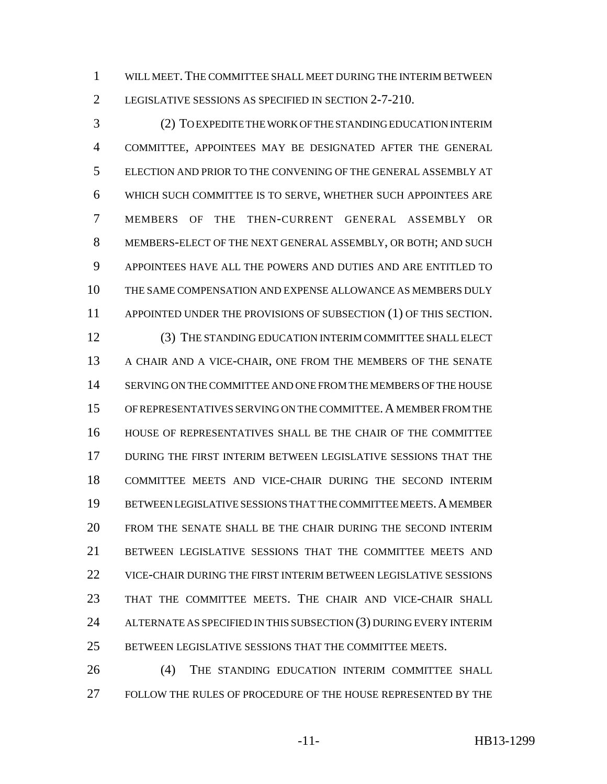WILL MEET.THE COMMITTEE SHALL MEET DURING THE INTERIM BETWEEN LEGISLATIVE SESSIONS AS SPECIFIED IN SECTION 2-7-210.

 (2) TO EXPEDITE THE WORK OF THE STANDING EDUCATION INTERIM COMMITTEE, APPOINTEES MAY BE DESIGNATED AFTER THE GENERAL ELECTION AND PRIOR TO THE CONVENING OF THE GENERAL ASSEMBLY AT WHICH SUCH COMMITTEE IS TO SERVE, WHETHER SUCH APPOINTEES ARE MEMBERS OF THE THEN-CURRENT GENERAL ASSEMBLY OR MEMBERS-ELECT OF THE NEXT GENERAL ASSEMBLY, OR BOTH; AND SUCH APPOINTEES HAVE ALL THE POWERS AND DUTIES AND ARE ENTITLED TO THE SAME COMPENSATION AND EXPENSE ALLOWANCE AS MEMBERS DULY 11 APPOINTED UNDER THE PROVISIONS OF SUBSECTION (1) OF THIS SECTION.

 (3) THE STANDING EDUCATION INTERIM COMMITTEE SHALL ELECT A CHAIR AND A VICE-CHAIR, ONE FROM THE MEMBERS OF THE SENATE SERVING ON THE COMMITTEE AND ONE FROM THE MEMBERS OF THE HOUSE OF REPRESENTATIVES SERVING ON THE COMMITTEE.A MEMBER FROM THE HOUSE OF REPRESENTATIVES SHALL BE THE CHAIR OF THE COMMITTEE DURING THE FIRST INTERIM BETWEEN LEGISLATIVE SESSIONS THAT THE COMMITTEE MEETS AND VICE-CHAIR DURING THE SECOND INTERIM BETWEEN LEGISLATIVE SESSIONS THAT THE COMMITTEE MEETS.A MEMBER FROM THE SENATE SHALL BE THE CHAIR DURING THE SECOND INTERIM BETWEEN LEGISLATIVE SESSIONS THAT THE COMMITTEE MEETS AND VICE-CHAIR DURING THE FIRST INTERIM BETWEEN LEGISLATIVE SESSIONS THAT THE COMMITTEE MEETS. THE CHAIR AND VICE-CHAIR SHALL 24 ALTERNATE AS SPECIFIED IN THIS SUBSECTION (3) DURING EVERY INTERIM BETWEEN LEGISLATIVE SESSIONS THAT THE COMMITTEE MEETS.

26 (4) THE STANDING EDUCATION INTERIM COMMITTEE SHALL FOLLOW THE RULES OF PROCEDURE OF THE HOUSE REPRESENTED BY THE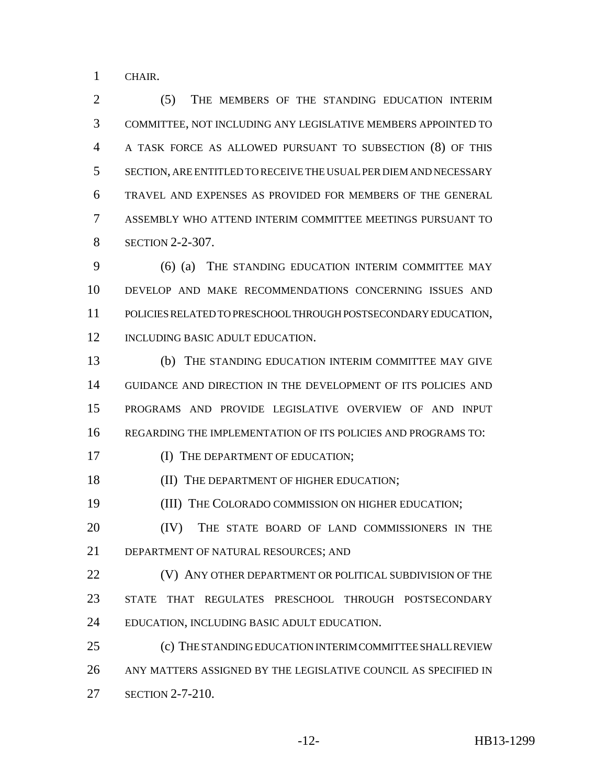CHAIR.

 (5) THE MEMBERS OF THE STANDING EDUCATION INTERIM COMMITTEE, NOT INCLUDING ANY LEGISLATIVE MEMBERS APPOINTED TO A TASK FORCE AS ALLOWED PURSUANT TO SUBSECTION (8) OF THIS SECTION, ARE ENTITLED TO RECEIVE THE USUAL PER DIEM AND NECESSARY TRAVEL AND EXPENSES AS PROVIDED FOR MEMBERS OF THE GENERAL ASSEMBLY WHO ATTEND INTERIM COMMITTEE MEETINGS PURSUANT TO **SECTION 2-2-307.** 

 (6) (a) THE STANDING EDUCATION INTERIM COMMITTEE MAY DEVELOP AND MAKE RECOMMENDATIONS CONCERNING ISSUES AND POLICIES RELATED TO PRESCHOOL THROUGH POSTSECONDARY EDUCATION, 12 INCLUDING BASIC ADULT EDUCATION.

 (b) THE STANDING EDUCATION INTERIM COMMITTEE MAY GIVE GUIDANCE AND DIRECTION IN THE DEVELOPMENT OF ITS POLICIES AND PROGRAMS AND PROVIDE LEGISLATIVE OVERVIEW OF AND INPUT REGARDING THE IMPLEMENTATION OF ITS POLICIES AND PROGRAMS TO:

17 (I) THE DEPARTMENT OF EDUCATION;

18 (II) THE DEPARTMENT OF HIGHER EDUCATION;

(III) THE COLORADO COMMISSION ON HIGHER EDUCATION;

20 (IV) THE STATE BOARD OF LAND COMMISSIONERS IN THE DEPARTMENT OF NATURAL RESOURCES; AND

**(V) ANY OTHER DEPARTMENT OR POLITICAL SUBDIVISION OF THE**  STATE THAT REGULATES PRESCHOOL THROUGH POSTSECONDARY EDUCATION, INCLUDING BASIC ADULT EDUCATION.

 (c) THE STANDING EDUCATION INTERIM COMMITTEE SHALL REVIEW ANY MATTERS ASSIGNED BY THE LEGISLATIVE COUNCIL AS SPECIFIED IN SECTION 2-7-210.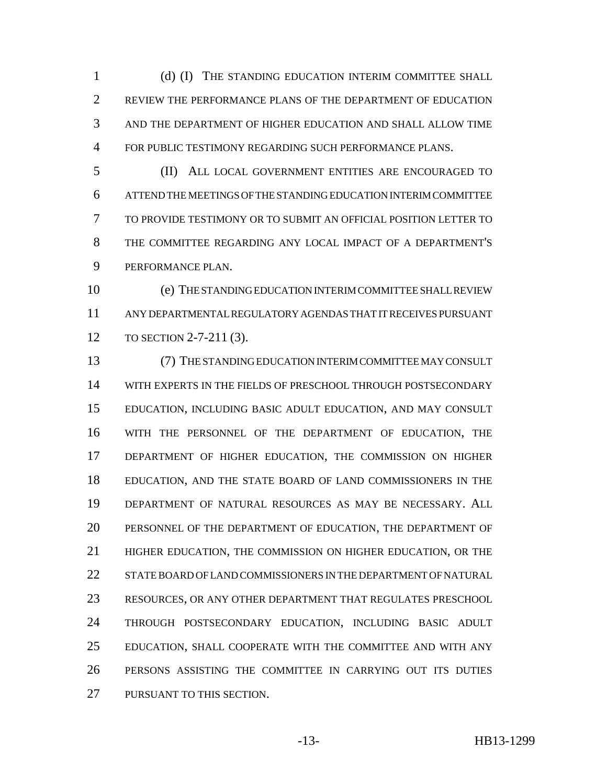1 (d) (I) THE STANDING EDUCATION INTERIM COMMITTEE SHALL REVIEW THE PERFORMANCE PLANS OF THE DEPARTMENT OF EDUCATION AND THE DEPARTMENT OF HIGHER EDUCATION AND SHALL ALLOW TIME FOR PUBLIC TESTIMONY REGARDING SUCH PERFORMANCE PLANS.

 (II) ALL LOCAL GOVERNMENT ENTITIES ARE ENCOURAGED TO ATTEND THE MEETINGS OF THE STANDING EDUCATION INTERIM COMMITTEE TO PROVIDE TESTIMONY OR TO SUBMIT AN OFFICIAL POSITION LETTER TO THE COMMITTEE REGARDING ANY LOCAL IMPACT OF A DEPARTMENT'S PERFORMANCE PLAN.

 (e) THE STANDING EDUCATION INTERIM COMMITTEE SHALL REVIEW ANY DEPARTMENTAL REGULATORY AGENDAS THAT IT RECEIVES PURSUANT TO SECTION 2-7-211 (3).

 (7) THE STANDING EDUCATION INTERIM COMMITTEE MAY CONSULT WITH EXPERTS IN THE FIELDS OF PRESCHOOL THROUGH POSTSECONDARY EDUCATION, INCLUDING BASIC ADULT EDUCATION, AND MAY CONSULT WITH THE PERSONNEL OF THE DEPARTMENT OF EDUCATION, THE DEPARTMENT OF HIGHER EDUCATION, THE COMMISSION ON HIGHER EDUCATION, AND THE STATE BOARD OF LAND COMMISSIONERS IN THE DEPARTMENT OF NATURAL RESOURCES AS MAY BE NECESSARY. ALL PERSONNEL OF THE DEPARTMENT OF EDUCATION, THE DEPARTMENT OF HIGHER EDUCATION, THE COMMISSION ON HIGHER EDUCATION, OR THE STATE BOARD OF LAND COMMISSIONERS IN THE DEPARTMENT OF NATURAL RESOURCES, OR ANY OTHER DEPARTMENT THAT REGULATES PRESCHOOL THROUGH POSTSECONDARY EDUCATION, INCLUDING BASIC ADULT EDUCATION, SHALL COOPERATE WITH THE COMMITTEE AND WITH ANY PERSONS ASSISTING THE COMMITTEE IN CARRYING OUT ITS DUTIES PURSUANT TO THIS SECTION.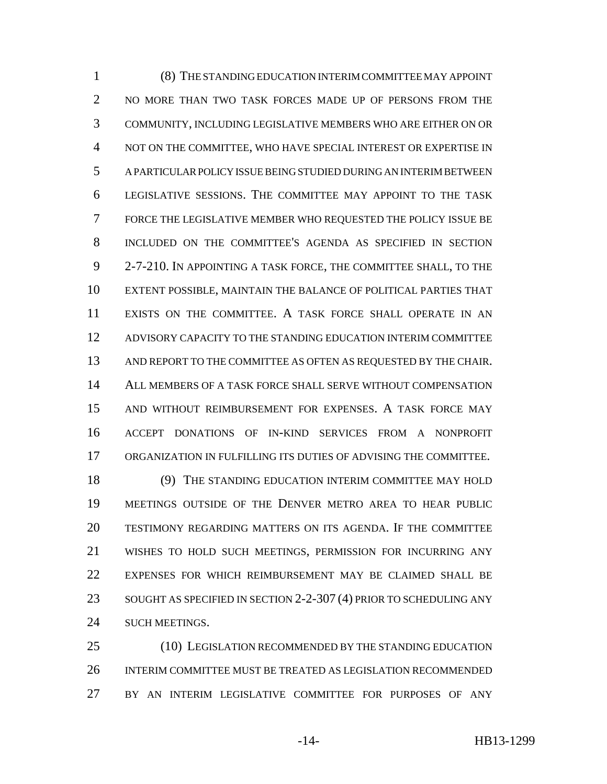(8) THE STANDING EDUCATION INTERIM COMMITTEE MAY APPOINT 2 NO MORE THAN TWO TASK FORCES MADE UP OF PERSONS FROM THE COMMUNITY, INCLUDING LEGISLATIVE MEMBERS WHO ARE EITHER ON OR NOT ON THE COMMITTEE, WHO HAVE SPECIAL INTEREST OR EXPERTISE IN A PARTICULAR POLICY ISSUE BEING STUDIED DURING AN INTERIM BETWEEN LEGISLATIVE SESSIONS. THE COMMITTEE MAY APPOINT TO THE TASK FORCE THE LEGISLATIVE MEMBER WHO REQUESTED THE POLICY ISSUE BE INCLUDED ON THE COMMITTEE'S AGENDA AS SPECIFIED IN SECTION 2-7-210. IN APPOINTING A TASK FORCE, THE COMMITTEE SHALL, TO THE EXTENT POSSIBLE, MAINTAIN THE BALANCE OF POLITICAL PARTIES THAT EXISTS ON THE COMMITTEE. A TASK FORCE SHALL OPERATE IN AN ADVISORY CAPACITY TO THE STANDING EDUCATION INTERIM COMMITTEE AND REPORT TO THE COMMITTEE AS OFTEN AS REQUESTED BY THE CHAIR. ALL MEMBERS OF A TASK FORCE SHALL SERVE WITHOUT COMPENSATION AND WITHOUT REIMBURSEMENT FOR EXPENSES. A TASK FORCE MAY ACCEPT DONATIONS OF IN-KIND SERVICES FROM A NONPROFIT ORGANIZATION IN FULFILLING ITS DUTIES OF ADVISING THE COMMITTEE.

 (9) THE STANDING EDUCATION INTERIM COMMITTEE MAY HOLD MEETINGS OUTSIDE OF THE DENVER METRO AREA TO HEAR PUBLIC TESTIMONY REGARDING MATTERS ON ITS AGENDA. IF THE COMMITTEE WISHES TO HOLD SUCH MEETINGS, PERMISSION FOR INCURRING ANY EXPENSES FOR WHICH REIMBURSEMENT MAY BE CLAIMED SHALL BE 23 SOUGHT AS SPECIFIED IN SECTION 2-2-307 (4) PRIOR TO SCHEDULING ANY 24 SUCH MEETINGS.

 (10) LEGISLATION RECOMMENDED BY THE STANDING EDUCATION INTERIM COMMITTEE MUST BE TREATED AS LEGISLATION RECOMMENDED BY AN INTERIM LEGISLATIVE COMMITTEE FOR PURPOSES OF ANY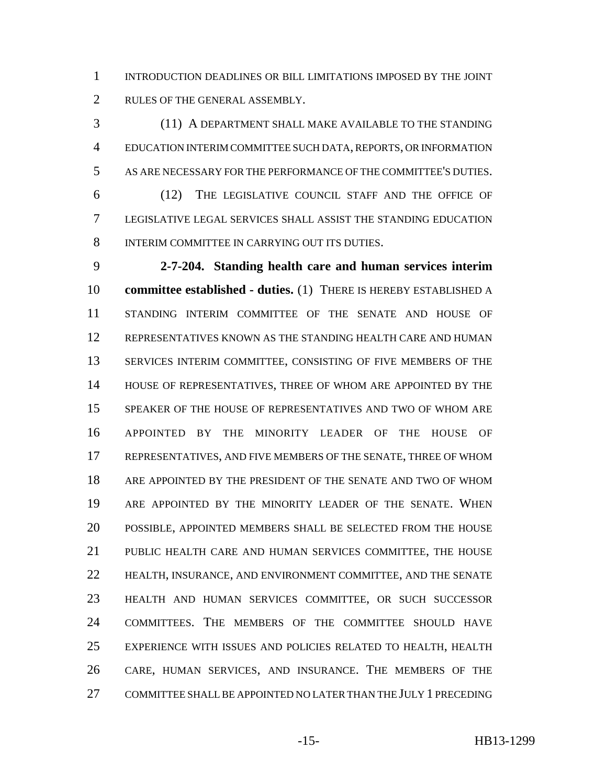INTRODUCTION DEADLINES OR BILL LIMITATIONS IMPOSED BY THE JOINT RULES OF THE GENERAL ASSEMBLY.

 (11) A DEPARTMENT SHALL MAKE AVAILABLE TO THE STANDING EDUCATION INTERIM COMMITTEE SUCH DATA, REPORTS, OR INFORMATION AS ARE NECESSARY FOR THE PERFORMANCE OF THE COMMITTEE'S DUTIES.

 (12) THE LEGISLATIVE COUNCIL STAFF AND THE OFFICE OF LEGISLATIVE LEGAL SERVICES SHALL ASSIST THE STANDING EDUCATION INTERIM COMMITTEE IN CARRYING OUT ITS DUTIES.

 **2-7-204. Standing health care and human services interim committee established - duties.** (1) THERE IS HEREBY ESTABLISHED A STANDING INTERIM COMMITTEE OF THE SENATE AND HOUSE OF REPRESENTATIVES KNOWN AS THE STANDING HEALTH CARE AND HUMAN SERVICES INTERIM COMMITTEE, CONSISTING OF FIVE MEMBERS OF THE HOUSE OF REPRESENTATIVES, THREE OF WHOM ARE APPOINTED BY THE SPEAKER OF THE HOUSE OF REPRESENTATIVES AND TWO OF WHOM ARE APPOINTED BY THE MINORITY LEADER OF THE HOUSE OF REPRESENTATIVES, AND FIVE MEMBERS OF THE SENATE, THREE OF WHOM ARE APPOINTED BY THE PRESIDENT OF THE SENATE AND TWO OF WHOM ARE APPOINTED BY THE MINORITY LEADER OF THE SENATE. WHEN POSSIBLE, APPOINTED MEMBERS SHALL BE SELECTED FROM THE HOUSE PUBLIC HEALTH CARE AND HUMAN SERVICES COMMITTEE, THE HOUSE HEALTH, INSURANCE, AND ENVIRONMENT COMMITTEE, AND THE SENATE HEALTH AND HUMAN SERVICES COMMITTEE, OR SUCH SUCCESSOR COMMITTEES. THE MEMBERS OF THE COMMITTEE SHOULD HAVE EXPERIENCE WITH ISSUES AND POLICIES RELATED TO HEALTH, HEALTH CARE, HUMAN SERVICES, AND INSURANCE. THE MEMBERS OF THE COMMITTEE SHALL BE APPOINTED NO LATER THAN THE JULY 1 PRECEDING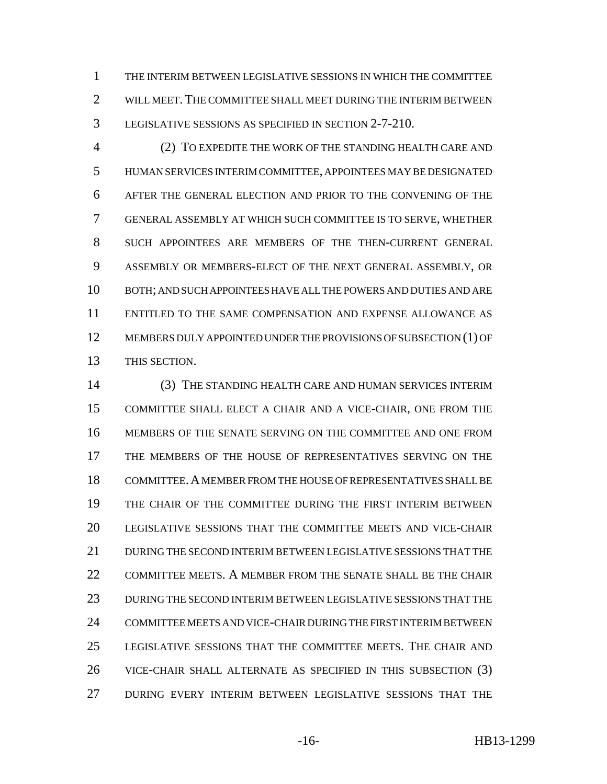THE INTERIM BETWEEN LEGISLATIVE SESSIONS IN WHICH THE COMMITTEE 2 WILL MEET. THE COMMITTEE SHALL MEET DURING THE INTERIM BETWEEN LEGISLATIVE SESSIONS AS SPECIFIED IN SECTION 2-7-210.

 (2) TO EXPEDITE THE WORK OF THE STANDING HEALTH CARE AND HUMAN SERVICES INTERIM COMMITTEE, APPOINTEES MAY BE DESIGNATED AFTER THE GENERAL ELECTION AND PRIOR TO THE CONVENING OF THE GENERAL ASSEMBLY AT WHICH SUCH COMMITTEE IS TO SERVE, WHETHER SUCH APPOINTEES ARE MEMBERS OF THE THEN-CURRENT GENERAL ASSEMBLY OR MEMBERS-ELECT OF THE NEXT GENERAL ASSEMBLY, OR BOTH; AND SUCH APPOINTEES HAVE ALL THE POWERS AND DUTIES AND ARE ENTITLED TO THE SAME COMPENSATION AND EXPENSE ALLOWANCE AS MEMBERS DULY APPOINTED UNDER THE PROVISIONS OF SUBSECTION (1) OF THIS SECTION.

 (3) THE STANDING HEALTH CARE AND HUMAN SERVICES INTERIM COMMITTEE SHALL ELECT A CHAIR AND A VICE-CHAIR, ONE FROM THE MEMBERS OF THE SENATE SERVING ON THE COMMITTEE AND ONE FROM THE MEMBERS OF THE HOUSE OF REPRESENTATIVES SERVING ON THE COMMITTEE.A MEMBER FROM THE HOUSE OF REPRESENTATIVES SHALL BE THE CHAIR OF THE COMMITTEE DURING THE FIRST INTERIM BETWEEN LEGISLATIVE SESSIONS THAT THE COMMITTEE MEETS AND VICE-CHAIR DURING THE SECOND INTERIM BETWEEN LEGISLATIVE SESSIONS THAT THE COMMITTEE MEETS. A MEMBER FROM THE SENATE SHALL BE THE CHAIR DURING THE SECOND INTERIM BETWEEN LEGISLATIVE SESSIONS THAT THE COMMITTEE MEETS AND VICE-CHAIR DURING THE FIRST INTERIM BETWEEN LEGISLATIVE SESSIONS THAT THE COMMITTEE MEETS. THE CHAIR AND VICE-CHAIR SHALL ALTERNATE AS SPECIFIED IN THIS SUBSECTION (3) DURING EVERY INTERIM BETWEEN LEGISLATIVE SESSIONS THAT THE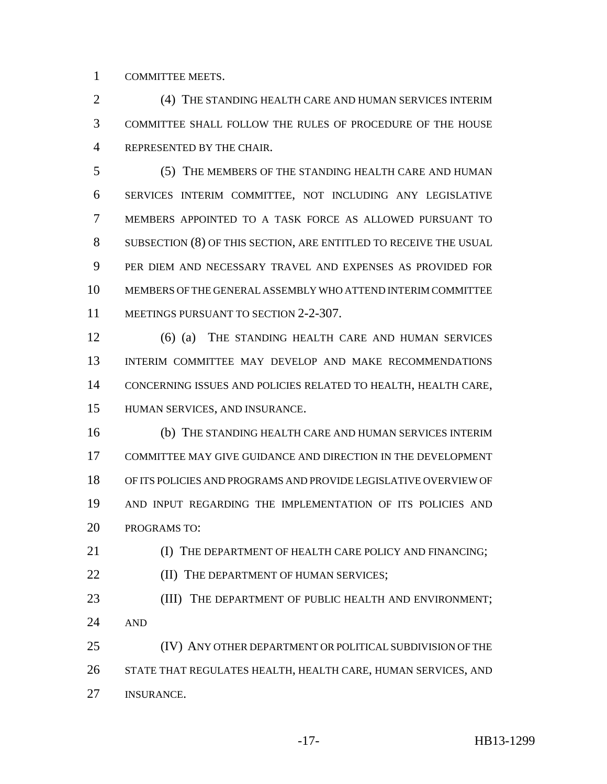COMMITTEE MEETS.

 (4) THE STANDING HEALTH CARE AND HUMAN SERVICES INTERIM COMMITTEE SHALL FOLLOW THE RULES OF PROCEDURE OF THE HOUSE REPRESENTED BY THE CHAIR.

 (5) THE MEMBERS OF THE STANDING HEALTH CARE AND HUMAN SERVICES INTERIM COMMITTEE, NOT INCLUDING ANY LEGISLATIVE MEMBERS APPOINTED TO A TASK FORCE AS ALLOWED PURSUANT TO SUBSECTION (8) OF THIS SECTION, ARE ENTITLED TO RECEIVE THE USUAL PER DIEM AND NECESSARY TRAVEL AND EXPENSES AS PROVIDED FOR MEMBERS OF THE GENERAL ASSEMBLY WHO ATTEND INTERIM COMMITTEE 11 MEETINGS PURSUANT TO SECTION 2-2-307.

 (6) (a) THE STANDING HEALTH CARE AND HUMAN SERVICES INTERIM COMMITTEE MAY DEVELOP AND MAKE RECOMMENDATIONS CONCERNING ISSUES AND POLICIES RELATED TO HEALTH, HEALTH CARE, HUMAN SERVICES, AND INSURANCE.

 (b) THE STANDING HEALTH CARE AND HUMAN SERVICES INTERIM COMMITTEE MAY GIVE GUIDANCE AND DIRECTION IN THE DEVELOPMENT OF ITS POLICIES AND PROGRAMS AND PROVIDE LEGISLATIVE OVERVIEW OF AND INPUT REGARDING THE IMPLEMENTATION OF ITS POLICIES AND PROGRAMS TO:

**IDEAL CONTROLLER IN THE DEPARTMENT OF HEALTH CARE POLICY AND FINANCING: (II) THE DEPARTMENT OF HUMAN SERVICES;** 23 (III) THE DEPARTMENT OF PUBLIC HEALTH AND ENVIRONMENT; AND (IV) ANY OTHER DEPARTMENT OR POLITICAL SUBDIVISION OF THE STATE THAT REGULATES HEALTH, HEALTH CARE, HUMAN SERVICES, AND INSURANCE.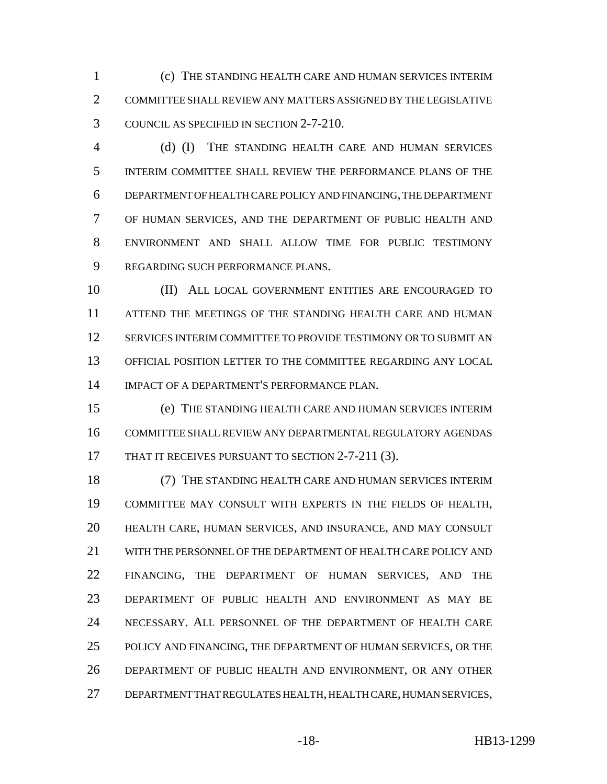(c) THE STANDING HEALTH CARE AND HUMAN SERVICES INTERIM COMMITTEE SHALL REVIEW ANY MATTERS ASSIGNED BY THE LEGISLATIVE COUNCIL AS SPECIFIED IN SECTION 2-7-210.

 (d) (I) THE STANDING HEALTH CARE AND HUMAN SERVICES INTERIM COMMITTEE SHALL REVIEW THE PERFORMANCE PLANS OF THE DEPARTMENT OF HEALTH CARE POLICY AND FINANCING, THE DEPARTMENT OF HUMAN SERVICES, AND THE DEPARTMENT OF PUBLIC HEALTH AND ENVIRONMENT AND SHALL ALLOW TIME FOR PUBLIC TESTIMONY REGARDING SUCH PERFORMANCE PLANS.

 (II) ALL LOCAL GOVERNMENT ENTITIES ARE ENCOURAGED TO ATTEND THE MEETINGS OF THE STANDING HEALTH CARE AND HUMAN SERVICES INTERIM COMMITTEE TO PROVIDE TESTIMONY OR TO SUBMIT AN OFFICIAL POSITION LETTER TO THE COMMITTEE REGARDING ANY LOCAL IMPACT OF A DEPARTMENT'S PERFORMANCE PLAN.

 (e) THE STANDING HEALTH CARE AND HUMAN SERVICES INTERIM COMMITTEE SHALL REVIEW ANY DEPARTMENTAL REGULATORY AGENDAS 17 THAT IT RECEIVES PURSUANT TO SECTION 2-7-211 (3).

 (7) THE STANDING HEALTH CARE AND HUMAN SERVICES INTERIM COMMITTEE MAY CONSULT WITH EXPERTS IN THE FIELDS OF HEALTH, HEALTH CARE, HUMAN SERVICES, AND INSURANCE, AND MAY CONSULT WITH THE PERSONNEL OF THE DEPARTMENT OF HEALTH CARE POLICY AND FINANCING, THE DEPARTMENT OF HUMAN SERVICES, AND THE DEPARTMENT OF PUBLIC HEALTH AND ENVIRONMENT AS MAY BE NECESSARY. ALL PERSONNEL OF THE DEPARTMENT OF HEALTH CARE POLICY AND FINANCING, THE DEPARTMENT OF HUMAN SERVICES, OR THE DEPARTMENT OF PUBLIC HEALTH AND ENVIRONMENT, OR ANY OTHER DEPARTMENT THAT REGULATES HEALTH, HEALTH CARE, HUMAN SERVICES,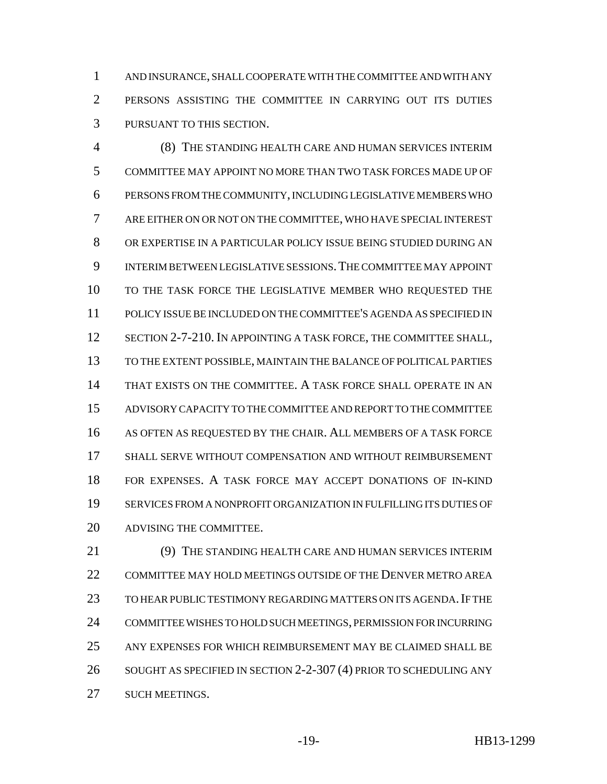AND INSURANCE, SHALL COOPERATE WITH THE COMMITTEE AND WITH ANY PERSONS ASSISTING THE COMMITTEE IN CARRYING OUT ITS DUTIES PURSUANT TO THIS SECTION.

 (8) THE STANDING HEALTH CARE AND HUMAN SERVICES INTERIM COMMITTEE MAY APPOINT NO MORE THAN TWO TASK FORCES MADE UP OF PERSONS FROM THE COMMUNITY, INCLUDING LEGISLATIVE MEMBERS WHO ARE EITHER ON OR NOT ON THE COMMITTEE, WHO HAVE SPECIAL INTEREST OR EXPERTISE IN A PARTICULAR POLICY ISSUE BEING STUDIED DURING AN INTERIM BETWEEN LEGISLATIVE SESSIONS.THE COMMITTEE MAY APPOINT TO THE TASK FORCE THE LEGISLATIVE MEMBER WHO REQUESTED THE POLICY ISSUE BE INCLUDED ON THE COMMITTEE'S AGENDA AS SPECIFIED IN 12 SECTION 2-7-210. IN APPOINTING A TASK FORCE, THE COMMITTEE SHALL, TO THE EXTENT POSSIBLE, MAINTAIN THE BALANCE OF POLITICAL PARTIES THAT EXISTS ON THE COMMITTEE. A TASK FORCE SHALL OPERATE IN AN ADVISORY CAPACITY TO THE COMMITTEE AND REPORT TO THE COMMITTEE AS OFTEN AS REQUESTED BY THE CHAIR. ALL MEMBERS OF A TASK FORCE SHALL SERVE WITHOUT COMPENSATION AND WITHOUT REIMBURSEMENT FOR EXPENSES. A TASK FORCE MAY ACCEPT DONATIONS OF IN-KIND SERVICES FROM A NONPROFIT ORGANIZATION IN FULFILLING ITS DUTIES OF ADVISING THE COMMITTEE.

 (9) THE STANDING HEALTH CARE AND HUMAN SERVICES INTERIM COMMITTEE MAY HOLD MEETINGS OUTSIDE OF THE DENVER METRO AREA 23 TO HEAR PUBLIC TESTIMONY REGARDING MATTERS ON ITS AGENDA. IF THE COMMITTEE WISHES TO HOLD SUCH MEETINGS, PERMISSION FOR INCURRING ANY EXPENSES FOR WHICH REIMBURSEMENT MAY BE CLAIMED SHALL BE SOUGHT AS SPECIFIED IN SECTION 2-2-307 (4) PRIOR TO SCHEDULING ANY SUCH MEETINGS.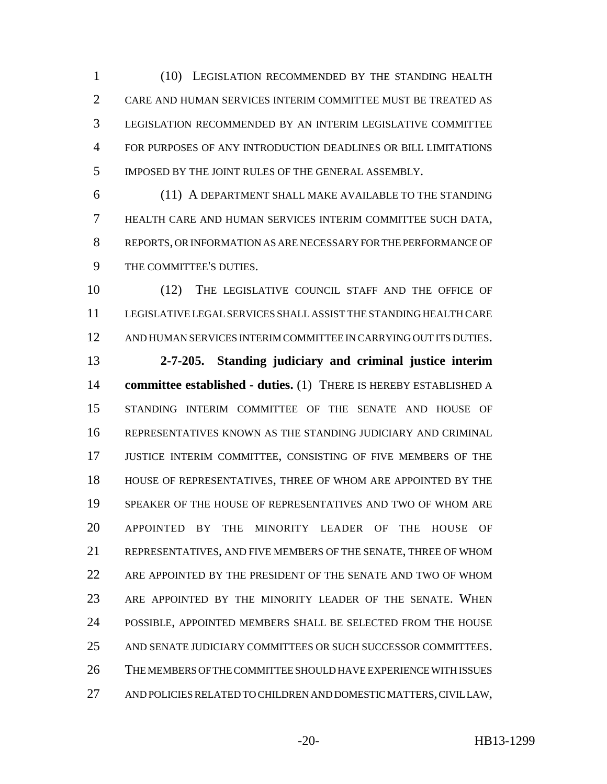(10) LEGISLATION RECOMMENDED BY THE STANDING HEALTH CARE AND HUMAN SERVICES INTERIM COMMITTEE MUST BE TREATED AS LEGISLATION RECOMMENDED BY AN INTERIM LEGISLATIVE COMMITTEE FOR PURPOSES OF ANY INTRODUCTION DEADLINES OR BILL LIMITATIONS IMPOSED BY THE JOINT RULES OF THE GENERAL ASSEMBLY.

 (11) A DEPARTMENT SHALL MAKE AVAILABLE TO THE STANDING HEALTH CARE AND HUMAN SERVICES INTERIM COMMITTEE SUCH DATA, REPORTS, OR INFORMATION AS ARE NECESSARY FOR THE PERFORMANCE OF THE COMMITTEE'S DUTIES.

 (12) THE LEGISLATIVE COUNCIL STAFF AND THE OFFICE OF LEGISLATIVE LEGAL SERVICES SHALL ASSIST THE STANDING HEALTH CARE AND HUMAN SERVICES INTERIM COMMITTEE IN CARRYING OUT ITS DUTIES.

 **2-7-205. Standing judiciary and criminal justice interim committee established - duties.** (1) THERE IS HEREBY ESTABLISHED A STANDING INTERIM COMMITTEE OF THE SENATE AND HOUSE OF REPRESENTATIVES KNOWN AS THE STANDING JUDICIARY AND CRIMINAL JUSTICE INTERIM COMMITTEE, CONSISTING OF FIVE MEMBERS OF THE HOUSE OF REPRESENTATIVES, THREE OF WHOM ARE APPOINTED BY THE SPEAKER OF THE HOUSE OF REPRESENTATIVES AND TWO OF WHOM ARE APPOINTED BY THE MINORITY LEADER OF THE HOUSE OF REPRESENTATIVES, AND FIVE MEMBERS OF THE SENATE, THREE OF WHOM ARE APPOINTED BY THE PRESIDENT OF THE SENATE AND TWO OF WHOM ARE APPOINTED BY THE MINORITY LEADER OF THE SENATE. WHEN POSSIBLE, APPOINTED MEMBERS SHALL BE SELECTED FROM THE HOUSE AND SENATE JUDICIARY COMMITTEES OR SUCH SUCCESSOR COMMITTEES. THE MEMBERS OF THE COMMITTEE SHOULD HAVE EXPERIENCE WITH ISSUES AND POLICIES RELATED TO CHILDREN AND DOMESTIC MATTERS, CIVIL LAW,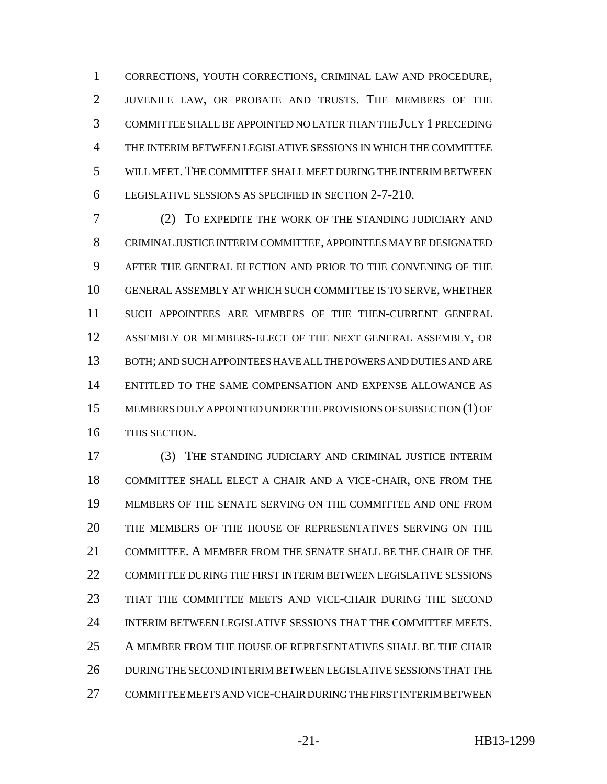CORRECTIONS, YOUTH CORRECTIONS, CRIMINAL LAW AND PROCEDURE, JUVENILE LAW, OR PROBATE AND TRUSTS. THE MEMBERS OF THE COMMITTEE SHALL BE APPOINTED NO LATER THAN THE JULY 1 PRECEDING THE INTERIM BETWEEN LEGISLATIVE SESSIONS IN WHICH THE COMMITTEE WILL MEET. THE COMMITTEE SHALL MEET DURING THE INTERIM BETWEEN LEGISLATIVE SESSIONS AS SPECIFIED IN SECTION 2-7-210.

 (2) TO EXPEDITE THE WORK OF THE STANDING JUDICIARY AND CRIMINAL JUSTICE INTERIM COMMITTEE, APPOINTEES MAY BE DESIGNATED AFTER THE GENERAL ELECTION AND PRIOR TO THE CONVENING OF THE GENERAL ASSEMBLY AT WHICH SUCH COMMITTEE IS TO SERVE, WHETHER SUCH APPOINTEES ARE MEMBERS OF THE THEN-CURRENT GENERAL ASSEMBLY OR MEMBERS-ELECT OF THE NEXT GENERAL ASSEMBLY, OR BOTH; AND SUCH APPOINTEES HAVE ALL THE POWERS AND DUTIES AND ARE ENTITLED TO THE SAME COMPENSATION AND EXPENSE ALLOWANCE AS MEMBERS DULY APPOINTED UNDER THE PROVISIONS OF SUBSECTION (1) OF THIS SECTION.

 (3) THE STANDING JUDICIARY AND CRIMINAL JUSTICE INTERIM COMMITTEE SHALL ELECT A CHAIR AND A VICE-CHAIR, ONE FROM THE MEMBERS OF THE SENATE SERVING ON THE COMMITTEE AND ONE FROM THE MEMBERS OF THE HOUSE OF REPRESENTATIVES SERVING ON THE COMMITTEE. A MEMBER FROM THE SENATE SHALL BE THE CHAIR OF THE COMMITTEE DURING THE FIRST INTERIM BETWEEN LEGISLATIVE SESSIONS THAT THE COMMITTEE MEETS AND VICE-CHAIR DURING THE SECOND INTERIM BETWEEN LEGISLATIVE SESSIONS THAT THE COMMITTEE MEETS. A MEMBER FROM THE HOUSE OF REPRESENTATIVES SHALL BE THE CHAIR DURING THE SECOND INTERIM BETWEEN LEGISLATIVE SESSIONS THAT THE COMMITTEE MEETS AND VICE-CHAIR DURING THE FIRST INTERIM BETWEEN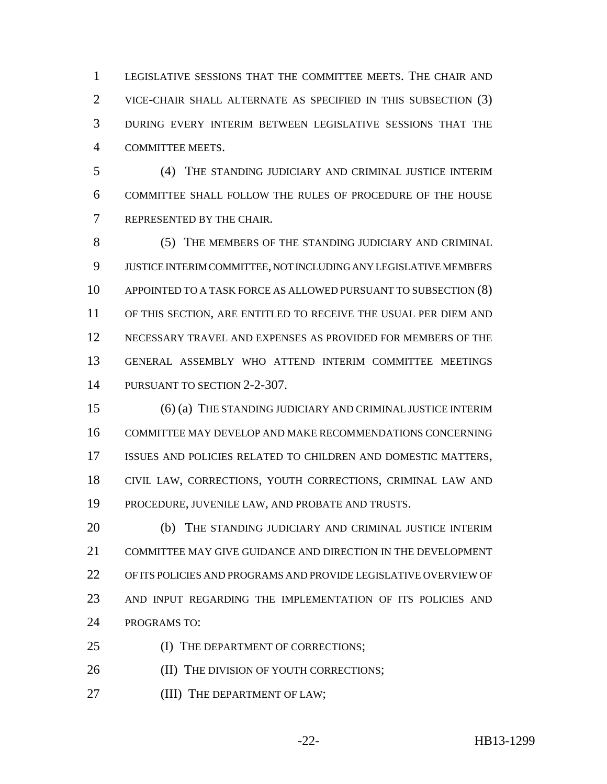LEGISLATIVE SESSIONS THAT THE COMMITTEE MEETS. THE CHAIR AND VICE-CHAIR SHALL ALTERNATE AS SPECIFIED IN THIS SUBSECTION (3) DURING EVERY INTERIM BETWEEN LEGISLATIVE SESSIONS THAT THE COMMITTEE MEETS.

 (4) THE STANDING JUDICIARY AND CRIMINAL JUSTICE INTERIM COMMITTEE SHALL FOLLOW THE RULES OF PROCEDURE OF THE HOUSE REPRESENTED BY THE CHAIR.

8 (5) THE MEMBERS OF THE STANDING JUDICIARY AND CRIMINAL JUSTICE INTERIM COMMITTEE, NOT INCLUDING ANY LEGISLATIVE MEMBERS APPOINTED TO A TASK FORCE AS ALLOWED PURSUANT TO SUBSECTION (8) OF THIS SECTION, ARE ENTITLED TO RECEIVE THE USUAL PER DIEM AND NECESSARY TRAVEL AND EXPENSES AS PROVIDED FOR MEMBERS OF THE GENERAL ASSEMBLY WHO ATTEND INTERIM COMMITTEE MEETINGS PURSUANT TO SECTION 2-2-307.

 (6) (a) THE STANDING JUDICIARY AND CRIMINAL JUSTICE INTERIM COMMITTEE MAY DEVELOP AND MAKE RECOMMENDATIONS CONCERNING ISSUES AND POLICIES RELATED TO CHILDREN AND DOMESTIC MATTERS, CIVIL LAW, CORRECTIONS, YOUTH CORRECTIONS, CRIMINAL LAW AND PROCEDURE, JUVENILE LAW, AND PROBATE AND TRUSTS.

 (b) THE STANDING JUDICIARY AND CRIMINAL JUSTICE INTERIM COMMITTEE MAY GIVE GUIDANCE AND DIRECTION IN THE DEVELOPMENT OF ITS POLICIES AND PROGRAMS AND PROVIDE LEGISLATIVE OVERVIEW OF AND INPUT REGARDING THE IMPLEMENTATION OF ITS POLICIES AND PROGRAMS TO:

- 25 (I) THE DEPARTMENT OF CORRECTIONS;
- **(II) THE DIVISION OF YOUTH CORRECTIONS;**
- **(III) THE DEPARTMENT OF LAW;**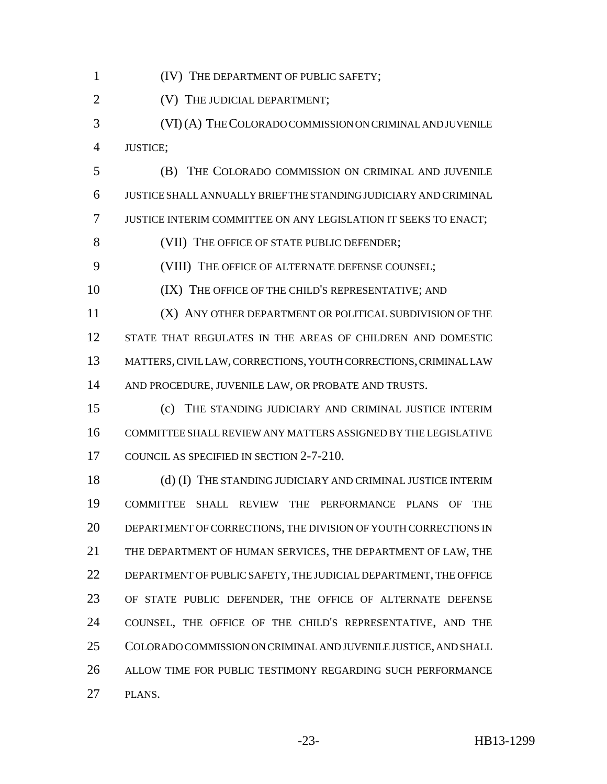(IV) THE DEPARTMENT OF PUBLIC SAFETY;

**(V) THE JUDICIAL DEPARTMENT;** 

 (VI) (A) THE COLORADO COMMISSION ON CRIMINAL AND JUVENILE JUSTICE;

 (B) THE COLORADO COMMISSION ON CRIMINAL AND JUVENILE JUSTICE SHALL ANNUALLY BRIEF THE STANDING JUDICIARY AND CRIMINAL JUSTICE INTERIM COMMITTEE ON ANY LEGISLATION IT SEEKS TO ENACT;

8 (VII) THE OFFICE OF STATE PUBLIC DEFENDER;

(VIII) THE OFFICE OF ALTERNATE DEFENSE COUNSEL;

10 (IX) THE OFFICE OF THE CHILD'S REPRESENTATIVE; AND

 (X) ANY OTHER DEPARTMENT OR POLITICAL SUBDIVISION OF THE STATE THAT REGULATES IN THE AREAS OF CHILDREN AND DOMESTIC MATTERS, CIVIL LAW, CORRECTIONS, YOUTH CORRECTIONS, CRIMINAL LAW 14 AND PROCEDURE, JUVENILE LAW, OR PROBATE AND TRUSTS.

 (c) THE STANDING JUDICIARY AND CRIMINAL JUSTICE INTERIM COMMITTEE SHALL REVIEW ANY MATTERS ASSIGNED BY THE LEGISLATIVE COUNCIL AS SPECIFIED IN SECTION 2-7-210.

 (d) (I) THE STANDING JUDICIARY AND CRIMINAL JUSTICE INTERIM COMMITTEE SHALL REVIEW THE PERFORMANCE PLANS OF THE DEPARTMENT OF CORRECTIONS, THE DIVISION OF YOUTH CORRECTIONS IN THE DEPARTMENT OF HUMAN SERVICES, THE DEPARTMENT OF LAW, THE DEPARTMENT OF PUBLIC SAFETY, THE JUDICIAL DEPARTMENT, THE OFFICE OF STATE PUBLIC DEFENDER, THE OFFICE OF ALTERNATE DEFENSE COUNSEL, THE OFFICE OF THE CHILD'S REPRESENTATIVE, AND THE COLORADO COMMISSION ON CRIMINAL AND JUVENILE JUSTICE, AND SHALL ALLOW TIME FOR PUBLIC TESTIMONY REGARDING SUCH PERFORMANCE PLANS.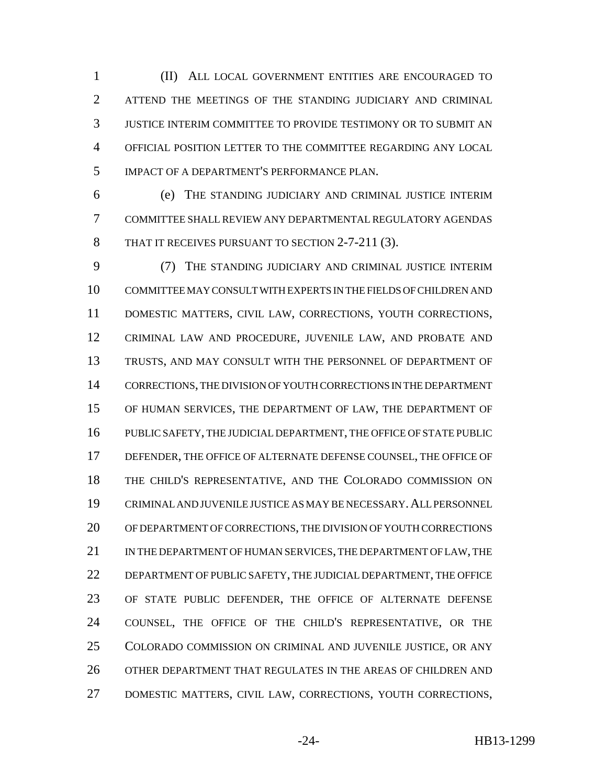(II) ALL LOCAL GOVERNMENT ENTITIES ARE ENCOURAGED TO ATTEND THE MEETINGS OF THE STANDING JUDICIARY AND CRIMINAL JUSTICE INTERIM COMMITTEE TO PROVIDE TESTIMONY OR TO SUBMIT AN OFFICIAL POSITION LETTER TO THE COMMITTEE REGARDING ANY LOCAL IMPACT OF A DEPARTMENT'S PERFORMANCE PLAN.

 (e) THE STANDING JUDICIARY AND CRIMINAL JUSTICE INTERIM COMMITTEE SHALL REVIEW ANY DEPARTMENTAL REGULATORY AGENDAS 8 THAT IT RECEIVES PURSUANT TO SECTION 2-7-211 (3).

 (7) THE STANDING JUDICIARY AND CRIMINAL JUSTICE INTERIM COMMITTEE MAY CONSULT WITH EXPERTS IN THE FIELDS OF CHILDREN AND DOMESTIC MATTERS, CIVIL LAW, CORRECTIONS, YOUTH CORRECTIONS, CRIMINAL LAW AND PROCEDURE, JUVENILE LAW, AND PROBATE AND TRUSTS, AND MAY CONSULT WITH THE PERSONNEL OF DEPARTMENT OF CORRECTIONS, THE DIVISION OF YOUTH CORRECTIONS IN THE DEPARTMENT OF HUMAN SERVICES, THE DEPARTMENT OF LAW, THE DEPARTMENT OF PUBLIC SAFETY, THE JUDICIAL DEPARTMENT, THE OFFICE OF STATE PUBLIC DEFENDER, THE OFFICE OF ALTERNATE DEFENSE COUNSEL, THE OFFICE OF THE CHILD'S REPRESENTATIVE, AND THE COLORADO COMMISSION ON CRIMINAL AND JUVENILE JUSTICE AS MAY BE NECESSARY.ALL PERSONNEL OF DEPARTMENT OF CORRECTIONS, THE DIVISION OF YOUTH CORRECTIONS IN THE DEPARTMENT OF HUMAN SERVICES, THE DEPARTMENT OF LAW, THE DEPARTMENT OF PUBLIC SAFETY, THE JUDICIAL DEPARTMENT, THE OFFICE OF STATE PUBLIC DEFENDER, THE OFFICE OF ALTERNATE DEFENSE COUNSEL, THE OFFICE OF THE CHILD'S REPRESENTATIVE, OR THE COLORADO COMMISSION ON CRIMINAL AND JUVENILE JUSTICE, OR ANY OTHER DEPARTMENT THAT REGULATES IN THE AREAS OF CHILDREN AND DOMESTIC MATTERS, CIVIL LAW, CORRECTIONS, YOUTH CORRECTIONS,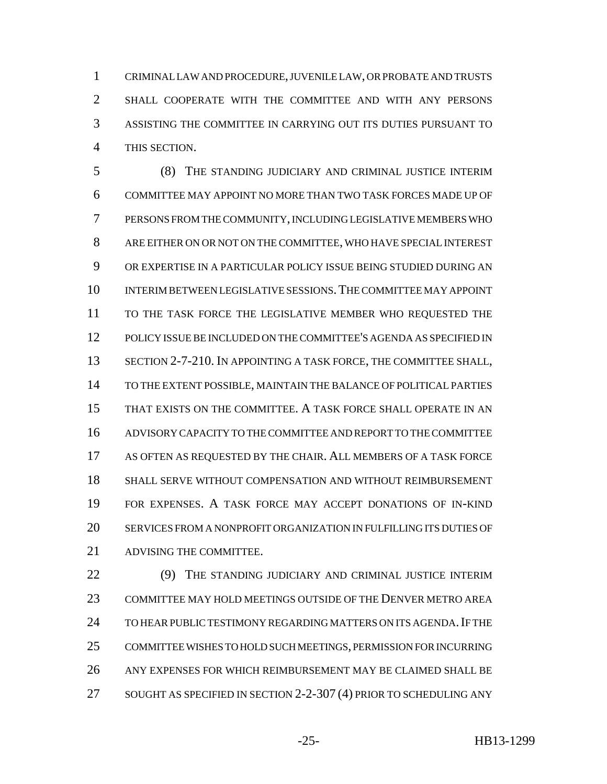CRIMINAL LAW AND PROCEDURE, JUVENILE LAW, OR PROBATE AND TRUSTS SHALL COOPERATE WITH THE COMMITTEE AND WITH ANY PERSONS ASSISTING THE COMMITTEE IN CARRYING OUT ITS DUTIES PURSUANT TO THIS SECTION.

 (8) THE STANDING JUDICIARY AND CRIMINAL JUSTICE INTERIM COMMITTEE MAY APPOINT NO MORE THAN TWO TASK FORCES MADE UP OF PERSONS FROM THE COMMUNITY, INCLUDING LEGISLATIVE MEMBERS WHO ARE EITHER ON OR NOT ON THE COMMITTEE, WHO HAVE SPECIAL INTEREST OR EXPERTISE IN A PARTICULAR POLICY ISSUE BEING STUDIED DURING AN INTERIM BETWEEN LEGISLATIVE SESSIONS.THE COMMITTEE MAY APPOINT TO THE TASK FORCE THE LEGISLATIVE MEMBER WHO REQUESTED THE POLICY ISSUE BE INCLUDED ON THE COMMITTEE'S AGENDA AS SPECIFIED IN 13 SECTION 2-7-210. IN APPOINTING A TASK FORCE, THE COMMITTEE SHALL, TO THE EXTENT POSSIBLE, MAINTAIN THE BALANCE OF POLITICAL PARTIES THAT EXISTS ON THE COMMITTEE. A TASK FORCE SHALL OPERATE IN AN ADVISORY CAPACITY TO THE COMMITTEE AND REPORT TO THE COMMITTEE AS OFTEN AS REQUESTED BY THE CHAIR. ALL MEMBERS OF A TASK FORCE SHALL SERVE WITHOUT COMPENSATION AND WITHOUT REIMBURSEMENT FOR EXPENSES. A TASK FORCE MAY ACCEPT DONATIONS OF IN-KIND SERVICES FROM A NONPROFIT ORGANIZATION IN FULFILLING ITS DUTIES OF ADVISING THE COMMITTEE.

 (9) THE STANDING JUDICIARY AND CRIMINAL JUSTICE INTERIM COMMITTEE MAY HOLD MEETINGS OUTSIDE OF THE DENVER METRO AREA 24 TO HEAR PUBLIC TESTIMONY REGARDING MATTERS ON ITS AGENDA. IF THE COMMITTEE WISHES TO HOLD SUCH MEETINGS, PERMISSION FOR INCURRING ANY EXPENSES FOR WHICH REIMBURSEMENT MAY BE CLAIMED SHALL BE SOUGHT AS SPECIFIED IN SECTION 2-2-307 (4) PRIOR TO SCHEDULING ANY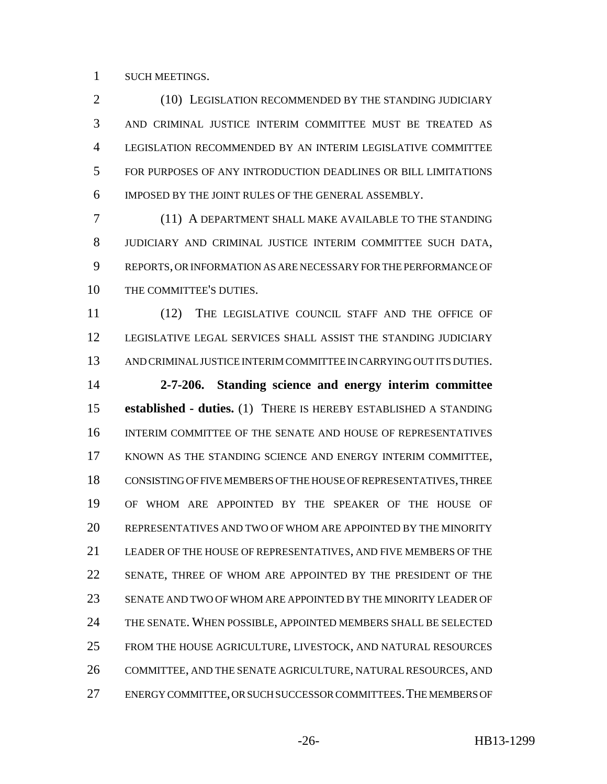SUCH MEETINGS.

2 (10) LEGISLATION RECOMMENDED BY THE STANDING JUDICIARY AND CRIMINAL JUSTICE INTERIM COMMITTEE MUST BE TREATED AS LEGISLATION RECOMMENDED BY AN INTERIM LEGISLATIVE COMMITTEE FOR PURPOSES OF ANY INTRODUCTION DEADLINES OR BILL LIMITATIONS IMPOSED BY THE JOINT RULES OF THE GENERAL ASSEMBLY.

 (11) A DEPARTMENT SHALL MAKE AVAILABLE TO THE STANDING JUDICIARY AND CRIMINAL JUSTICE INTERIM COMMITTEE SUCH DATA, REPORTS, OR INFORMATION AS ARE NECESSARY FOR THE PERFORMANCE OF THE COMMITTEE'S DUTIES.

11 (12) THE LEGISLATIVE COUNCIL STAFF AND THE OFFICE OF LEGISLATIVE LEGAL SERVICES SHALL ASSIST THE STANDING JUDICIARY AND CRIMINAL JUSTICE INTERIM COMMITTEE IN CARRYING OUT ITS DUTIES.

 **2-7-206. Standing science and energy interim committee established - duties.** (1) THERE IS HEREBY ESTABLISHED A STANDING INTERIM COMMITTEE OF THE SENATE AND HOUSE OF REPRESENTATIVES KNOWN AS THE STANDING SCIENCE AND ENERGY INTERIM COMMITTEE, CONSISTING OF FIVE MEMBERS OF THE HOUSE OF REPRESENTATIVES, THREE OF WHOM ARE APPOINTED BY THE SPEAKER OF THE HOUSE OF REPRESENTATIVES AND TWO OF WHOM ARE APPOINTED BY THE MINORITY LEADER OF THE HOUSE OF REPRESENTATIVES, AND FIVE MEMBERS OF THE SENATE, THREE OF WHOM ARE APPOINTED BY THE PRESIDENT OF THE SENATE AND TWO OF WHOM ARE APPOINTED BY THE MINORITY LEADER OF THE SENATE. WHEN POSSIBLE, APPOINTED MEMBERS SHALL BE SELECTED FROM THE HOUSE AGRICULTURE, LIVESTOCK, AND NATURAL RESOURCES COMMITTEE, AND THE SENATE AGRICULTURE, NATURAL RESOURCES, AND ENERGY COMMITTEE, OR SUCH SUCCESSOR COMMITTEES.THE MEMBERS OF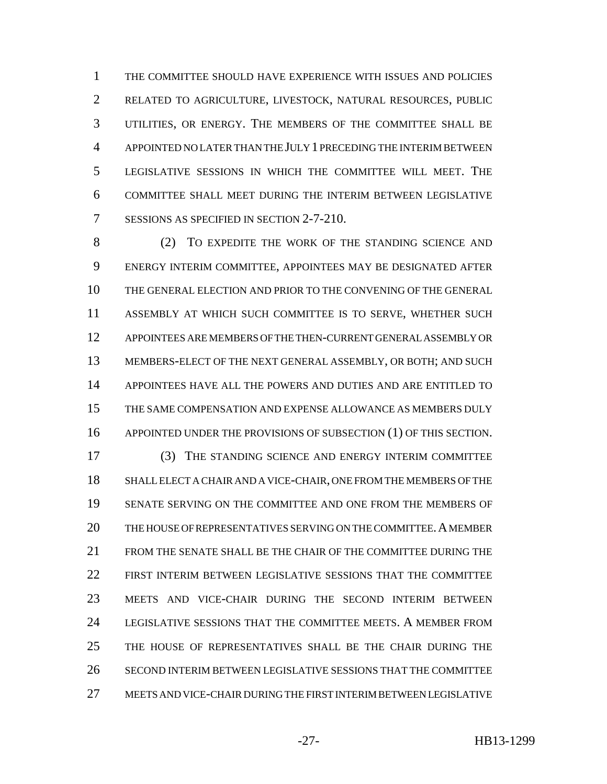THE COMMITTEE SHOULD HAVE EXPERIENCE WITH ISSUES AND POLICIES RELATED TO AGRICULTURE, LIVESTOCK, NATURAL RESOURCES, PUBLIC UTILITIES, OR ENERGY. THE MEMBERS OF THE COMMITTEE SHALL BE APPOINTED NO LATER THAN THE JULY 1 PRECEDING THE INTERIM BETWEEN LEGISLATIVE SESSIONS IN WHICH THE COMMITTEE WILL MEET. THE COMMITTEE SHALL MEET DURING THE INTERIM BETWEEN LEGISLATIVE SESSIONS AS SPECIFIED IN SECTION 2-7-210.

 (2) TO EXPEDITE THE WORK OF THE STANDING SCIENCE AND ENERGY INTERIM COMMITTEE, APPOINTEES MAY BE DESIGNATED AFTER THE GENERAL ELECTION AND PRIOR TO THE CONVENING OF THE GENERAL ASSEMBLY AT WHICH SUCH COMMITTEE IS TO SERVE, WHETHER SUCH APPOINTEES ARE MEMBERS OF THE THEN-CURRENT GENERAL ASSEMBLY OR MEMBERS-ELECT OF THE NEXT GENERAL ASSEMBLY, OR BOTH; AND SUCH APPOINTEES HAVE ALL THE POWERS AND DUTIES AND ARE ENTITLED TO THE SAME COMPENSATION AND EXPENSE ALLOWANCE AS MEMBERS DULY APPOINTED UNDER THE PROVISIONS OF SUBSECTION (1) OF THIS SECTION. (3) THE STANDING SCIENCE AND ENERGY INTERIM COMMITTEE SHALL ELECT A CHAIR AND A VICE-CHAIR, ONE FROM THE MEMBERS OF THE SENATE SERVING ON THE COMMITTEE AND ONE FROM THE MEMBERS OF THE HOUSE OF REPRESENTATIVES SERVING ON THE COMMITTEE.A MEMBER FROM THE SENATE SHALL BE THE CHAIR OF THE COMMITTEE DURING THE FIRST INTERIM BETWEEN LEGISLATIVE SESSIONS THAT THE COMMITTEE MEETS AND VICE-CHAIR DURING THE SECOND INTERIM BETWEEN LEGISLATIVE SESSIONS THAT THE COMMITTEE MEETS. A MEMBER FROM 25 THE HOUSE OF REPRESENTATIVES SHALL BE THE CHAIR DURING THE SECOND INTERIM BETWEEN LEGISLATIVE SESSIONS THAT THE COMMITTEE MEETS AND VICE-CHAIR DURING THE FIRST INTERIM BETWEEN LEGISLATIVE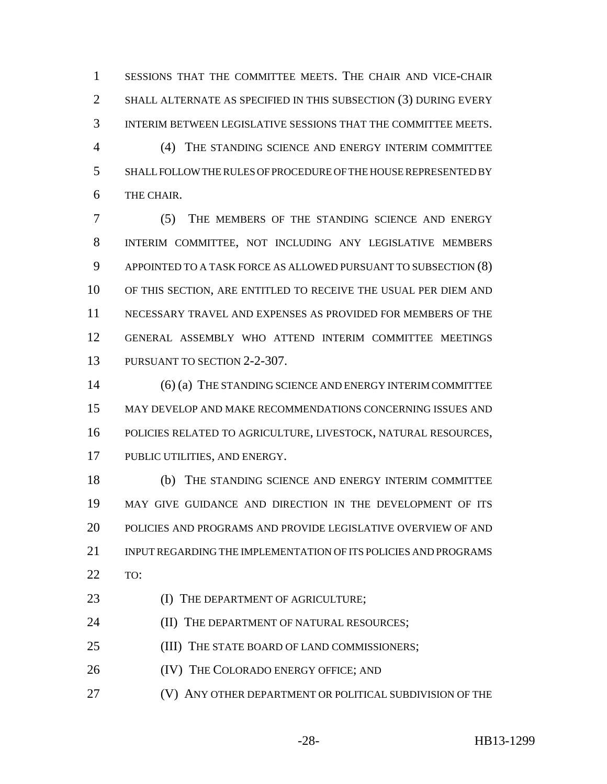SESSIONS THAT THE COMMITTEE MEETS. THE CHAIR AND VICE-CHAIR SHALL ALTERNATE AS SPECIFIED IN THIS SUBSECTION (3) DURING EVERY INTERIM BETWEEN LEGISLATIVE SESSIONS THAT THE COMMITTEE MEETS.

 (4) THE STANDING SCIENCE AND ENERGY INTERIM COMMITTEE SHALL FOLLOW THE RULES OF PROCEDURE OF THE HOUSE REPRESENTED BY THE CHAIR.

 (5) THE MEMBERS OF THE STANDING SCIENCE AND ENERGY INTERIM COMMITTEE, NOT INCLUDING ANY LEGISLATIVE MEMBERS APPOINTED TO A TASK FORCE AS ALLOWED PURSUANT TO SUBSECTION (8) OF THIS SECTION, ARE ENTITLED TO RECEIVE THE USUAL PER DIEM AND NECESSARY TRAVEL AND EXPENSES AS PROVIDED FOR MEMBERS OF THE GENERAL ASSEMBLY WHO ATTEND INTERIM COMMITTEE MEETINGS PURSUANT TO SECTION 2-2-307.

14 (6) (a) THE STANDING SCIENCE AND ENERGY INTERIM COMMITTEE MAY DEVELOP AND MAKE RECOMMENDATIONS CONCERNING ISSUES AND POLICIES RELATED TO AGRICULTURE, LIVESTOCK, NATURAL RESOURCES, PUBLIC UTILITIES, AND ENERGY.

 (b) THE STANDING SCIENCE AND ENERGY INTERIM COMMITTEE MAY GIVE GUIDANCE AND DIRECTION IN THE DEVELOPMENT OF ITS POLICIES AND PROGRAMS AND PROVIDE LEGISLATIVE OVERVIEW OF AND INPUT REGARDING THE IMPLEMENTATION OF ITS POLICIES AND PROGRAMS TO:

23 (I) THE DEPARTMENT OF AGRICULTURE;

**(II) THE DEPARTMENT OF NATURAL RESOURCES;** 

25 (III) THE STATE BOARD OF LAND COMMISSIONERS;

26 (IV) THE COLORADO ENERGY OFFICE; AND

(V) ANY OTHER DEPARTMENT OR POLITICAL SUBDIVISION OF THE

-28- HB13-1299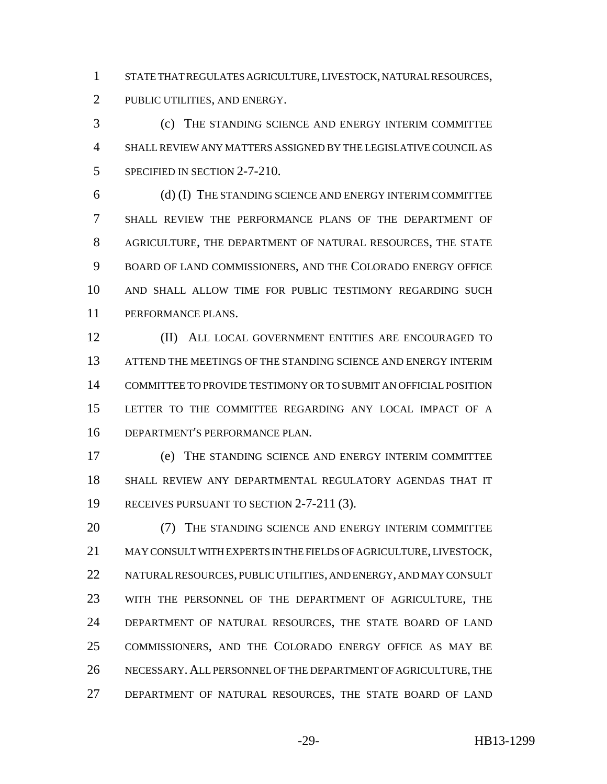STATE THAT REGULATES AGRICULTURE, LIVESTOCK, NATURAL RESOURCES,

PUBLIC UTILITIES, AND ENERGY.

 (c) THE STANDING SCIENCE AND ENERGY INTERIM COMMITTEE SHALL REVIEW ANY MATTERS ASSIGNED BY THE LEGISLATIVE COUNCIL AS 5 SPECIFIED IN SECTION 2-7-210.

 (d) (I) THE STANDING SCIENCE AND ENERGY INTERIM COMMITTEE SHALL REVIEW THE PERFORMANCE PLANS OF THE DEPARTMENT OF AGRICULTURE, THE DEPARTMENT OF NATURAL RESOURCES, THE STATE BOARD OF LAND COMMISSIONERS, AND THE COLORADO ENERGY OFFICE AND SHALL ALLOW TIME FOR PUBLIC TESTIMONY REGARDING SUCH PERFORMANCE PLANS.

 (II) ALL LOCAL GOVERNMENT ENTITIES ARE ENCOURAGED TO ATTEND THE MEETINGS OF THE STANDING SCIENCE AND ENERGY INTERIM COMMITTEE TO PROVIDE TESTIMONY OR TO SUBMIT AN OFFICIAL POSITION LETTER TO THE COMMITTEE REGARDING ANY LOCAL IMPACT OF A DEPARTMENT'S PERFORMANCE PLAN.

 (e) THE STANDING SCIENCE AND ENERGY INTERIM COMMITTEE SHALL REVIEW ANY DEPARTMENTAL REGULATORY AGENDAS THAT IT 19 RECEIVES PURSUANT TO SECTION 2-7-211 (3).

20 (7) THE STANDING SCIENCE AND ENERGY INTERIM COMMITTEE MAY CONSULT WITH EXPERTS IN THE FIELDS OF AGRICULTURE, LIVESTOCK, NATURAL RESOURCES, PUBLIC UTILITIES, AND ENERGY, AND MAY CONSULT WITH THE PERSONNEL OF THE DEPARTMENT OF AGRICULTURE, THE DEPARTMENT OF NATURAL RESOURCES, THE STATE BOARD OF LAND COMMISSIONERS, AND THE COLORADO ENERGY OFFICE AS MAY BE NECESSARY.ALL PERSONNEL OF THE DEPARTMENT OF AGRICULTURE, THE DEPARTMENT OF NATURAL RESOURCES, THE STATE BOARD OF LAND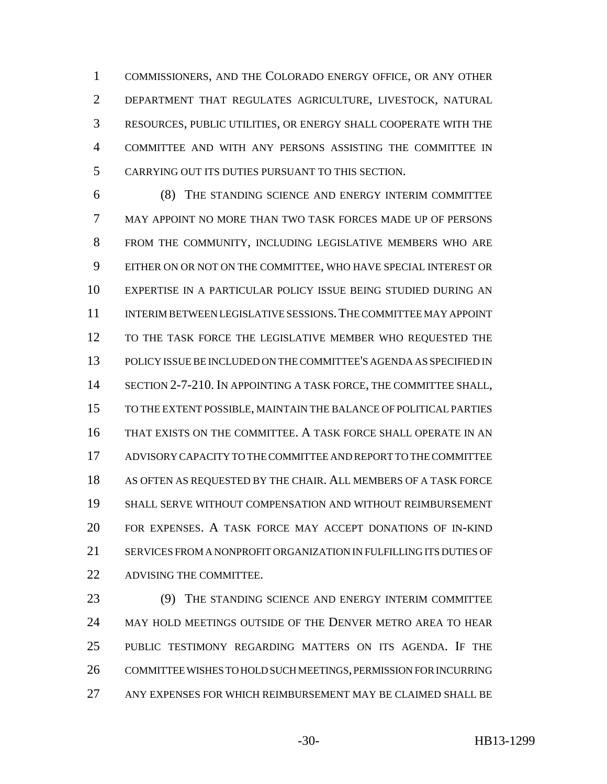COMMISSIONERS, AND THE COLORADO ENERGY OFFICE, OR ANY OTHER DEPARTMENT THAT REGULATES AGRICULTURE, LIVESTOCK, NATURAL RESOURCES, PUBLIC UTILITIES, OR ENERGY SHALL COOPERATE WITH THE COMMITTEE AND WITH ANY PERSONS ASSISTING THE COMMITTEE IN CARRYING OUT ITS DUTIES PURSUANT TO THIS SECTION.

 (8) THE STANDING SCIENCE AND ENERGY INTERIM COMMITTEE MAY APPOINT NO MORE THAN TWO TASK FORCES MADE UP OF PERSONS FROM THE COMMUNITY, INCLUDING LEGISLATIVE MEMBERS WHO ARE EITHER ON OR NOT ON THE COMMITTEE, WHO HAVE SPECIAL INTEREST OR EXPERTISE IN A PARTICULAR POLICY ISSUE BEING STUDIED DURING AN INTERIM BETWEEN LEGISLATIVE SESSIONS.THE COMMITTEE MAY APPOINT 12 TO THE TASK FORCE THE LEGISLATIVE MEMBER WHO REQUESTED THE POLICY ISSUE BE INCLUDED ON THE COMMITTEE'S AGENDA AS SPECIFIED IN 14 SECTION 2-7-210. IN APPOINTING A TASK FORCE, THE COMMITTEE SHALL, TO THE EXTENT POSSIBLE, MAINTAIN THE BALANCE OF POLITICAL PARTIES THAT EXISTS ON THE COMMITTEE. A TASK FORCE SHALL OPERATE IN AN ADVISORY CAPACITY TO THE COMMITTEE AND REPORT TO THE COMMITTEE AS OFTEN AS REQUESTED BY THE CHAIR. ALL MEMBERS OF A TASK FORCE SHALL SERVE WITHOUT COMPENSATION AND WITHOUT REIMBURSEMENT FOR EXPENSES. A TASK FORCE MAY ACCEPT DONATIONS OF IN-KIND SERVICES FROM A NONPROFIT ORGANIZATION IN FULFILLING ITS DUTIES OF ADVISING THE COMMITTEE.

 (9) THE STANDING SCIENCE AND ENERGY INTERIM COMMITTEE MAY HOLD MEETINGS OUTSIDE OF THE DENVER METRO AREA TO HEAR PUBLIC TESTIMONY REGARDING MATTERS ON ITS AGENDA. IF THE COMMITTEE WISHES TO HOLD SUCH MEETINGS, PERMISSION FOR INCURRING ANY EXPENSES FOR WHICH REIMBURSEMENT MAY BE CLAIMED SHALL BE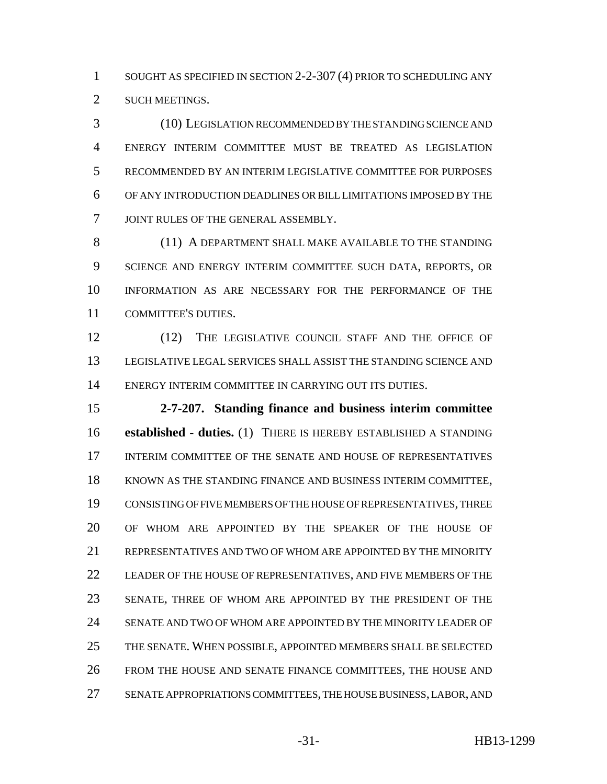1 SOUGHT AS SPECIFIED IN SECTION 2-2-307 (4) PRIOR TO SCHEDULING ANY SUCH MEETINGS.

 (10) LEGISLATION RECOMMENDED BY THE STANDING SCIENCE AND ENERGY INTERIM COMMITTEE MUST BE TREATED AS LEGISLATION RECOMMENDED BY AN INTERIM LEGISLATIVE COMMITTEE FOR PURPOSES OF ANY INTRODUCTION DEADLINES OR BILL LIMITATIONS IMPOSED BY THE JOINT RULES OF THE GENERAL ASSEMBLY.

8 (11) A DEPARTMENT SHALL MAKE AVAILABLE TO THE STANDING SCIENCE AND ENERGY INTERIM COMMITTEE SUCH DATA, REPORTS, OR INFORMATION AS ARE NECESSARY FOR THE PERFORMANCE OF THE COMMITTEE'S DUTIES.

12 (12) THE LEGISLATIVE COUNCIL STAFF AND THE OFFICE OF LEGISLATIVE LEGAL SERVICES SHALL ASSIST THE STANDING SCIENCE AND ENERGY INTERIM COMMITTEE IN CARRYING OUT ITS DUTIES.

 **2-7-207. Standing finance and business interim committee established - duties.** (1) THERE IS HEREBY ESTABLISHED A STANDING INTERIM COMMITTEE OF THE SENATE AND HOUSE OF REPRESENTATIVES KNOWN AS THE STANDING FINANCE AND BUSINESS INTERIM COMMITTEE, CONSISTING OF FIVE MEMBERS OF THE HOUSE OF REPRESENTATIVES, THREE OF WHOM ARE APPOINTED BY THE SPEAKER OF THE HOUSE OF REPRESENTATIVES AND TWO OF WHOM ARE APPOINTED BY THE MINORITY LEADER OF THE HOUSE OF REPRESENTATIVES, AND FIVE MEMBERS OF THE SENATE, THREE OF WHOM ARE APPOINTED BY THE PRESIDENT OF THE SENATE AND TWO OF WHOM ARE APPOINTED BY THE MINORITY LEADER OF THE SENATE. WHEN POSSIBLE, APPOINTED MEMBERS SHALL BE SELECTED FROM THE HOUSE AND SENATE FINANCE COMMITTEES, THE HOUSE AND SENATE APPROPRIATIONS COMMITTEES, THE HOUSE BUSINESS, LABOR, AND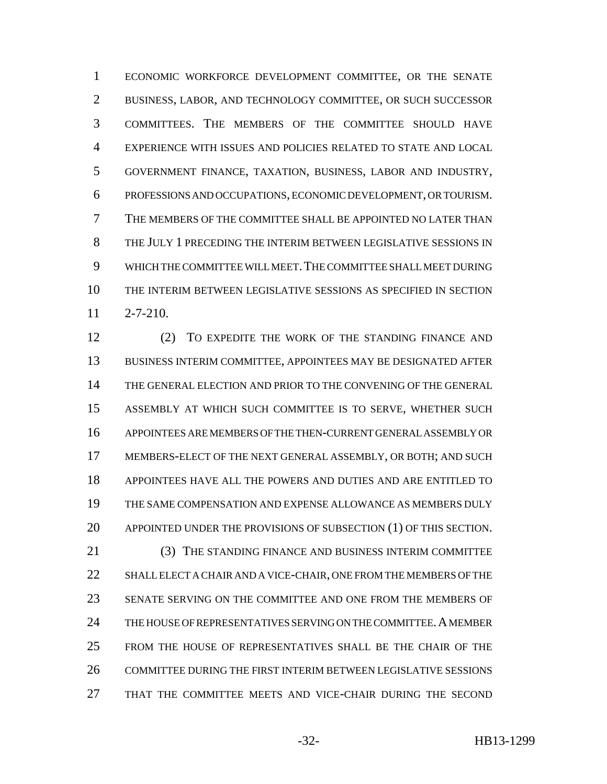ECONOMIC WORKFORCE DEVELOPMENT COMMITTEE, OR THE SENATE BUSINESS, LABOR, AND TECHNOLOGY COMMITTEE, OR SUCH SUCCESSOR COMMITTEES. THE MEMBERS OF THE COMMITTEE SHOULD HAVE EXPERIENCE WITH ISSUES AND POLICIES RELATED TO STATE AND LOCAL GOVERNMENT FINANCE, TAXATION, BUSINESS, LABOR AND INDUSTRY, PROFESSIONS AND OCCUPATIONS, ECONOMIC DEVELOPMENT, OR TOURISM. THE MEMBERS OF THE COMMITTEE SHALL BE APPOINTED NO LATER THAN THE JULY 1 PRECEDING THE INTERIM BETWEEN LEGISLATIVE SESSIONS IN WHICH THE COMMITTEE WILL MEET.THE COMMITTEE SHALL MEET DURING THE INTERIM BETWEEN LEGISLATIVE SESSIONS AS SPECIFIED IN SECTION 2-7-210.

12 (2) TO EXPEDITE THE WORK OF THE STANDING FINANCE AND BUSINESS INTERIM COMMITTEE, APPOINTEES MAY BE DESIGNATED AFTER THE GENERAL ELECTION AND PRIOR TO THE CONVENING OF THE GENERAL ASSEMBLY AT WHICH SUCH COMMITTEE IS TO SERVE, WHETHER SUCH APPOINTEES ARE MEMBERS OF THE THEN-CURRENT GENERAL ASSEMBLY OR MEMBERS-ELECT OF THE NEXT GENERAL ASSEMBLY, OR BOTH; AND SUCH APPOINTEES HAVE ALL THE POWERS AND DUTIES AND ARE ENTITLED TO THE SAME COMPENSATION AND EXPENSE ALLOWANCE AS MEMBERS DULY APPOINTED UNDER THE PROVISIONS OF SUBSECTION (1) OF THIS SECTION. (3) THE STANDING FINANCE AND BUSINESS INTERIM COMMITTEE 22 SHALL ELECT A CHAIR AND A VICE-CHAIR, ONE FROM THE MEMBERS OF THE SENATE SERVING ON THE COMMITTEE AND ONE FROM THE MEMBERS OF 24 THE HOUSE OF REPRESENTATIVES SERVING ON THE COMMITTEE. A MEMBER FROM THE HOUSE OF REPRESENTATIVES SHALL BE THE CHAIR OF THE COMMITTEE DURING THE FIRST INTERIM BETWEEN LEGISLATIVE SESSIONS THAT THE COMMITTEE MEETS AND VICE-CHAIR DURING THE SECOND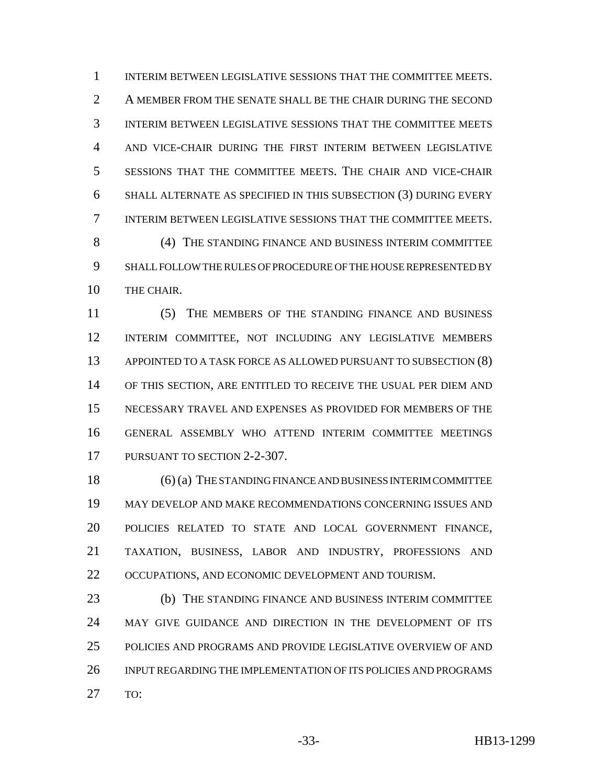INTERIM BETWEEN LEGISLATIVE SESSIONS THAT THE COMMITTEE MEETS. A MEMBER FROM THE SENATE SHALL BE THE CHAIR DURING THE SECOND INTERIM BETWEEN LEGISLATIVE SESSIONS THAT THE COMMITTEE MEETS AND VICE-CHAIR DURING THE FIRST INTERIM BETWEEN LEGISLATIVE SESSIONS THAT THE COMMITTEE MEETS. THE CHAIR AND VICE-CHAIR SHALL ALTERNATE AS SPECIFIED IN THIS SUBSECTION (3) DURING EVERY INTERIM BETWEEN LEGISLATIVE SESSIONS THAT THE COMMITTEE MEETS. (4) THE STANDING FINANCE AND BUSINESS INTERIM COMMITTEE SHALL FOLLOW THE RULES OF PROCEDURE OF THE HOUSE REPRESENTED BY

THE CHAIR.

 (5) THE MEMBERS OF THE STANDING FINANCE AND BUSINESS INTERIM COMMITTEE, NOT INCLUDING ANY LEGISLATIVE MEMBERS APPOINTED TO A TASK FORCE AS ALLOWED PURSUANT TO SUBSECTION (8) OF THIS SECTION, ARE ENTITLED TO RECEIVE THE USUAL PER DIEM AND NECESSARY TRAVEL AND EXPENSES AS PROVIDED FOR MEMBERS OF THE GENERAL ASSEMBLY WHO ATTEND INTERIM COMMITTEE MEETINGS PURSUANT TO SECTION 2-2-307.

 (6) (a) THE STANDING FINANCE AND BUSINESS INTERIM COMMITTEE MAY DEVELOP AND MAKE RECOMMENDATIONS CONCERNING ISSUES AND POLICIES RELATED TO STATE AND LOCAL GOVERNMENT FINANCE, TAXATION, BUSINESS, LABOR AND INDUSTRY, PROFESSIONS AND 22 OCCUPATIONS, AND ECONOMIC DEVELOPMENT AND TOURISM.

 (b) THE STANDING FINANCE AND BUSINESS INTERIM COMMITTEE 24 MAY GIVE GUIDANCE AND DIRECTION IN THE DEVELOPMENT OF ITS POLICIES AND PROGRAMS AND PROVIDE LEGISLATIVE OVERVIEW OF AND INPUT REGARDING THE IMPLEMENTATION OF ITS POLICIES AND PROGRAMS TO: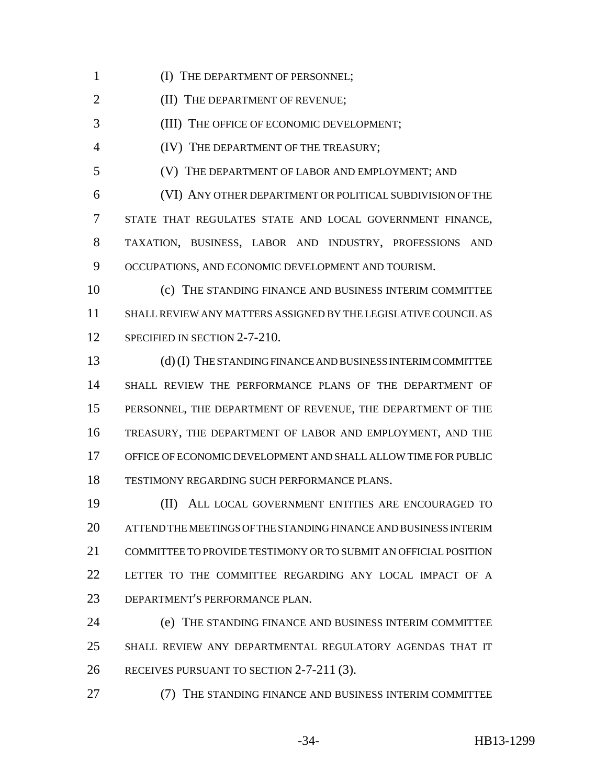1 (I) THE DEPARTMENT OF PERSONNEL;

**(II) THE DEPARTMENT OF REVENUE;** 

(III) THE OFFICE OF ECONOMIC DEVELOPMENT;

(IV) THE DEPARTMENT OF THE TREASURY;

(V) THE DEPARTMENT OF LABOR AND EMPLOYMENT; AND

 (VI) ANY OTHER DEPARTMENT OR POLITICAL SUBDIVISION OF THE STATE THAT REGULATES STATE AND LOCAL GOVERNMENT FINANCE, TAXATION, BUSINESS, LABOR AND INDUSTRY, PROFESSIONS AND OCCUPATIONS, AND ECONOMIC DEVELOPMENT AND TOURISM.

 (c) THE STANDING FINANCE AND BUSINESS INTERIM COMMITTEE SHALL REVIEW ANY MATTERS ASSIGNED BY THE LEGISLATIVE COUNCIL AS 12 SPECIFIED IN SECTION 2-7-210.

 (d) (I) THE STANDING FINANCE AND BUSINESS INTERIM COMMITTEE SHALL REVIEW THE PERFORMANCE PLANS OF THE DEPARTMENT OF PERSONNEL, THE DEPARTMENT OF REVENUE, THE DEPARTMENT OF THE TREASURY, THE DEPARTMENT OF LABOR AND EMPLOYMENT, AND THE OFFICE OF ECONOMIC DEVELOPMENT AND SHALL ALLOW TIME FOR PUBLIC TESTIMONY REGARDING SUCH PERFORMANCE PLANS.

 (II) ALL LOCAL GOVERNMENT ENTITIES ARE ENCOURAGED TO ATTEND THE MEETINGS OF THE STANDING FINANCE AND BUSINESS INTERIM COMMITTEE TO PROVIDE TESTIMONY OR TO SUBMIT AN OFFICIAL POSITION LETTER TO THE COMMITTEE REGARDING ANY LOCAL IMPACT OF A DEPARTMENT'S PERFORMANCE PLAN.

 (e) THE STANDING FINANCE AND BUSINESS INTERIM COMMITTEE SHALL REVIEW ANY DEPARTMENTAL REGULATORY AGENDAS THAT IT RECEIVES PURSUANT TO SECTION 2-7-211 (3).

(7) THE STANDING FINANCE AND BUSINESS INTERIM COMMITTEE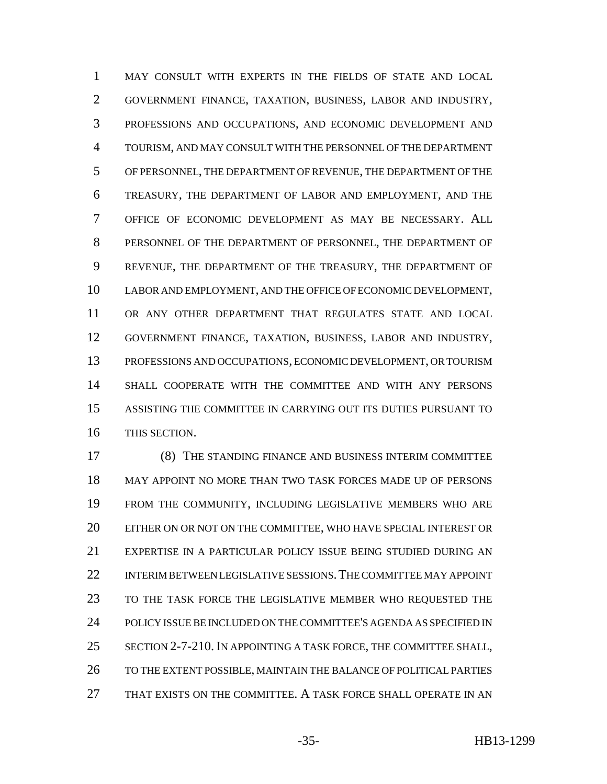MAY CONSULT WITH EXPERTS IN THE FIELDS OF STATE AND LOCAL GOVERNMENT FINANCE, TAXATION, BUSINESS, LABOR AND INDUSTRY, PROFESSIONS AND OCCUPATIONS, AND ECONOMIC DEVELOPMENT AND TOURISM, AND MAY CONSULT WITH THE PERSONNEL OF THE DEPARTMENT OF PERSONNEL, THE DEPARTMENT OF REVENUE, THE DEPARTMENT OF THE TREASURY, THE DEPARTMENT OF LABOR AND EMPLOYMENT, AND THE OFFICE OF ECONOMIC DEVELOPMENT AS MAY BE NECESSARY. ALL PERSONNEL OF THE DEPARTMENT OF PERSONNEL, THE DEPARTMENT OF REVENUE, THE DEPARTMENT OF THE TREASURY, THE DEPARTMENT OF LABOR AND EMPLOYMENT, AND THE OFFICE OF ECONOMIC DEVELOPMENT, OR ANY OTHER DEPARTMENT THAT REGULATES STATE AND LOCAL GOVERNMENT FINANCE, TAXATION, BUSINESS, LABOR AND INDUSTRY, PROFESSIONS AND OCCUPATIONS, ECONOMIC DEVELOPMENT, OR TOURISM SHALL COOPERATE WITH THE COMMITTEE AND WITH ANY PERSONS ASSISTING THE COMMITTEE IN CARRYING OUT ITS DUTIES PURSUANT TO THIS SECTION.

 (8) THE STANDING FINANCE AND BUSINESS INTERIM COMMITTEE MAY APPOINT NO MORE THAN TWO TASK FORCES MADE UP OF PERSONS FROM THE COMMUNITY, INCLUDING LEGISLATIVE MEMBERS WHO ARE EITHER ON OR NOT ON THE COMMITTEE, WHO HAVE SPECIAL INTEREST OR EXPERTISE IN A PARTICULAR POLICY ISSUE BEING STUDIED DURING AN INTERIM BETWEEN LEGISLATIVE SESSIONS.THE COMMITTEE MAY APPOINT TO THE TASK FORCE THE LEGISLATIVE MEMBER WHO REQUESTED THE POLICY ISSUE BE INCLUDED ON THE COMMITTEE'S AGENDA AS SPECIFIED IN SECTION 2-7-210. IN APPOINTING A TASK FORCE, THE COMMITTEE SHALL, 26 TO THE EXTENT POSSIBLE, MAINTAIN THE BALANCE OF POLITICAL PARTIES THAT EXISTS ON THE COMMITTEE. A TASK FORCE SHALL OPERATE IN AN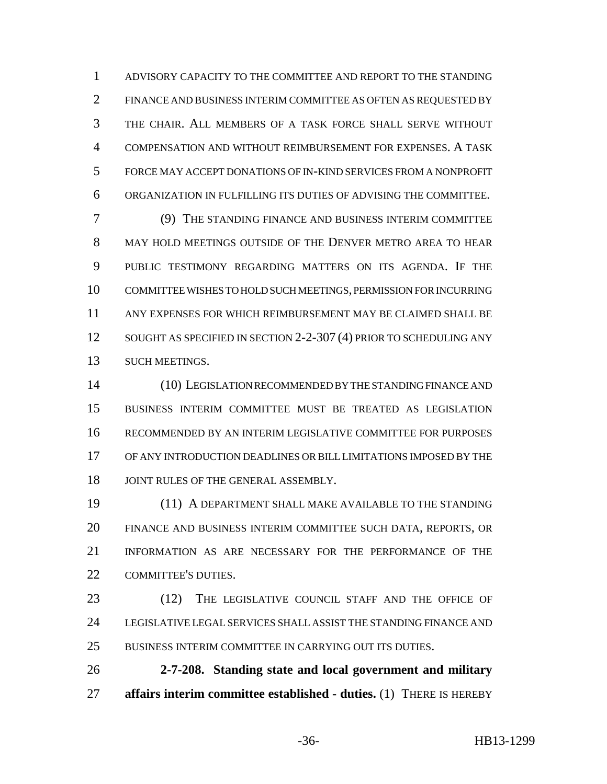ADVISORY CAPACITY TO THE COMMITTEE AND REPORT TO THE STANDING FINANCE AND BUSINESS INTERIM COMMITTEE AS OFTEN AS REQUESTED BY THE CHAIR. ALL MEMBERS OF A TASK FORCE SHALL SERVE WITHOUT COMPENSATION AND WITHOUT REIMBURSEMENT FOR EXPENSES. A TASK FORCE MAY ACCEPT DONATIONS OF IN-KIND SERVICES FROM A NONPROFIT ORGANIZATION IN FULFILLING ITS DUTIES OF ADVISING THE COMMITTEE.

 (9) THE STANDING FINANCE AND BUSINESS INTERIM COMMITTEE MAY HOLD MEETINGS OUTSIDE OF THE DENVER METRO AREA TO HEAR PUBLIC TESTIMONY REGARDING MATTERS ON ITS AGENDA. IF THE COMMITTEE WISHES TO HOLD SUCH MEETINGS, PERMISSION FOR INCURRING ANY EXPENSES FOR WHICH REIMBURSEMENT MAY BE CLAIMED SHALL BE 12 SOUGHT AS SPECIFIED IN SECTION 2-2-307 (4) PRIOR TO SCHEDULING ANY SUCH MEETINGS.

 (10) LEGISLATION RECOMMENDED BY THE STANDING FINANCE AND BUSINESS INTERIM COMMITTEE MUST BE TREATED AS LEGISLATION RECOMMENDED BY AN INTERIM LEGISLATIVE COMMITTEE FOR PURPOSES OF ANY INTRODUCTION DEADLINES OR BILL LIMITATIONS IMPOSED BY THE 18 JOINT RULES OF THE GENERAL ASSEMBLY.

 (11) A DEPARTMENT SHALL MAKE AVAILABLE TO THE STANDING FINANCE AND BUSINESS INTERIM COMMITTEE SUCH DATA, REPORTS, OR INFORMATION AS ARE NECESSARY FOR THE PERFORMANCE OF THE 22 COMMITTEE'S DUTIES.

- 23 (12) THE LEGISLATIVE COUNCIL STAFF AND THE OFFICE OF LEGISLATIVE LEGAL SERVICES SHALL ASSIST THE STANDING FINANCE AND BUSINESS INTERIM COMMITTEE IN CARRYING OUT ITS DUTIES.
- **2-7-208. Standing state and local government and military affairs interim committee established - duties.** (1) THERE IS HEREBY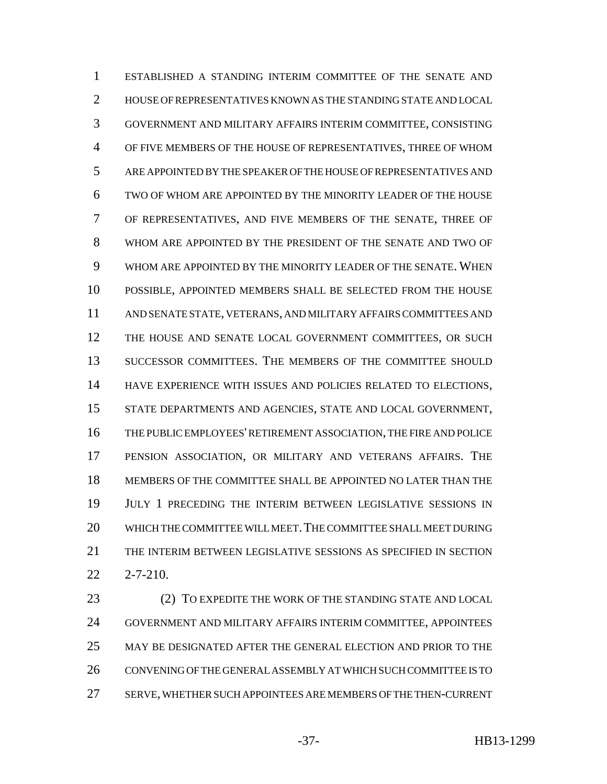ESTABLISHED A STANDING INTERIM COMMITTEE OF THE SENATE AND HOUSE OF REPRESENTATIVES KNOWN AS THE STANDING STATE AND LOCAL GOVERNMENT AND MILITARY AFFAIRS INTERIM COMMITTEE, CONSISTING OF FIVE MEMBERS OF THE HOUSE OF REPRESENTATIVES, THREE OF WHOM ARE APPOINTED BY THE SPEAKER OF THE HOUSE OF REPRESENTATIVES AND TWO OF WHOM ARE APPOINTED BY THE MINORITY LEADER OF THE HOUSE OF REPRESENTATIVES, AND FIVE MEMBERS OF THE SENATE, THREE OF WHOM ARE APPOINTED BY THE PRESIDENT OF THE SENATE AND TWO OF WHOM ARE APPOINTED BY THE MINORITY LEADER OF THE SENATE. WHEN POSSIBLE, APPOINTED MEMBERS SHALL BE SELECTED FROM THE HOUSE AND SENATE STATE, VETERANS, AND MILITARY AFFAIRS COMMITTEES AND 12 THE HOUSE AND SENATE LOCAL GOVERNMENT COMMITTEES, OR SUCH SUCCESSOR COMMITTEES. THE MEMBERS OF THE COMMITTEE SHOULD HAVE EXPERIENCE WITH ISSUES AND POLICIES RELATED TO ELECTIONS, STATE DEPARTMENTS AND AGENCIES, STATE AND LOCAL GOVERNMENT, THE PUBLIC EMPLOYEES' RETIREMENT ASSOCIATION, THE FIRE AND POLICE PENSION ASSOCIATION, OR MILITARY AND VETERANS AFFAIRS. THE MEMBERS OF THE COMMITTEE SHALL BE APPOINTED NO LATER THAN THE JULY 1 PRECEDING THE INTERIM BETWEEN LEGISLATIVE SESSIONS IN WHICH THE COMMITTEE WILL MEET.THE COMMITTEE SHALL MEET DURING THE INTERIM BETWEEN LEGISLATIVE SESSIONS AS SPECIFIED IN SECTION 2-7-210.

 (2) TO EXPEDITE THE WORK OF THE STANDING STATE AND LOCAL GOVERNMENT AND MILITARY AFFAIRS INTERIM COMMITTEE, APPOINTEES MAY BE DESIGNATED AFTER THE GENERAL ELECTION AND PRIOR TO THE CONVENING OF THE GENERAL ASSEMBLY AT WHICH SUCH COMMITTEE IS TO SERVE, WHETHER SUCH APPOINTEES ARE MEMBERS OF THE THEN-CURRENT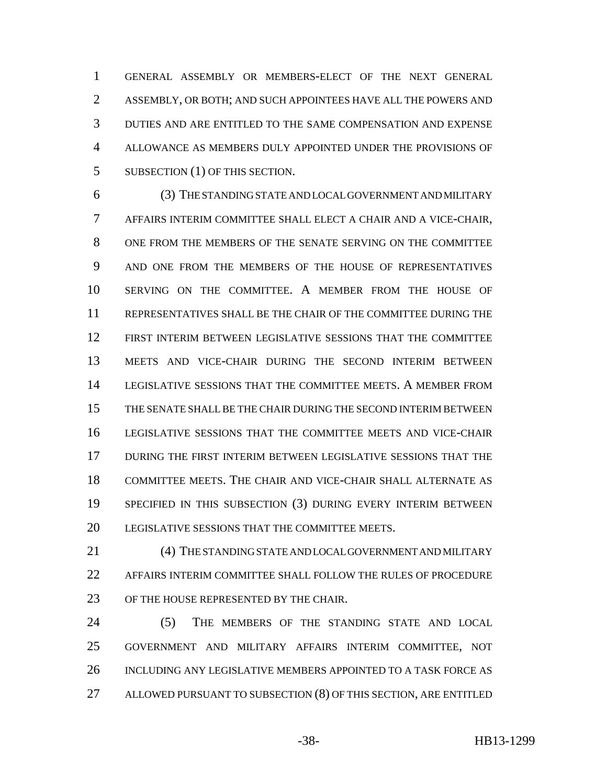GENERAL ASSEMBLY OR MEMBERS-ELECT OF THE NEXT GENERAL ASSEMBLY, OR BOTH; AND SUCH APPOINTEES HAVE ALL THE POWERS AND DUTIES AND ARE ENTITLED TO THE SAME COMPENSATION AND EXPENSE ALLOWANCE AS MEMBERS DULY APPOINTED UNDER THE PROVISIONS OF 5 SUBSECTION (1) OF THIS SECTION.

 (3) THE STANDING STATE AND LOCAL GOVERNMENT AND MILITARY AFFAIRS INTERIM COMMITTEE SHALL ELECT A CHAIR AND A VICE-CHAIR, ONE FROM THE MEMBERS OF THE SENATE SERVING ON THE COMMITTEE AND ONE FROM THE MEMBERS OF THE HOUSE OF REPRESENTATIVES SERVING ON THE COMMITTEE. A MEMBER FROM THE HOUSE OF REPRESENTATIVES SHALL BE THE CHAIR OF THE COMMITTEE DURING THE FIRST INTERIM BETWEEN LEGISLATIVE SESSIONS THAT THE COMMITTEE MEETS AND VICE-CHAIR DURING THE SECOND INTERIM BETWEEN LEGISLATIVE SESSIONS THAT THE COMMITTEE MEETS. A MEMBER FROM THE SENATE SHALL BE THE CHAIR DURING THE SECOND INTERIM BETWEEN LEGISLATIVE SESSIONS THAT THE COMMITTEE MEETS AND VICE-CHAIR DURING THE FIRST INTERIM BETWEEN LEGISLATIVE SESSIONS THAT THE COMMITTEE MEETS. THE CHAIR AND VICE-CHAIR SHALL ALTERNATE AS SPECIFIED IN THIS SUBSECTION (3) DURING EVERY INTERIM BETWEEN 20 LEGISLATIVE SESSIONS THAT THE COMMITTEE MEETS.

 (4) THE STANDING STATE AND LOCAL GOVERNMENT AND MILITARY AFFAIRS INTERIM COMMITTEE SHALL FOLLOW THE RULES OF PROCEDURE OF THE HOUSE REPRESENTED BY THE CHAIR.

24 (5) THE MEMBERS OF THE STANDING STATE AND LOCAL GOVERNMENT AND MILITARY AFFAIRS INTERIM COMMITTEE, NOT INCLUDING ANY LEGISLATIVE MEMBERS APPOINTED TO A TASK FORCE AS ALLOWED PURSUANT TO SUBSECTION (8) OF THIS SECTION, ARE ENTITLED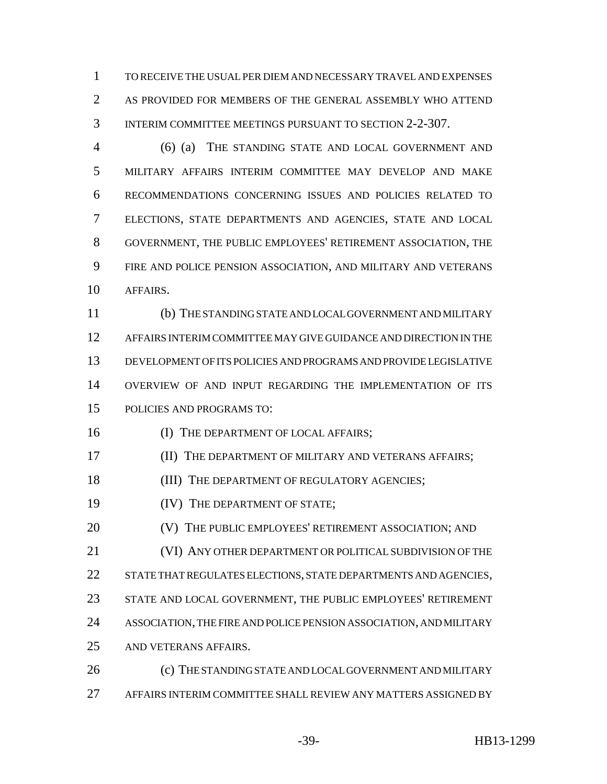TO RECEIVE THE USUAL PER DIEM AND NECESSARY TRAVEL AND EXPENSES AS PROVIDED FOR MEMBERS OF THE GENERAL ASSEMBLY WHO ATTEND INTERIM COMMITTEE MEETINGS PURSUANT TO SECTION 2-2-307.

 (6) (a) THE STANDING STATE AND LOCAL GOVERNMENT AND MILITARY AFFAIRS INTERIM COMMITTEE MAY DEVELOP AND MAKE RECOMMENDATIONS CONCERNING ISSUES AND POLICIES RELATED TO ELECTIONS, STATE DEPARTMENTS AND AGENCIES, STATE AND LOCAL GOVERNMENT, THE PUBLIC EMPLOYEES' RETIREMENT ASSOCIATION, THE FIRE AND POLICE PENSION ASSOCIATION, AND MILITARY AND VETERANS AFFAIRS.

 (b) THE STANDING STATE AND LOCAL GOVERNMENT AND MILITARY AFFAIRS INTERIM COMMITTEE MAY GIVE GUIDANCE AND DIRECTION IN THE DEVELOPMENT OF ITS POLICIES AND PROGRAMS AND PROVIDE LEGISLATIVE OVERVIEW OF AND INPUT REGARDING THE IMPLEMENTATION OF ITS POLICIES AND PROGRAMS TO:

16 (I) THE DEPARTMENT OF LOCAL AFFAIRS;

**III** THE DEPARTMENT OF MILITARY AND VETERANS AFFAIRS;

18 (III) THE DEPARTMENT OF REGULATORY AGENCIES:

**(IV)** THE DEPARTMENT OF STATE;

(V) THE PUBLIC EMPLOYEES' RETIREMENT ASSOCIATION; AND

(VI) ANY OTHER DEPARTMENT OR POLITICAL SUBDIVISION OF THE

22 STATE THAT REGULATES ELECTIONS, STATE DEPARTMENTS AND AGENCIES,

- STATE AND LOCAL GOVERNMENT, THE PUBLIC EMPLOYEES' RETIREMENT
- ASSOCIATION, THE FIRE AND POLICE PENSION ASSOCIATION, AND MILITARY
- AND VETERANS AFFAIRS.

 (c) THE STANDING STATE AND LOCAL GOVERNMENT AND MILITARY AFFAIRS INTERIM COMMITTEE SHALL REVIEW ANY MATTERS ASSIGNED BY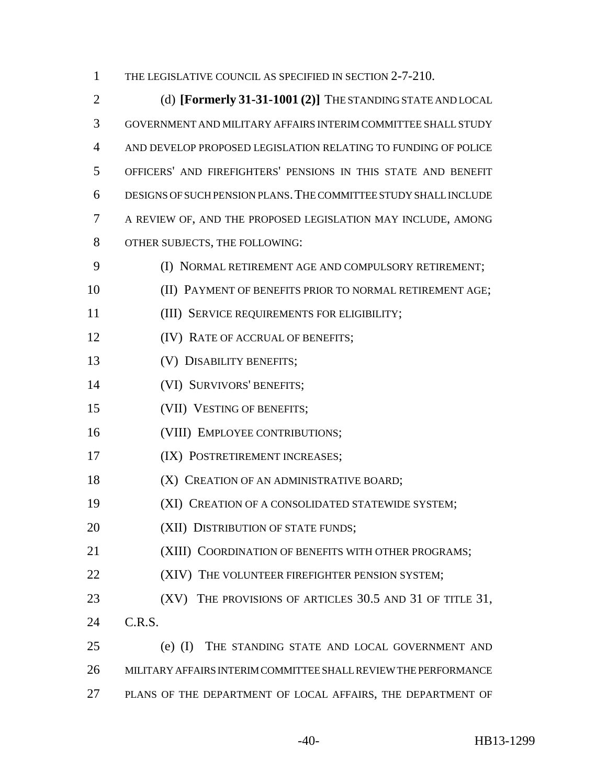1 THE LEGISLATIVE COUNCIL AS SPECIFIED IN SECTION 2-7-210.

 (d) **[Formerly 31-31-1001 (2)]** THE STANDING STATE AND LOCAL GOVERNMENT AND MILITARY AFFAIRS INTERIM COMMITTEE SHALL STUDY AND DEVELOP PROPOSED LEGISLATION RELATING TO FUNDING OF POLICE OFFICERS' AND FIREFIGHTERS' PENSIONS IN THIS STATE AND BENEFIT DESIGNS OF SUCH PENSION PLANS.THE COMMITTEE STUDY SHALL INCLUDE A REVIEW OF, AND THE PROPOSED LEGISLATION MAY INCLUDE, AMONG OTHER SUBJECTS, THE FOLLOWING: 9 (I) NORMAL RETIREMENT AGE AND COMPULSORY RETIREMENT; (II) PAYMENT OF BENEFITS PRIOR TO NORMAL RETIREMENT AGE; (III) SERVICE REQUIREMENTS FOR ELIGIBILITY; **(IV) RATE OF ACCRUAL OF BENEFITS;**  (V) DISABILITY BENEFITS; (VI) SURVIVORS' BENEFITS; (VII) VESTING OF BENEFITS; 16 (VIII) EMPLOYEE CONTRIBUTIONS; (IX) POSTRETIREMENT INCREASES; **(X) CREATION OF AN ADMINISTRATIVE BOARD;**  (XI) CREATION OF A CONSOLIDATED STATEWIDE SYSTEM; **(XII) DISTRIBUTION OF STATE FUNDS;**  (XIII) COORDINATION OF BENEFITS WITH OTHER PROGRAMS; **(XIV)** THE VOLUNTEER FIREFIGHTER PENSION SYSTEM; 23 (XV) THE PROVISIONS OF ARTICLES 30.5 AND 31 OF TITLE 31, C.R.S. (e) (I) THE STANDING STATE AND LOCAL GOVERNMENT AND MILITARY AFFAIRS INTERIM COMMITTEE SHALL REVIEW THE PERFORMANCE PLANS OF THE DEPARTMENT OF LOCAL AFFAIRS, THE DEPARTMENT OF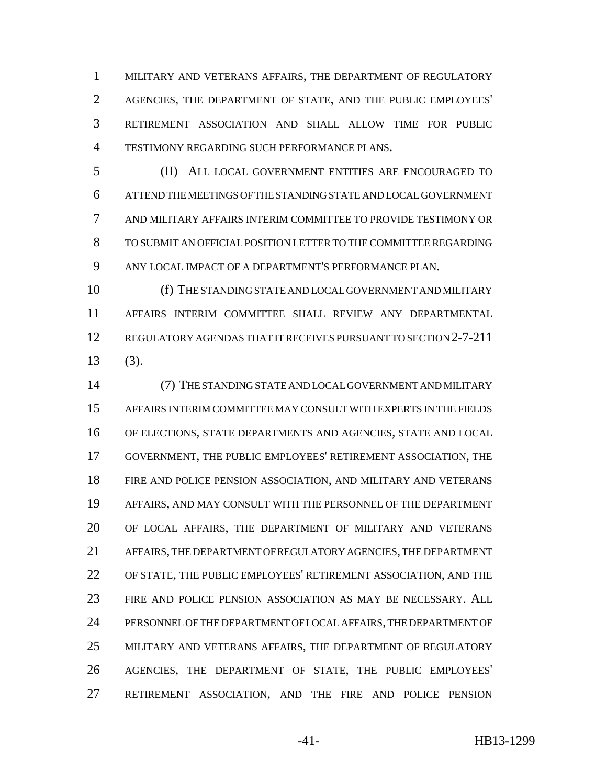MILITARY AND VETERANS AFFAIRS, THE DEPARTMENT OF REGULATORY AGENCIES, THE DEPARTMENT OF STATE, AND THE PUBLIC EMPLOYEES' RETIREMENT ASSOCIATION AND SHALL ALLOW TIME FOR PUBLIC TESTIMONY REGARDING SUCH PERFORMANCE PLANS.

 (II) ALL LOCAL GOVERNMENT ENTITIES ARE ENCOURAGED TO ATTEND THE MEETINGS OF THE STANDING STATE AND LOCAL GOVERNMENT AND MILITARY AFFAIRS INTERIM COMMITTEE TO PROVIDE TESTIMONY OR TO SUBMIT AN OFFICIAL POSITION LETTER TO THE COMMITTEE REGARDING ANY LOCAL IMPACT OF A DEPARTMENT'S PERFORMANCE PLAN.

 (f) THE STANDING STATE AND LOCAL GOVERNMENT AND MILITARY AFFAIRS INTERIM COMMITTEE SHALL REVIEW ANY DEPARTMENTAL REGULATORY AGENDAS THAT IT RECEIVES PURSUANT TO SECTION 2-7-211 (3).

 (7) THE STANDING STATE AND LOCAL GOVERNMENT AND MILITARY AFFAIRS INTERIM COMMITTEE MAY CONSULT WITH EXPERTS IN THE FIELDS OF ELECTIONS, STATE DEPARTMENTS AND AGENCIES, STATE AND LOCAL GOVERNMENT, THE PUBLIC EMPLOYEES' RETIREMENT ASSOCIATION, THE FIRE AND POLICE PENSION ASSOCIATION, AND MILITARY AND VETERANS AFFAIRS, AND MAY CONSULT WITH THE PERSONNEL OF THE DEPARTMENT OF LOCAL AFFAIRS, THE DEPARTMENT OF MILITARY AND VETERANS AFFAIRS, THE DEPARTMENT OF REGULATORY AGENCIES, THE DEPARTMENT OF STATE, THE PUBLIC EMPLOYEES' RETIREMENT ASSOCIATION, AND THE FIRE AND POLICE PENSION ASSOCIATION AS MAY BE NECESSARY. ALL PERSONNEL OF THE DEPARTMENT OF LOCAL AFFAIRS, THE DEPARTMENT OF MILITARY AND VETERANS AFFAIRS, THE DEPARTMENT OF REGULATORY AGENCIES, THE DEPARTMENT OF STATE, THE PUBLIC EMPLOYEES' RETIREMENT ASSOCIATION, AND THE FIRE AND POLICE PENSION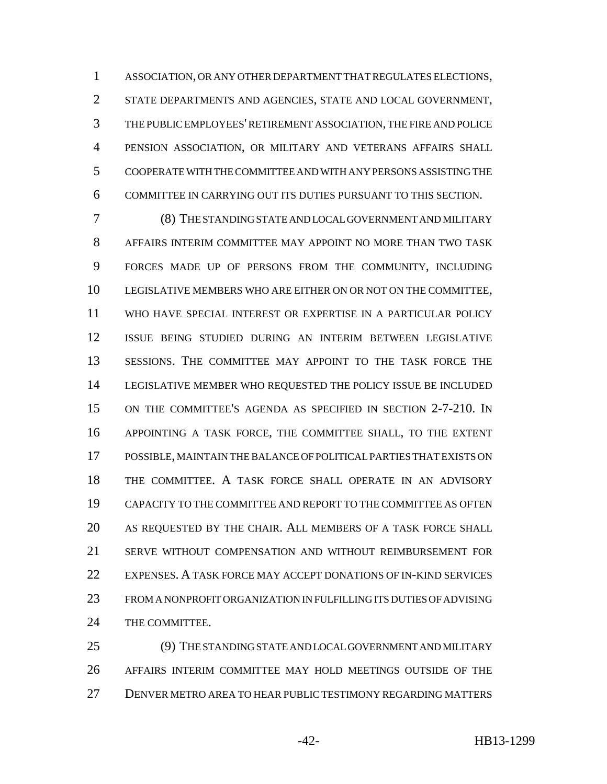ASSOCIATION, OR ANY OTHER DEPARTMENT THAT REGULATES ELECTIONS, STATE DEPARTMENTS AND AGENCIES, STATE AND LOCAL GOVERNMENT, THE PUBLIC EMPLOYEES' RETIREMENT ASSOCIATION, THE FIRE AND POLICE PENSION ASSOCIATION, OR MILITARY AND VETERANS AFFAIRS SHALL COOPERATE WITH THE COMMITTEE AND WITH ANY PERSONS ASSISTING THE COMMITTEE IN CARRYING OUT ITS DUTIES PURSUANT TO THIS SECTION.

 (8) THE STANDING STATE AND LOCAL GOVERNMENT AND MILITARY AFFAIRS INTERIM COMMITTEE MAY APPOINT NO MORE THAN TWO TASK FORCES MADE UP OF PERSONS FROM THE COMMUNITY, INCLUDING LEGISLATIVE MEMBERS WHO ARE EITHER ON OR NOT ON THE COMMITTEE, WHO HAVE SPECIAL INTEREST OR EXPERTISE IN A PARTICULAR POLICY ISSUE BEING STUDIED DURING AN INTERIM BETWEEN LEGISLATIVE SESSIONS. THE COMMITTEE MAY APPOINT TO THE TASK FORCE THE LEGISLATIVE MEMBER WHO REQUESTED THE POLICY ISSUE BE INCLUDED ON THE COMMITTEE'S AGENDA AS SPECIFIED IN SECTION 2-7-210. IN APPOINTING A TASK FORCE, THE COMMITTEE SHALL, TO THE EXTENT POSSIBLE, MAINTAIN THE BALANCE OF POLITICAL PARTIES THAT EXISTS ON THE COMMITTEE. A TASK FORCE SHALL OPERATE IN AN ADVISORY CAPACITY TO THE COMMITTEE AND REPORT TO THE COMMITTEE AS OFTEN AS REQUESTED BY THE CHAIR. ALL MEMBERS OF A TASK FORCE SHALL SERVE WITHOUT COMPENSATION AND WITHOUT REIMBURSEMENT FOR EXPENSES. A TASK FORCE MAY ACCEPT DONATIONS OF IN-KIND SERVICES FROM A NONPROFIT ORGANIZATION IN FULFILLING ITS DUTIES OF ADVISING THE COMMITTEE.

 (9) THE STANDING STATE AND LOCAL GOVERNMENT AND MILITARY AFFAIRS INTERIM COMMITTEE MAY HOLD MEETINGS OUTSIDE OF THE DENVER METRO AREA TO HEAR PUBLIC TESTIMONY REGARDING MATTERS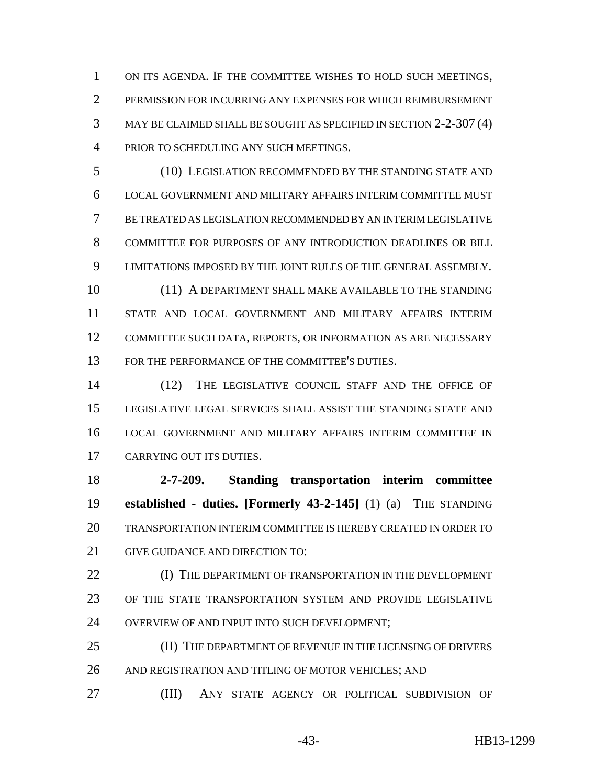ON ITS AGENDA. IF THE COMMITTEE WISHES TO HOLD SUCH MEETINGS, PERMISSION FOR INCURRING ANY EXPENSES FOR WHICH REIMBURSEMENT MAY BE CLAIMED SHALL BE SOUGHT AS SPECIFIED IN SECTION 2-2-307 (4) PRIOR TO SCHEDULING ANY SUCH MEETINGS.

 (10) LEGISLATION RECOMMENDED BY THE STANDING STATE AND LOCAL GOVERNMENT AND MILITARY AFFAIRS INTERIM COMMITTEE MUST BE TREATED AS LEGISLATION RECOMMENDED BY AN INTERIM LEGISLATIVE COMMITTEE FOR PURPOSES OF ANY INTRODUCTION DEADLINES OR BILL LIMITATIONS IMPOSED BY THE JOINT RULES OF THE GENERAL ASSEMBLY. 10 (11) A DEPARTMENT SHALL MAKE AVAILABLE TO THE STANDING STATE AND LOCAL GOVERNMENT AND MILITARY AFFAIRS INTERIM

 COMMITTEE SUCH DATA, REPORTS, OR INFORMATION AS ARE NECESSARY FOR THE PERFORMANCE OF THE COMMITTEE'S DUTIES.

 (12) THE LEGISLATIVE COUNCIL STAFF AND THE OFFICE OF LEGISLATIVE LEGAL SERVICES SHALL ASSIST THE STANDING STATE AND LOCAL GOVERNMENT AND MILITARY AFFAIRS INTERIM COMMITTEE IN CARRYING OUT ITS DUTIES.

 **2-7-209. Standing transportation interim committee established - duties. [Formerly 43-2-145]** (1) (a) THE STANDING TRANSPORTATION INTERIM COMMITTEE IS HEREBY CREATED IN ORDER TO GIVE GUIDANCE AND DIRECTION TO:

**(I)** THE DEPARTMENT OF TRANSPORTATION IN THE DEVELOPMENT OF THE STATE TRANSPORTATION SYSTEM AND PROVIDE LEGISLATIVE OVERVIEW OF AND INPUT INTO SUCH DEVELOPMENT;

 (II) THE DEPARTMENT OF REVENUE IN THE LICENSING OF DRIVERS AND REGISTRATION AND TITLING OF MOTOR VEHICLES; AND

(III) ANY STATE AGENCY OR POLITICAL SUBDIVISION OF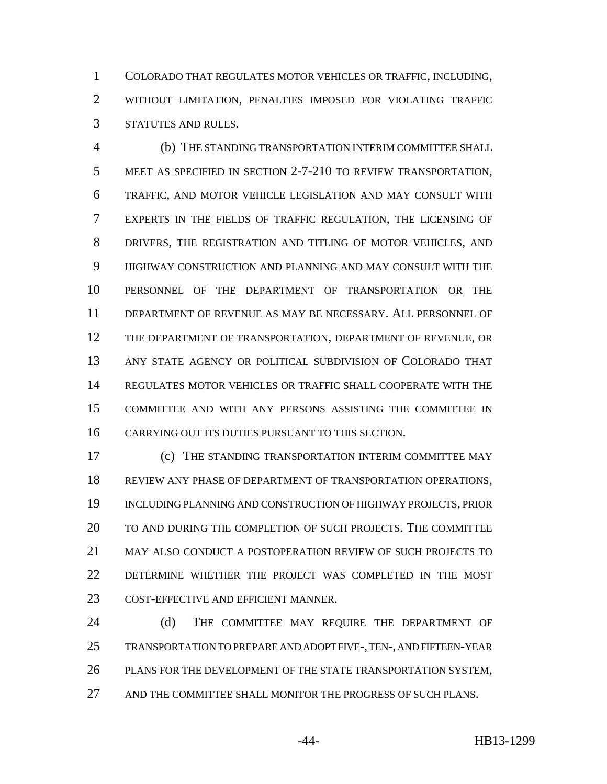COLORADO THAT REGULATES MOTOR VEHICLES OR TRAFFIC, INCLUDING, WITHOUT LIMITATION, PENALTIES IMPOSED FOR VIOLATING TRAFFIC STATUTES AND RULES.

 (b) THE STANDING TRANSPORTATION INTERIM COMMITTEE SHALL MEET AS SPECIFIED IN SECTION 2-7-210 TO REVIEW TRANSPORTATION, TRAFFIC, AND MOTOR VEHICLE LEGISLATION AND MAY CONSULT WITH EXPERTS IN THE FIELDS OF TRAFFIC REGULATION, THE LICENSING OF DRIVERS, THE REGISTRATION AND TITLING OF MOTOR VEHICLES, AND HIGHWAY CONSTRUCTION AND PLANNING AND MAY CONSULT WITH THE PERSONNEL OF THE DEPARTMENT OF TRANSPORTATION OR THE DEPARTMENT OF REVENUE AS MAY BE NECESSARY. ALL PERSONNEL OF THE DEPARTMENT OF TRANSPORTATION, DEPARTMENT OF REVENUE, OR ANY STATE AGENCY OR POLITICAL SUBDIVISION OF COLORADO THAT REGULATES MOTOR VEHICLES OR TRAFFIC SHALL COOPERATE WITH THE COMMITTEE AND WITH ANY PERSONS ASSISTING THE COMMITTEE IN CARRYING OUT ITS DUTIES PURSUANT TO THIS SECTION.

 (c) THE STANDING TRANSPORTATION INTERIM COMMITTEE MAY REVIEW ANY PHASE OF DEPARTMENT OF TRANSPORTATION OPERATIONS, INCLUDING PLANNING AND CONSTRUCTION OF HIGHWAY PROJECTS, PRIOR TO AND DURING THE COMPLETION OF SUCH PROJECTS. THE COMMITTEE MAY ALSO CONDUCT A POSTOPERATION REVIEW OF SUCH PROJECTS TO DETERMINE WHETHER THE PROJECT WAS COMPLETED IN THE MOST COST-EFFECTIVE AND EFFICIENT MANNER.

24 (d) THE COMMITTEE MAY REQUIRE THE DEPARTMENT OF TRANSPORTATION TO PREPARE AND ADOPT FIVE-, TEN-, AND FIFTEEN-YEAR PLANS FOR THE DEVELOPMENT OF THE STATE TRANSPORTATION SYSTEM, AND THE COMMITTEE SHALL MONITOR THE PROGRESS OF SUCH PLANS.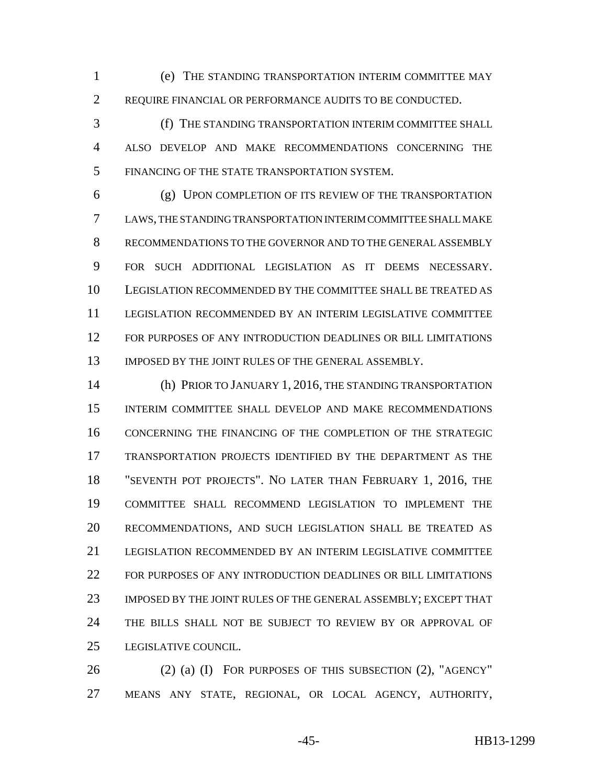(e) THE STANDING TRANSPORTATION INTERIM COMMITTEE MAY REQUIRE FINANCIAL OR PERFORMANCE AUDITS TO BE CONDUCTED.

 (f) THE STANDING TRANSPORTATION INTERIM COMMITTEE SHALL ALSO DEVELOP AND MAKE RECOMMENDATIONS CONCERNING THE FINANCING OF THE STATE TRANSPORTATION SYSTEM.

 (g) UPON COMPLETION OF ITS REVIEW OF THE TRANSPORTATION LAWS, THE STANDING TRANSPORTATION INTERIM COMMITTEE SHALL MAKE RECOMMENDATIONS TO THE GOVERNOR AND TO THE GENERAL ASSEMBLY FOR SUCH ADDITIONAL LEGISLATION AS IT DEEMS NECESSARY. LEGISLATION RECOMMENDED BY THE COMMITTEE SHALL BE TREATED AS LEGISLATION RECOMMENDED BY AN INTERIM LEGISLATIVE COMMITTEE FOR PURPOSES OF ANY INTRODUCTION DEADLINES OR BILL LIMITATIONS 13 IMPOSED BY THE JOINT RULES OF THE GENERAL ASSEMBLY.

 (h) PRIOR TO JANUARY 1, 2016, THE STANDING TRANSPORTATION INTERIM COMMITTEE SHALL DEVELOP AND MAKE RECOMMENDATIONS CONCERNING THE FINANCING OF THE COMPLETION OF THE STRATEGIC TRANSPORTATION PROJECTS IDENTIFIED BY THE DEPARTMENT AS THE "SEVENTH POT PROJECTS". NO LATER THAN FEBRUARY 1, 2016, THE COMMITTEE SHALL RECOMMEND LEGISLATION TO IMPLEMENT THE RECOMMENDATIONS, AND SUCH LEGISLATION SHALL BE TREATED AS LEGISLATION RECOMMENDED BY AN INTERIM LEGISLATIVE COMMITTEE FOR PURPOSES OF ANY INTRODUCTION DEADLINES OR BILL LIMITATIONS IMPOSED BY THE JOINT RULES OF THE GENERAL ASSEMBLY; EXCEPT THAT THE BILLS SHALL NOT BE SUBJECT TO REVIEW BY OR APPROVAL OF LEGISLATIVE COUNCIL.

 (2) (a) (I) FOR PURPOSES OF THIS SUBSECTION (2), "AGENCY" MEANS ANY STATE, REGIONAL, OR LOCAL AGENCY, AUTHORITY,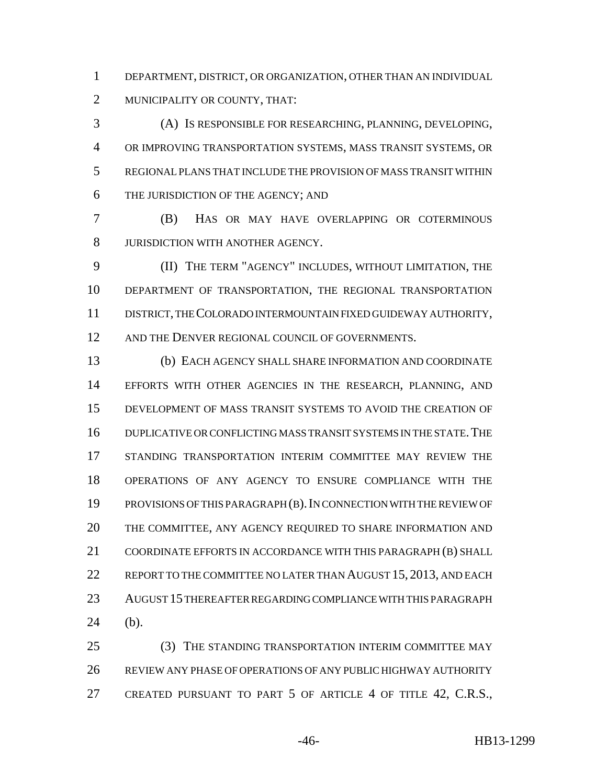DEPARTMENT, DISTRICT, OR ORGANIZATION, OTHER THAN AN INDIVIDUAL MUNICIPALITY OR COUNTY, THAT:

 (A) IS RESPONSIBLE FOR RESEARCHING, PLANNING, DEVELOPING, OR IMPROVING TRANSPORTATION SYSTEMS, MASS TRANSIT SYSTEMS, OR REGIONAL PLANS THAT INCLUDE THE PROVISION OF MASS TRANSIT WITHIN THE JURISDICTION OF THE AGENCY; AND

 (B) HAS OR MAY HAVE OVERLAPPING OR COTERMINOUS JURISDICTION WITH ANOTHER AGENCY.

 (II) THE TERM "AGENCY" INCLUDES, WITHOUT LIMITATION, THE DEPARTMENT OF TRANSPORTATION, THE REGIONAL TRANSPORTATION DISTRICT, THE COLORADO INTERMOUNTAIN FIXED GUIDEWAY AUTHORITY, 12 AND THE DENVER REGIONAL COUNCIL OF GOVERNMENTS.

 (b) EACH AGENCY SHALL SHARE INFORMATION AND COORDINATE EFFORTS WITH OTHER AGENCIES IN THE RESEARCH, PLANNING, AND DEVELOPMENT OF MASS TRANSIT SYSTEMS TO AVOID THE CREATION OF DUPLICATIVE OR CONFLICTING MASS TRANSIT SYSTEMS IN THE STATE.THE STANDING TRANSPORTATION INTERIM COMMITTEE MAY REVIEW THE OPERATIONS OF ANY AGENCY TO ENSURE COMPLIANCE WITH THE PROVISIONS OF THIS PARAGRAPH (B).IN CONNECTION WITH THE REVIEW OF THE COMMITTEE, ANY AGENCY REQUIRED TO SHARE INFORMATION AND COORDINATE EFFORTS IN ACCORDANCE WITH THIS PARAGRAPH (B) SHALL 22 REPORT TO THE COMMITTEE NO LATER THAN AUGUST 15, 2013, AND EACH AUGUST 15 THEREAFTER REGARDING COMPLIANCE WITH THIS PARAGRAPH (b).

 (3) THE STANDING TRANSPORTATION INTERIM COMMITTEE MAY REVIEW ANY PHASE OF OPERATIONS OF ANY PUBLIC HIGHWAY AUTHORITY 27 CREATED PURSUANT TO PART 5 OF ARTICLE 4 OF TITLE 42, C.R.S.,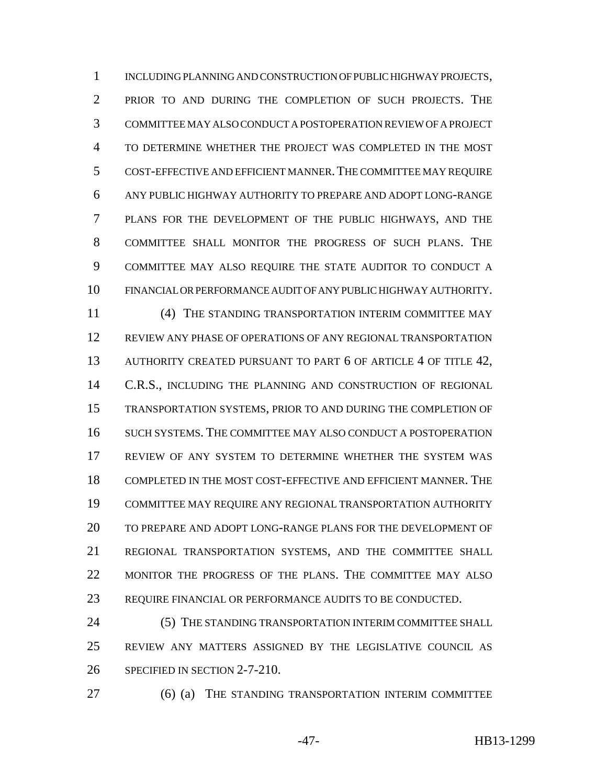INCLUDING PLANNING AND CONSTRUCTION OF PUBLIC HIGHWAY PROJECTS, PRIOR TO AND DURING THE COMPLETION OF SUCH PROJECTS. THE COMMITTEE MAY ALSO CONDUCT A POSTOPERATION REVIEW OF A PROJECT TO DETERMINE WHETHER THE PROJECT WAS COMPLETED IN THE MOST COST-EFFECTIVE AND EFFICIENT MANNER.THE COMMITTEE MAY REQUIRE ANY PUBLIC HIGHWAY AUTHORITY TO PREPARE AND ADOPT LONG-RANGE PLANS FOR THE DEVELOPMENT OF THE PUBLIC HIGHWAYS, AND THE COMMITTEE SHALL MONITOR THE PROGRESS OF SUCH PLANS. THE COMMITTEE MAY ALSO REQUIRE THE STATE AUDITOR TO CONDUCT A FINANCIAL OR PERFORMANCE AUDIT OF ANY PUBLIC HIGHWAY AUTHORITY. (4) THE STANDING TRANSPORTATION INTERIM COMMITTEE MAY REVIEW ANY PHASE OF OPERATIONS OF ANY REGIONAL TRANSPORTATION AUTHORITY CREATED PURSUANT TO PART 6 OF ARTICLE 4 OF TITLE 42, C.R.S., INCLUDING THE PLANNING AND CONSTRUCTION OF REGIONAL TRANSPORTATION SYSTEMS, PRIOR TO AND DURING THE COMPLETION OF SUCH SYSTEMS. THE COMMITTEE MAY ALSO CONDUCT A POSTOPERATION REVIEW OF ANY SYSTEM TO DETERMINE WHETHER THE SYSTEM WAS COMPLETED IN THE MOST COST-EFFECTIVE AND EFFICIENT MANNER. THE COMMITTEE MAY REQUIRE ANY REGIONAL TRANSPORTATION AUTHORITY TO PREPARE AND ADOPT LONG-RANGE PLANS FOR THE DEVELOPMENT OF REGIONAL TRANSPORTATION SYSTEMS, AND THE COMMITTEE SHALL MONITOR THE PROGRESS OF THE PLANS. THE COMMITTEE MAY ALSO REQUIRE FINANCIAL OR PERFORMANCE AUDITS TO BE CONDUCTED.

24 (5) THE STANDING TRANSPORTATION INTERIM COMMITTEE SHALL REVIEW ANY MATTERS ASSIGNED BY THE LEGISLATIVE COUNCIL AS SPECIFIED IN SECTION 2-7-210.

(6) (a) THE STANDING TRANSPORTATION INTERIM COMMITTEE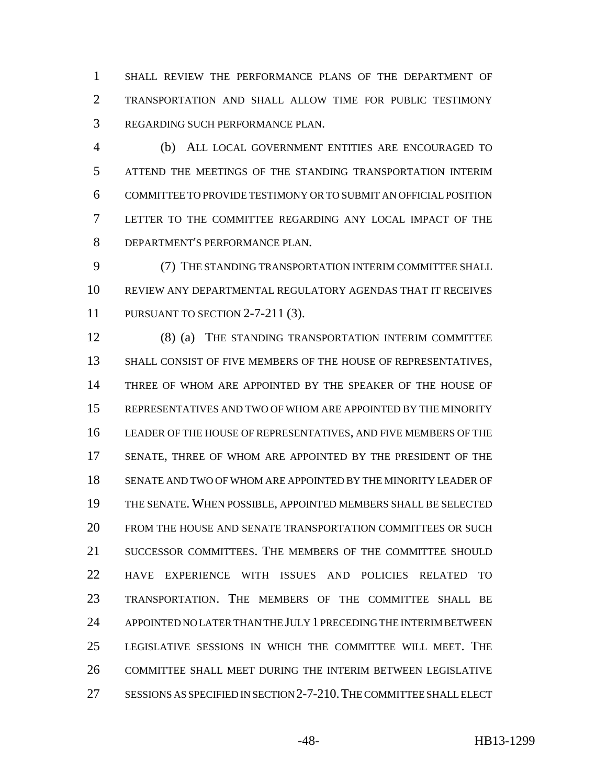SHALL REVIEW THE PERFORMANCE PLANS OF THE DEPARTMENT OF TRANSPORTATION AND SHALL ALLOW TIME FOR PUBLIC TESTIMONY REGARDING SUCH PERFORMANCE PLAN.

 (b) ALL LOCAL GOVERNMENT ENTITIES ARE ENCOURAGED TO ATTEND THE MEETINGS OF THE STANDING TRANSPORTATION INTERIM COMMITTEE TO PROVIDE TESTIMONY OR TO SUBMIT AN OFFICIAL POSITION LETTER TO THE COMMITTEE REGARDING ANY LOCAL IMPACT OF THE DEPARTMENT'S PERFORMANCE PLAN.

 (7) THE STANDING TRANSPORTATION INTERIM COMMITTEE SHALL REVIEW ANY DEPARTMENTAL REGULATORY AGENDAS THAT IT RECEIVES PURSUANT TO SECTION 2-7-211 (3).

 (8) (a) THE STANDING TRANSPORTATION INTERIM COMMITTEE SHALL CONSIST OF FIVE MEMBERS OF THE HOUSE OF REPRESENTATIVES, THREE OF WHOM ARE APPOINTED BY THE SPEAKER OF THE HOUSE OF REPRESENTATIVES AND TWO OF WHOM ARE APPOINTED BY THE MINORITY LEADER OF THE HOUSE OF REPRESENTATIVES, AND FIVE MEMBERS OF THE SENATE, THREE OF WHOM ARE APPOINTED BY THE PRESIDENT OF THE SENATE AND TWO OF WHOM ARE APPOINTED BY THE MINORITY LEADER OF THE SENATE. WHEN POSSIBLE, APPOINTED MEMBERS SHALL BE SELECTED FROM THE HOUSE AND SENATE TRANSPORTATION COMMITTEES OR SUCH SUCCESSOR COMMITTEES. THE MEMBERS OF THE COMMITTEE SHOULD HAVE EXPERIENCE WITH ISSUES AND POLICIES RELATED TO TRANSPORTATION. THE MEMBERS OF THE COMMITTEE SHALL BE APPOINTED NO LATER THAN THE JULY 1 PRECEDING THE INTERIM BETWEEN LEGISLATIVE SESSIONS IN WHICH THE COMMITTEE WILL MEET. THE COMMITTEE SHALL MEET DURING THE INTERIM BETWEEN LEGISLATIVE SESSIONS AS SPECIFIED IN SECTION 2-7-210.THE COMMITTEE SHALL ELECT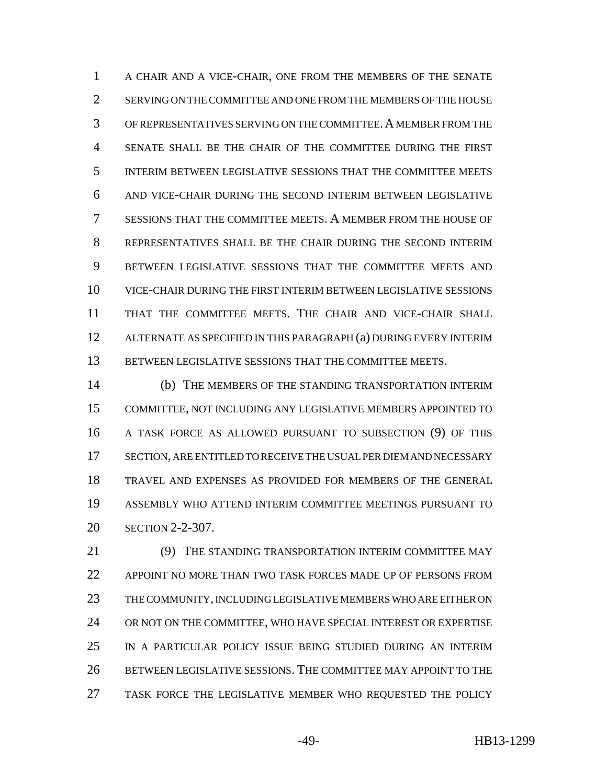A CHAIR AND A VICE-CHAIR, ONE FROM THE MEMBERS OF THE SENATE SERVING ON THE COMMITTEE AND ONE FROM THE MEMBERS OF THE HOUSE OF REPRESENTATIVES SERVING ON THE COMMITTEE.A MEMBER FROM THE SENATE SHALL BE THE CHAIR OF THE COMMITTEE DURING THE FIRST INTERIM BETWEEN LEGISLATIVE SESSIONS THAT THE COMMITTEE MEETS AND VICE-CHAIR DURING THE SECOND INTERIM BETWEEN LEGISLATIVE SESSIONS THAT THE COMMITTEE MEETS. A MEMBER FROM THE HOUSE OF REPRESENTATIVES SHALL BE THE CHAIR DURING THE SECOND INTERIM BETWEEN LEGISLATIVE SESSIONS THAT THE COMMITTEE MEETS AND VICE-CHAIR DURING THE FIRST INTERIM BETWEEN LEGISLATIVE SESSIONS THAT THE COMMITTEE MEETS. THE CHAIR AND VICE-CHAIR SHALL ALTERNATE AS SPECIFIED IN THIS PARAGRAPH (a) DURING EVERY INTERIM BETWEEN LEGISLATIVE SESSIONS THAT THE COMMITTEE MEETS.

 (b) THE MEMBERS OF THE STANDING TRANSPORTATION INTERIM COMMITTEE, NOT INCLUDING ANY LEGISLATIVE MEMBERS APPOINTED TO A TASK FORCE AS ALLOWED PURSUANT TO SUBSECTION (9) OF THIS SECTION, ARE ENTITLED TO RECEIVE THE USUAL PER DIEM AND NECESSARY TRAVEL AND EXPENSES AS PROVIDED FOR MEMBERS OF THE GENERAL ASSEMBLY WHO ATTEND INTERIM COMMITTEE MEETINGS PURSUANT TO SECTION 2-2-307.

 (9) THE STANDING TRANSPORTATION INTERIM COMMITTEE MAY APPOINT NO MORE THAN TWO TASK FORCES MADE UP OF PERSONS FROM THE COMMUNITY, INCLUDING LEGISLATIVE MEMBERS WHO ARE EITHER ON OR NOT ON THE COMMITTEE, WHO HAVE SPECIAL INTEREST OR EXPERTISE IN A PARTICULAR POLICY ISSUE BEING STUDIED DURING AN INTERIM BETWEEN LEGISLATIVE SESSIONS. THE COMMITTEE MAY APPOINT TO THE TASK FORCE THE LEGISLATIVE MEMBER WHO REQUESTED THE POLICY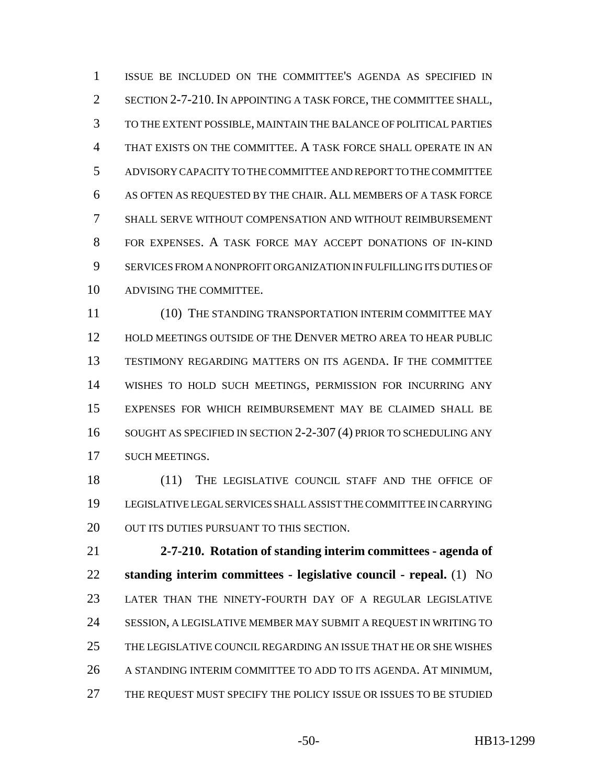ISSUE BE INCLUDED ON THE COMMITTEE'S AGENDA AS SPECIFIED IN SECTION 2-7-210. IN APPOINTING A TASK FORCE, THE COMMITTEE SHALL, TO THE EXTENT POSSIBLE, MAINTAIN THE BALANCE OF POLITICAL PARTIES THAT EXISTS ON THE COMMITTEE. A TASK FORCE SHALL OPERATE IN AN ADVISORY CAPACITY TO THE COMMITTEE AND REPORT TO THE COMMITTEE AS OFTEN AS REQUESTED BY THE CHAIR. ALL MEMBERS OF A TASK FORCE SHALL SERVE WITHOUT COMPENSATION AND WITHOUT REIMBURSEMENT FOR EXPENSES. A TASK FORCE MAY ACCEPT DONATIONS OF IN-KIND SERVICES FROM A NONPROFIT ORGANIZATION IN FULFILLING ITS DUTIES OF ADVISING THE COMMITTEE.

11 (10) THE STANDING TRANSPORTATION INTERIM COMMITTEE MAY HOLD MEETINGS OUTSIDE OF THE DENVER METRO AREA TO HEAR PUBLIC TESTIMONY REGARDING MATTERS ON ITS AGENDA. IF THE COMMITTEE WISHES TO HOLD SUCH MEETINGS, PERMISSION FOR INCURRING ANY EXPENSES FOR WHICH REIMBURSEMENT MAY BE CLAIMED SHALL BE SOUGHT AS SPECIFIED IN SECTION 2-2-307 (4) PRIOR TO SCHEDULING ANY SUCH MEETINGS.

18 (11) THE LEGISLATIVE COUNCIL STAFF AND THE OFFICE OF LEGISLATIVE LEGAL SERVICES SHALL ASSIST THE COMMITTEE IN CARRYING 20 OUT ITS DUTIES PURSUANT TO THIS SECTION.

 **2-7-210. Rotation of standing interim committees - agenda of standing interim committees - legislative council - repeal.** (1) NO LATER THAN THE NINETY-FOURTH DAY OF A REGULAR LEGISLATIVE SESSION, A LEGISLATIVE MEMBER MAY SUBMIT A REQUEST IN WRITING TO THE LEGISLATIVE COUNCIL REGARDING AN ISSUE THAT HE OR SHE WISHES A STANDING INTERIM COMMITTEE TO ADD TO ITS AGENDA. AT MINIMUM, THE REQUEST MUST SPECIFY THE POLICY ISSUE OR ISSUES TO BE STUDIED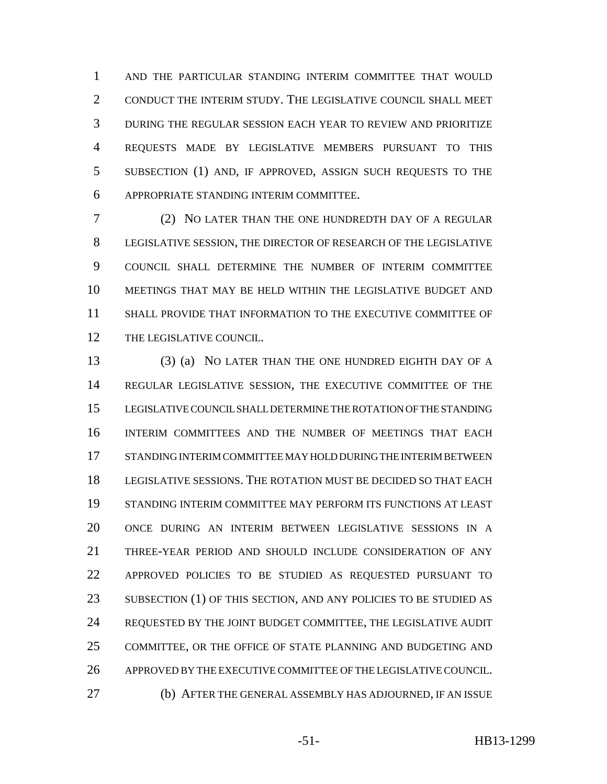AND THE PARTICULAR STANDING INTERIM COMMITTEE THAT WOULD CONDUCT THE INTERIM STUDY. THE LEGISLATIVE COUNCIL SHALL MEET DURING THE REGULAR SESSION EACH YEAR TO REVIEW AND PRIORITIZE REQUESTS MADE BY LEGISLATIVE MEMBERS PURSUANT TO THIS SUBSECTION (1) AND, IF APPROVED, ASSIGN SUCH REQUESTS TO THE APPROPRIATE STANDING INTERIM COMMITTEE.

 (2) NO LATER THAN THE ONE HUNDREDTH DAY OF A REGULAR LEGISLATIVE SESSION, THE DIRECTOR OF RESEARCH OF THE LEGISLATIVE COUNCIL SHALL DETERMINE THE NUMBER OF INTERIM COMMITTEE MEETINGS THAT MAY BE HELD WITHIN THE LEGISLATIVE BUDGET AND SHALL PROVIDE THAT INFORMATION TO THE EXECUTIVE COMMITTEE OF THE LEGISLATIVE COUNCIL.

 (3) (a) NO LATER THAN THE ONE HUNDRED EIGHTH DAY OF A REGULAR LEGISLATIVE SESSION, THE EXECUTIVE COMMITTEE OF THE LEGISLATIVE COUNCIL SHALL DETERMINE THE ROTATION OF THE STANDING INTERIM COMMITTEES AND THE NUMBER OF MEETINGS THAT EACH STANDING INTERIM COMMITTEE MAY HOLD DURING THE INTERIM BETWEEN LEGISLATIVE SESSIONS. THE ROTATION MUST BE DECIDED SO THAT EACH STANDING INTERIM COMMITTEE MAY PERFORM ITS FUNCTIONS AT LEAST ONCE DURING AN INTERIM BETWEEN LEGISLATIVE SESSIONS IN A THREE-YEAR PERIOD AND SHOULD INCLUDE CONSIDERATION OF ANY APPROVED POLICIES TO BE STUDIED AS REQUESTED PURSUANT TO 23 SUBSECTION (1) OF THIS SECTION, AND ANY POLICIES TO BE STUDIED AS REQUESTED BY THE JOINT BUDGET COMMITTEE, THE LEGISLATIVE AUDIT COMMITTEE, OR THE OFFICE OF STATE PLANNING AND BUDGETING AND APPROVED BY THE EXECUTIVE COMMITTEE OF THE LEGISLATIVE COUNCIL. (b) AFTER THE GENERAL ASSEMBLY HAS ADJOURNED, IF AN ISSUE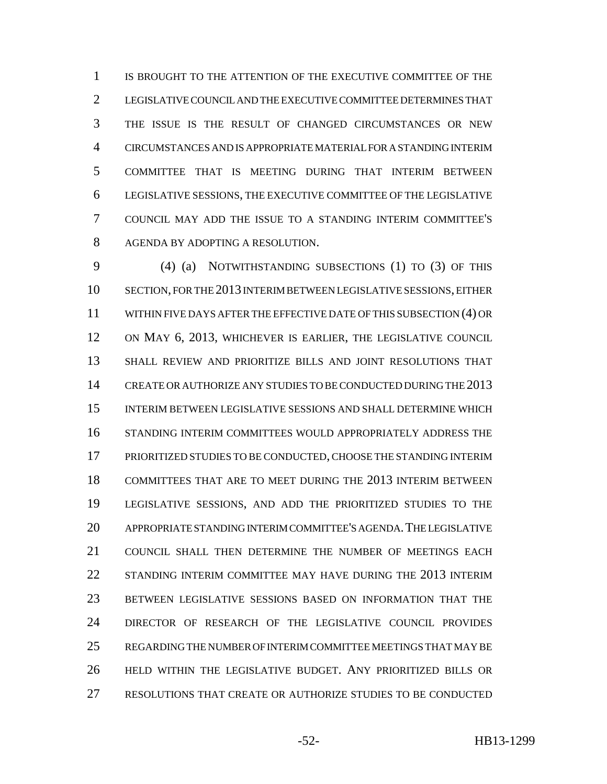IS BROUGHT TO THE ATTENTION OF THE EXECUTIVE COMMITTEE OF THE LEGISLATIVE COUNCIL AND THE EXECUTIVE COMMITTEE DETERMINES THAT THE ISSUE IS THE RESULT OF CHANGED CIRCUMSTANCES OR NEW CIRCUMSTANCES AND IS APPROPRIATE MATERIAL FOR A STANDING INTERIM COMMITTEE THAT IS MEETING DURING THAT INTERIM BETWEEN LEGISLATIVE SESSIONS, THE EXECUTIVE COMMITTEE OF THE LEGISLATIVE COUNCIL MAY ADD THE ISSUE TO A STANDING INTERIM COMMITTEE'S AGENDA BY ADOPTING A RESOLUTION.

 (4) (a) NOTWITHSTANDING SUBSECTIONS (1) TO (3) OF THIS SECTION, FOR THE 2013 INTERIM BETWEEN LEGISLATIVE SESSIONS, EITHER WITHIN FIVE DAYS AFTER THE EFFECTIVE DATE OF THIS SUBSECTION (4) OR ON MAY 6, 2013, WHICHEVER IS EARLIER, THE LEGISLATIVE COUNCIL SHALL REVIEW AND PRIORITIZE BILLS AND JOINT RESOLUTIONS THAT CREATE OR AUTHORIZE ANY STUDIES TO BE CONDUCTED DURING THE 2013 INTERIM BETWEEN LEGISLATIVE SESSIONS AND SHALL DETERMINE WHICH STANDING INTERIM COMMITTEES WOULD APPROPRIATELY ADDRESS THE PRIORITIZED STUDIES TO BE CONDUCTED, CHOOSE THE STANDING INTERIM COMMITTEES THAT ARE TO MEET DURING THE 2013 INTERIM BETWEEN LEGISLATIVE SESSIONS, AND ADD THE PRIORITIZED STUDIES TO THE APPROPRIATE STANDING INTERIM COMMITTEE'S AGENDA.THE LEGISLATIVE COUNCIL SHALL THEN DETERMINE THE NUMBER OF MEETINGS EACH 22 STANDING INTERIM COMMITTEE MAY HAVE DURING THE 2013 INTERIM BETWEEN LEGISLATIVE SESSIONS BASED ON INFORMATION THAT THE DIRECTOR OF RESEARCH OF THE LEGISLATIVE COUNCIL PROVIDES REGARDING THE NUMBER OF INTERIM COMMITTEE MEETINGS THAT MAY BE HELD WITHIN THE LEGISLATIVE BUDGET. ANY PRIORITIZED BILLS OR RESOLUTIONS THAT CREATE OR AUTHORIZE STUDIES TO BE CONDUCTED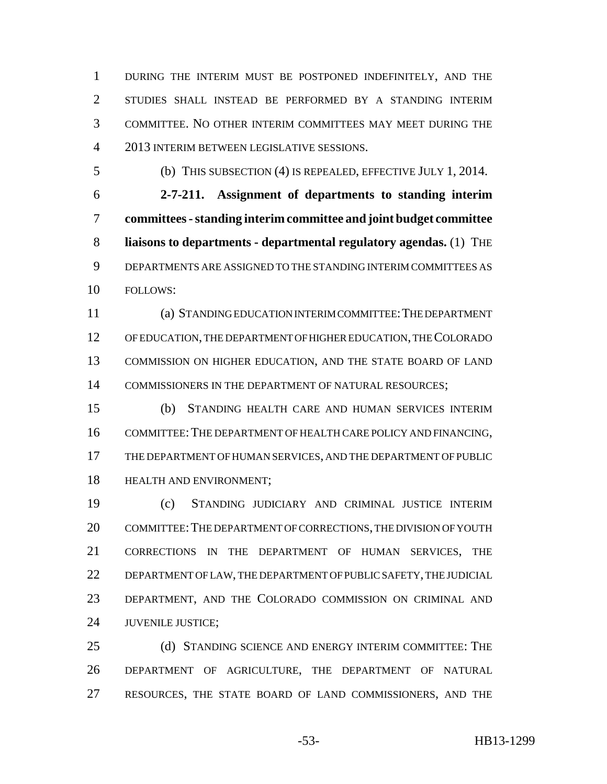DURING THE INTERIM MUST BE POSTPONED INDEFINITELY, AND THE STUDIES SHALL INSTEAD BE PERFORMED BY A STANDING INTERIM COMMITTEE. NO OTHER INTERIM COMMITTEES MAY MEET DURING THE 2013 INTERIM BETWEEN LEGISLATIVE SESSIONS.

(b) THIS SUBSECTION (4) IS REPEALED, EFFECTIVE JULY 1, 2014.

 **2-7-211. Assignment of departments to standing interim committees - standing interim committee and joint budget committee liaisons to departments - departmental regulatory agendas.** (1) THE DEPARTMENTS ARE ASSIGNED TO THE STANDING INTERIM COMMITTEES AS FOLLOWS:

 (a) STANDING EDUCATION INTERIM COMMITTEE:THE DEPARTMENT OF EDUCATION, THE DEPARTMENT OF HIGHER EDUCATION, THE COLORADO COMMISSION ON HIGHER EDUCATION, AND THE STATE BOARD OF LAND 14 COMMISSIONERS IN THE DEPARTMENT OF NATURAL RESOURCES;

 (b) STANDING HEALTH CARE AND HUMAN SERVICES INTERIM 16 COMMITTEE: THE DEPARTMENT OF HEALTH CARE POLICY AND FINANCING, THE DEPARTMENT OF HUMAN SERVICES, AND THE DEPARTMENT OF PUBLIC HEALTH AND ENVIRONMENT;

 (c) STANDING JUDICIARY AND CRIMINAL JUSTICE INTERIM 20 COMMITTEE: THE DEPARTMENT OF CORRECTIONS, THE DIVISION OF YOUTH CORRECTIONS IN THE DEPARTMENT OF HUMAN SERVICES, THE DEPARTMENT OF LAW, THE DEPARTMENT OF PUBLIC SAFETY, THE JUDICIAL DEPARTMENT, AND THE COLORADO COMMISSION ON CRIMINAL AND JUVENILE JUSTICE;

25 (d) STANDING SCIENCE AND ENERGY INTERIM COMMITTEE: THE DEPARTMENT OF AGRICULTURE, THE DEPARTMENT OF NATURAL RESOURCES, THE STATE BOARD OF LAND COMMISSIONERS, AND THE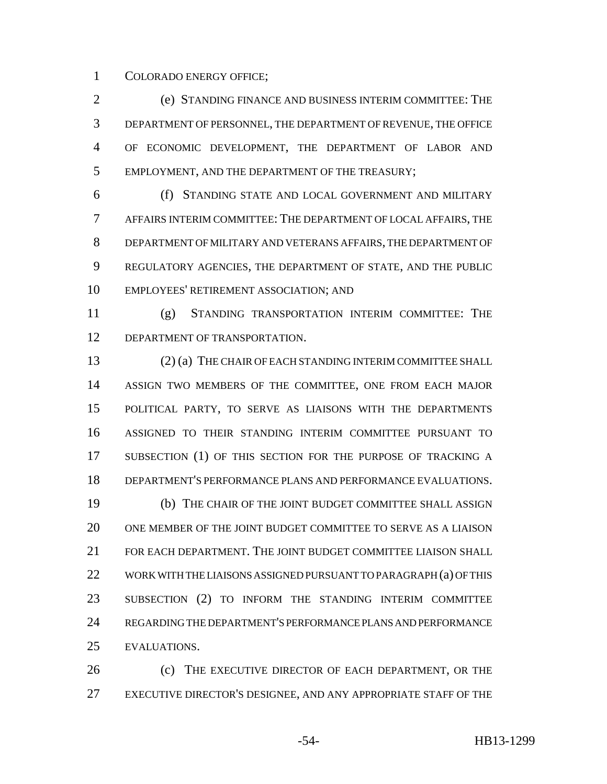COLORADO ENERGY OFFICE;

 (e) STANDING FINANCE AND BUSINESS INTERIM COMMITTEE: THE DEPARTMENT OF PERSONNEL, THE DEPARTMENT OF REVENUE, THE OFFICE OF ECONOMIC DEVELOPMENT, THE DEPARTMENT OF LABOR AND EMPLOYMENT, AND THE DEPARTMENT OF THE TREASURY;

 (f) STANDING STATE AND LOCAL GOVERNMENT AND MILITARY AFFAIRS INTERIM COMMITTEE: THE DEPARTMENT OF LOCAL AFFAIRS, THE DEPARTMENT OF MILITARY AND VETERANS AFFAIRS, THE DEPARTMENT OF REGULATORY AGENCIES, THE DEPARTMENT OF STATE, AND THE PUBLIC EMPLOYEES' RETIREMENT ASSOCIATION; AND

 (g) STANDING TRANSPORTATION INTERIM COMMITTEE: THE 12 DEPARTMENT OF TRANSPORTATION.

 (2) (a) THE CHAIR OF EACH STANDING INTERIM COMMITTEE SHALL ASSIGN TWO MEMBERS OF THE COMMITTEE, ONE FROM EACH MAJOR POLITICAL PARTY, TO SERVE AS LIAISONS WITH THE DEPARTMENTS ASSIGNED TO THEIR STANDING INTERIM COMMITTEE PURSUANT TO SUBSECTION (1) OF THIS SECTION FOR THE PURPOSE OF TRACKING A DEPARTMENT'S PERFORMANCE PLANS AND PERFORMANCE EVALUATIONS. (b) THE CHAIR OF THE JOINT BUDGET COMMITTEE SHALL ASSIGN ONE MEMBER OF THE JOINT BUDGET COMMITTEE TO SERVE AS A LIAISON FOR EACH DEPARTMENT. THE JOINT BUDGET COMMITTEE LIAISON SHALL 22 WORK WITH THE LIAISONS ASSIGNED PURSUANT TO PARAGRAPH (a) OF THIS SUBSECTION (2) TO INFORM THE STANDING INTERIM COMMITTEE REGARDING THE DEPARTMENT'S PERFORMANCE PLANS AND PERFORMANCE EVALUATIONS.

26 (c) THE EXECUTIVE DIRECTOR OF EACH DEPARTMENT, OR THE EXECUTIVE DIRECTOR'S DESIGNEE, AND ANY APPROPRIATE STAFF OF THE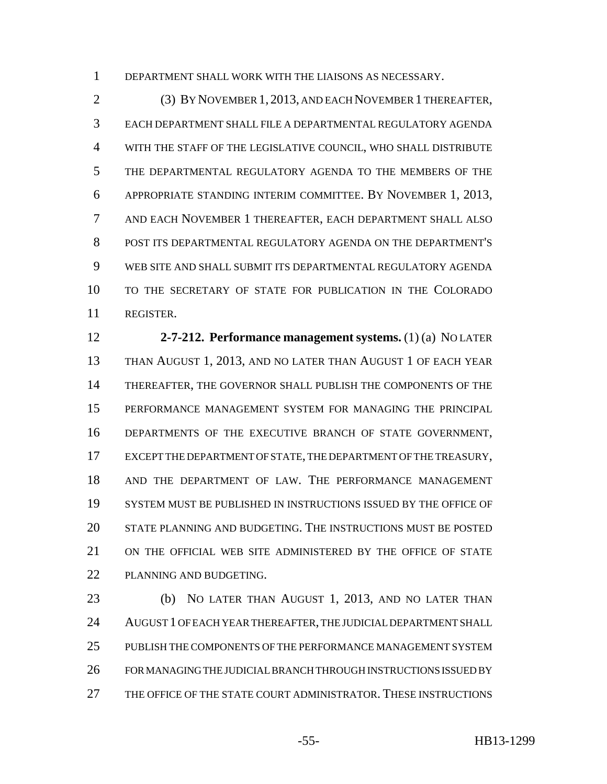DEPARTMENT SHALL WORK WITH THE LIAISONS AS NECESSARY.

 (3) BY NOVEMBER 1, 2013, AND EACH NOVEMBER 1 THEREAFTER, EACH DEPARTMENT SHALL FILE A DEPARTMENTAL REGULATORY AGENDA WITH THE STAFF OF THE LEGISLATIVE COUNCIL, WHO SHALL DISTRIBUTE THE DEPARTMENTAL REGULATORY AGENDA TO THE MEMBERS OF THE APPROPRIATE STANDING INTERIM COMMITTEE. BY NOVEMBER 1, 2013, AND EACH NOVEMBER 1 THEREAFTER, EACH DEPARTMENT SHALL ALSO POST ITS DEPARTMENTAL REGULATORY AGENDA ON THE DEPARTMENT'S WEB SITE AND SHALL SUBMIT ITS DEPARTMENTAL REGULATORY AGENDA TO THE SECRETARY OF STATE FOR PUBLICATION IN THE COLORADO REGISTER.

 **2-7-212. Performance management systems.** (1) (a) NO LATER THAN AUGUST 1, 2013, AND NO LATER THAN AUGUST 1 OF EACH YEAR THEREAFTER, THE GOVERNOR SHALL PUBLISH THE COMPONENTS OF THE PERFORMANCE MANAGEMENT SYSTEM FOR MANAGING THE PRINCIPAL DEPARTMENTS OF THE EXECUTIVE BRANCH OF STATE GOVERNMENT, EXCEPT THE DEPARTMENT OF STATE, THE DEPARTMENT OF THE TREASURY, AND THE DEPARTMENT OF LAW. THE PERFORMANCE MANAGEMENT SYSTEM MUST BE PUBLISHED IN INSTRUCTIONS ISSUED BY THE OFFICE OF STATE PLANNING AND BUDGETING. THE INSTRUCTIONS MUST BE POSTED ON THE OFFICIAL WEB SITE ADMINISTERED BY THE OFFICE OF STATE PLANNING AND BUDGETING.

 (b) NO LATER THAN AUGUST 1, 2013, AND NO LATER THAN AUGUST 1 OF EACH YEAR THEREAFTER, THE JUDICIAL DEPARTMENT SHALL PUBLISH THE COMPONENTS OF THE PERFORMANCE MANAGEMENT SYSTEM FOR MANAGING THE JUDICIAL BRANCH THROUGH INSTRUCTIONS ISSUED BY THE OFFICE OF THE STATE COURT ADMINISTRATOR. THESE INSTRUCTIONS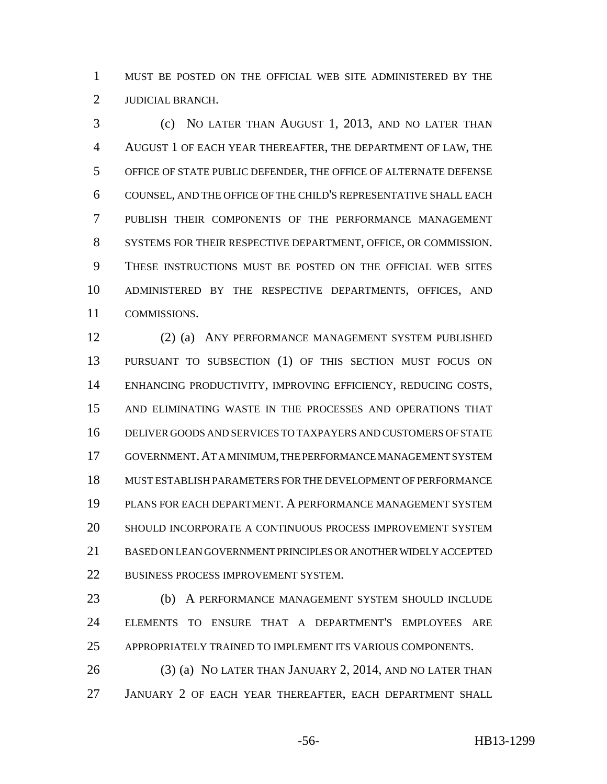MUST BE POSTED ON THE OFFICIAL WEB SITE ADMINISTERED BY THE JUDICIAL BRANCH.

 (c) NO LATER THAN AUGUST 1, 2013, AND NO LATER THAN AUGUST 1 OF EACH YEAR THEREAFTER, THE DEPARTMENT OF LAW, THE OFFICE OF STATE PUBLIC DEFENDER, THE OFFICE OF ALTERNATE DEFENSE COUNSEL, AND THE OFFICE OF THE CHILD'S REPRESENTATIVE SHALL EACH PUBLISH THEIR COMPONENTS OF THE PERFORMANCE MANAGEMENT SYSTEMS FOR THEIR RESPECTIVE DEPARTMENT, OFFICE, OR COMMISSION. THESE INSTRUCTIONS MUST BE POSTED ON THE OFFICIAL WEB SITES ADMINISTERED BY THE RESPECTIVE DEPARTMENTS, OFFICES, AND COMMISSIONS.

 (2) (a) ANY PERFORMANCE MANAGEMENT SYSTEM PUBLISHED PURSUANT TO SUBSECTION (1) OF THIS SECTION MUST FOCUS ON ENHANCING PRODUCTIVITY, IMPROVING EFFICIENCY, REDUCING COSTS, AND ELIMINATING WASTE IN THE PROCESSES AND OPERATIONS THAT DELIVER GOODS AND SERVICES TO TAXPAYERS AND CUSTOMERS OF STATE GOVERNMENT.AT A MINIMUM, THE PERFORMANCE MANAGEMENT SYSTEM MUST ESTABLISH PARAMETERS FOR THE DEVELOPMENT OF PERFORMANCE PLANS FOR EACH DEPARTMENT. A PERFORMANCE MANAGEMENT SYSTEM SHOULD INCORPORATE A CONTINUOUS PROCESS IMPROVEMENT SYSTEM BASED ON LEAN GOVERNMENT PRINCIPLES OR ANOTHER WIDELY ACCEPTED BUSINESS PROCESS IMPROVEMENT SYSTEM.

 (b) A PERFORMANCE MANAGEMENT SYSTEM SHOULD INCLUDE ELEMENTS TO ENSURE THAT A DEPARTMENT'S EMPLOYEES ARE APPROPRIATELY TRAINED TO IMPLEMENT ITS VARIOUS COMPONENTS.

26 (3) (a) NO LATER THAN JANUARY 2, 2014, AND NO LATER THAN JANUARY 2 OF EACH YEAR THEREAFTER, EACH DEPARTMENT SHALL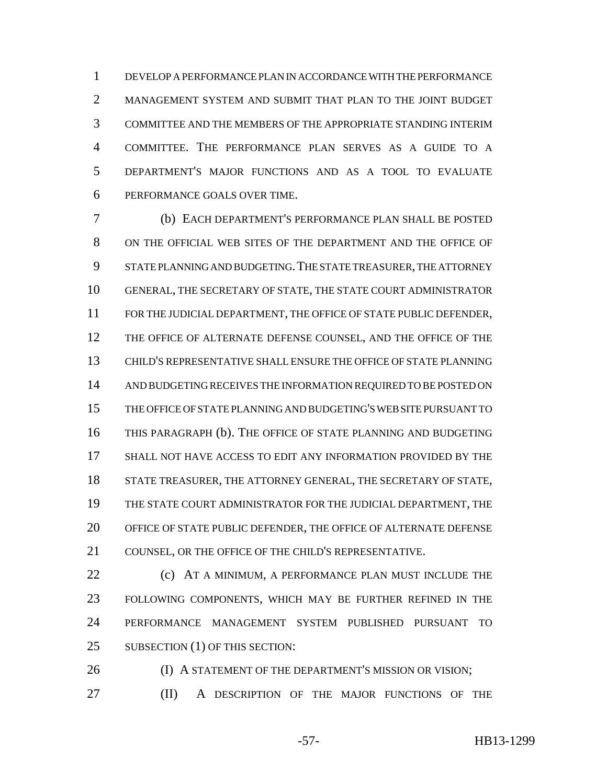DEVELOP A PERFORMANCE PLAN IN ACCORDANCE WITH THE PERFORMANCE MANAGEMENT SYSTEM AND SUBMIT THAT PLAN TO THE JOINT BUDGET COMMITTEE AND THE MEMBERS OF THE APPROPRIATE STANDING INTERIM COMMITTEE. THE PERFORMANCE PLAN SERVES AS A GUIDE TO A DEPARTMENT'S MAJOR FUNCTIONS AND AS A TOOL TO EVALUATE PERFORMANCE GOALS OVER TIME.

 (b) EACH DEPARTMENT'S PERFORMANCE PLAN SHALL BE POSTED ON THE OFFICIAL WEB SITES OF THE DEPARTMENT AND THE OFFICE OF STATE PLANNING AND BUDGETING.THE STATE TREASURER, THE ATTORNEY GENERAL, THE SECRETARY OF STATE, THE STATE COURT ADMINISTRATOR FOR THE JUDICIAL DEPARTMENT, THE OFFICE OF STATE PUBLIC DEFENDER, THE OFFICE OF ALTERNATE DEFENSE COUNSEL, AND THE OFFICE OF THE CHILD'S REPRESENTATIVE SHALL ENSURE THE OFFICE OF STATE PLANNING AND BUDGETING RECEIVES THE INFORMATION REQUIRED TO BE POSTED ON THE OFFICE OF STATE PLANNING AND BUDGETING'S WEB SITE PURSUANT TO THIS PARAGRAPH (b). THE OFFICE OF STATE PLANNING AND BUDGETING SHALL NOT HAVE ACCESS TO EDIT ANY INFORMATION PROVIDED BY THE STATE TREASURER, THE ATTORNEY GENERAL, THE SECRETARY OF STATE, THE STATE COURT ADMINISTRATOR FOR THE JUDICIAL DEPARTMENT, THE OFFICE OF STATE PUBLIC DEFENDER, THE OFFICE OF ALTERNATE DEFENSE 21 COUNSEL, OR THE OFFICE OF THE CHILD'S REPRESENTATIVE.

**(c)** AT A MINIMUM, A PERFORMANCE PLAN MUST INCLUDE THE FOLLOWING COMPONENTS, WHICH MAY BE FURTHER REFINED IN THE PERFORMANCE MANAGEMENT SYSTEM PUBLISHED PURSUANT TO 25 SUBSECTION (1) OF THIS SECTION:

**(I) A STATEMENT OF THE DEPARTMENT'S MISSION OR VISION;** (II) A DESCRIPTION OF THE MAJOR FUNCTIONS OF THE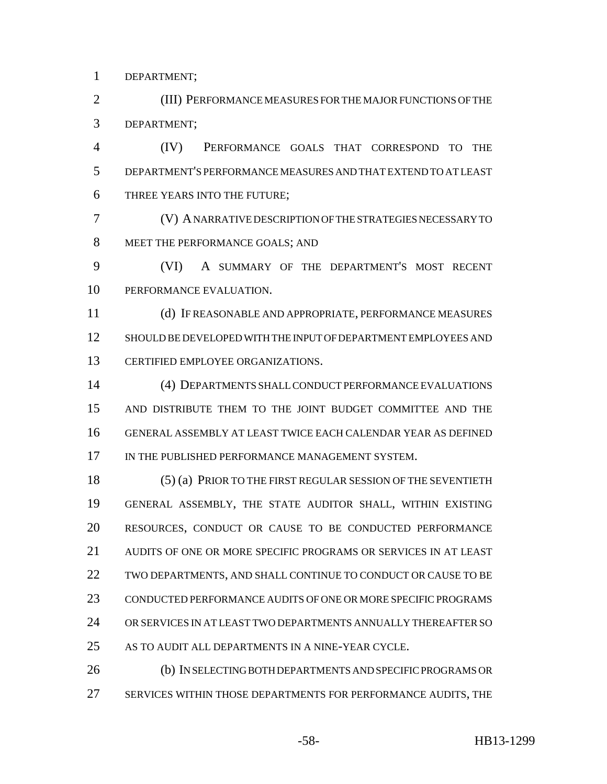DEPARTMENT;

 (III) PERFORMANCE MEASURES FOR THE MAJOR FUNCTIONS OF THE DEPARTMENT;

 (IV) PERFORMANCE GOALS THAT CORRESPOND TO THE DEPARTMENT'S PERFORMANCE MEASURES AND THAT EXTEND TO AT LEAST THREE YEARS INTO THE FUTURE;

 (V) A NARRATIVE DESCRIPTION OF THE STRATEGIES NECESSARY TO MEET THE PERFORMANCE GOALS; AND

 (VI) A SUMMARY OF THE DEPARTMENT'S MOST RECENT PERFORMANCE EVALUATION.

 (d) IF REASONABLE AND APPROPRIATE, PERFORMANCE MEASURES SHOULD BE DEVELOPED WITH THE INPUT OF DEPARTMENT EMPLOYEES AND CERTIFIED EMPLOYEE ORGANIZATIONS.

 (4) DEPARTMENTS SHALL CONDUCT PERFORMANCE EVALUATIONS AND DISTRIBUTE THEM TO THE JOINT BUDGET COMMITTEE AND THE GENERAL ASSEMBLY AT LEAST TWICE EACH CALENDAR YEAR AS DEFINED 17 IN THE PUBLISHED PERFORMANCE MANAGEMENT SYSTEM.

 (5) (a) PRIOR TO THE FIRST REGULAR SESSION OF THE SEVENTIETH GENERAL ASSEMBLY, THE STATE AUDITOR SHALL, WITHIN EXISTING RESOURCES, CONDUCT OR CAUSE TO BE CONDUCTED PERFORMANCE AUDITS OF ONE OR MORE SPECIFIC PROGRAMS OR SERVICES IN AT LEAST TWO DEPARTMENTS, AND SHALL CONTINUE TO CONDUCT OR CAUSE TO BE CONDUCTED PERFORMANCE AUDITS OF ONE OR MORE SPECIFIC PROGRAMS OR SERVICES IN AT LEAST TWO DEPARTMENTS ANNUALLY THEREAFTER SO AS TO AUDIT ALL DEPARTMENTS IN A NINE-YEAR CYCLE.

 (b) IN SELECTING BOTH DEPARTMENTS AND SPECIFIC PROGRAMS OR SERVICES WITHIN THOSE DEPARTMENTS FOR PERFORMANCE AUDITS, THE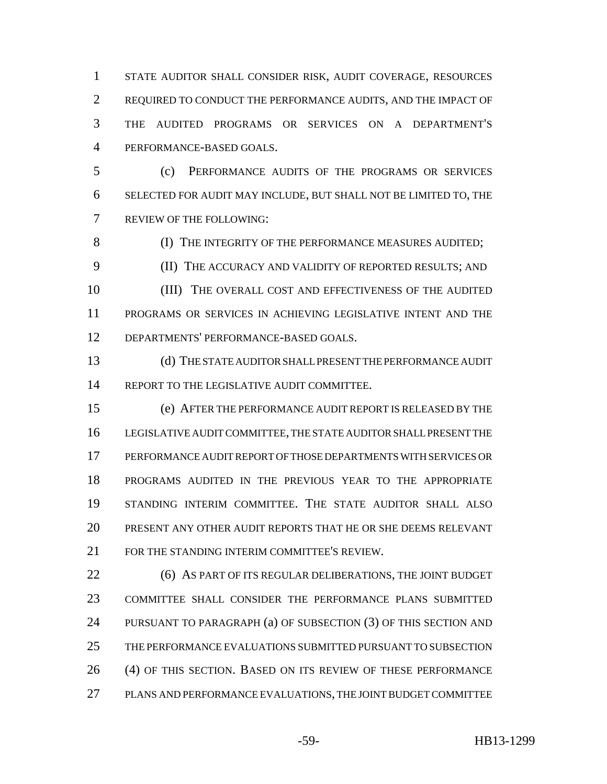STATE AUDITOR SHALL CONSIDER RISK, AUDIT COVERAGE, RESOURCES REQUIRED TO CONDUCT THE PERFORMANCE AUDITS, AND THE IMPACT OF THE AUDITED PROGRAMS OR SERVICES ON A DEPARTMENT'S PERFORMANCE-BASED GOALS.

 (c) PERFORMANCE AUDITS OF THE PROGRAMS OR SERVICES SELECTED FOR AUDIT MAY INCLUDE, BUT SHALL NOT BE LIMITED TO, THE REVIEW OF THE FOLLOWING:

8 (I) THE INTEGRITY OF THE PERFORMANCE MEASURES AUDITED; (II) THE ACCURACY AND VALIDITY OF REPORTED RESULTS; AND

 (III) THE OVERALL COST AND EFFECTIVENESS OF THE AUDITED PROGRAMS OR SERVICES IN ACHIEVING LEGISLATIVE INTENT AND THE DEPARTMENTS' PERFORMANCE-BASED GOALS.

 (d) THE STATE AUDITOR SHALL PRESENT THE PERFORMANCE AUDIT 14 REPORT TO THE LEGISLATIVE AUDIT COMMITTEE.

 (e) AFTER THE PERFORMANCE AUDIT REPORT IS RELEASED BY THE LEGISLATIVE AUDIT COMMITTEE, THE STATE AUDITOR SHALL PRESENT THE PERFORMANCE AUDIT REPORT OF THOSE DEPARTMENTS WITH SERVICES OR PROGRAMS AUDITED IN THE PREVIOUS YEAR TO THE APPROPRIATE STANDING INTERIM COMMITTEE. THE STATE AUDITOR SHALL ALSO PRESENT ANY OTHER AUDIT REPORTS THAT HE OR SHE DEEMS RELEVANT FOR THE STANDING INTERIM COMMITTEE'S REVIEW.

**22 (6) AS PART OF ITS REGULAR DELIBERATIONS, THE JOINT BUDGET**  COMMITTEE SHALL CONSIDER THE PERFORMANCE PLANS SUBMITTED PURSUANT TO PARAGRAPH (a) OF SUBSECTION (3) OF THIS SECTION AND THE PERFORMANCE EVALUATIONS SUBMITTED PURSUANT TO SUBSECTION (4) OF THIS SECTION. BASED ON ITS REVIEW OF THESE PERFORMANCE PLANS AND PERFORMANCE EVALUATIONS, THE JOINT BUDGET COMMITTEE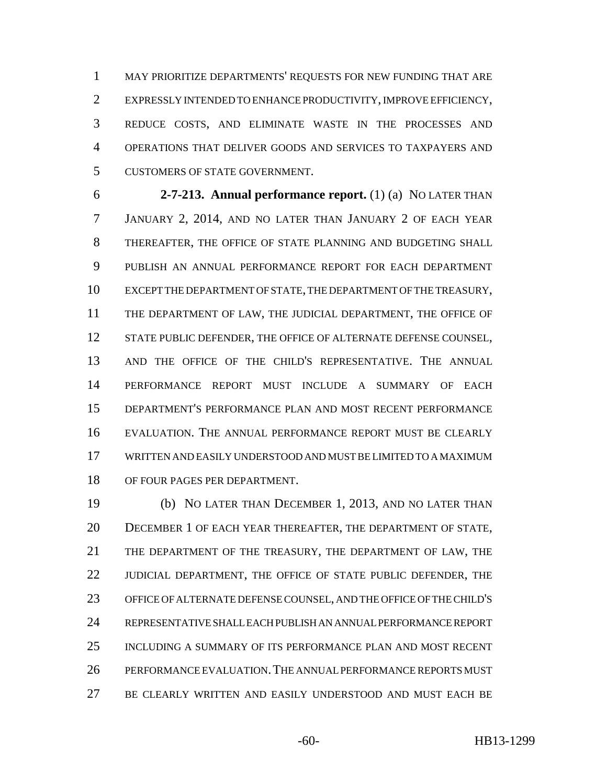MAY PRIORITIZE DEPARTMENTS' REQUESTS FOR NEW FUNDING THAT ARE EXPRESSLY INTENDED TO ENHANCE PRODUCTIVITY, IMPROVE EFFICIENCY, REDUCE COSTS, AND ELIMINATE WASTE IN THE PROCESSES AND OPERATIONS THAT DELIVER GOODS AND SERVICES TO TAXPAYERS AND CUSTOMERS OF STATE GOVERNMENT.

 **2-7-213. Annual performance report.** (1) (a) NO LATER THAN JANUARY 2, 2014, AND NO LATER THAN JANUARY 2 OF EACH YEAR THEREAFTER, THE OFFICE OF STATE PLANNING AND BUDGETING SHALL PUBLISH AN ANNUAL PERFORMANCE REPORT FOR EACH DEPARTMENT EXCEPT THE DEPARTMENT OF STATE, THE DEPARTMENT OF THE TREASURY, THE DEPARTMENT OF LAW, THE JUDICIAL DEPARTMENT, THE OFFICE OF 12 STATE PUBLIC DEFENDER, THE OFFICE OF ALTERNATE DEFENSE COUNSEL, AND THE OFFICE OF THE CHILD'S REPRESENTATIVE. THE ANNUAL PERFORMANCE REPORT MUST INCLUDE A SUMMARY OF EACH DEPARTMENT'S PERFORMANCE PLAN AND MOST RECENT PERFORMANCE EVALUATION. THE ANNUAL PERFORMANCE REPORT MUST BE CLEARLY WRITTEN AND EASILY UNDERSTOOD AND MUST BE LIMITED TO A MAXIMUM OF FOUR PAGES PER DEPARTMENT.

 (b) NO LATER THAN DECEMBER 1, 2013, AND NO LATER THAN DECEMBER 1 OF EACH YEAR THEREAFTER, THE DEPARTMENT OF STATE, THE DEPARTMENT OF THE TREASURY, THE DEPARTMENT OF LAW, THE 22 JUDICIAL DEPARTMENT, THE OFFICE OF STATE PUBLIC DEFENDER, THE OFFICE OF ALTERNATE DEFENSE COUNSEL, AND THE OFFICE OF THE CHILD'S REPRESENTATIVE SHALL EACH PUBLISH AN ANNUAL PERFORMANCE REPORT INCLUDING A SUMMARY OF ITS PERFORMANCE PLAN AND MOST RECENT PERFORMANCE EVALUATION.THE ANNUAL PERFORMANCE REPORTS MUST BE CLEARLY WRITTEN AND EASILY UNDERSTOOD AND MUST EACH BE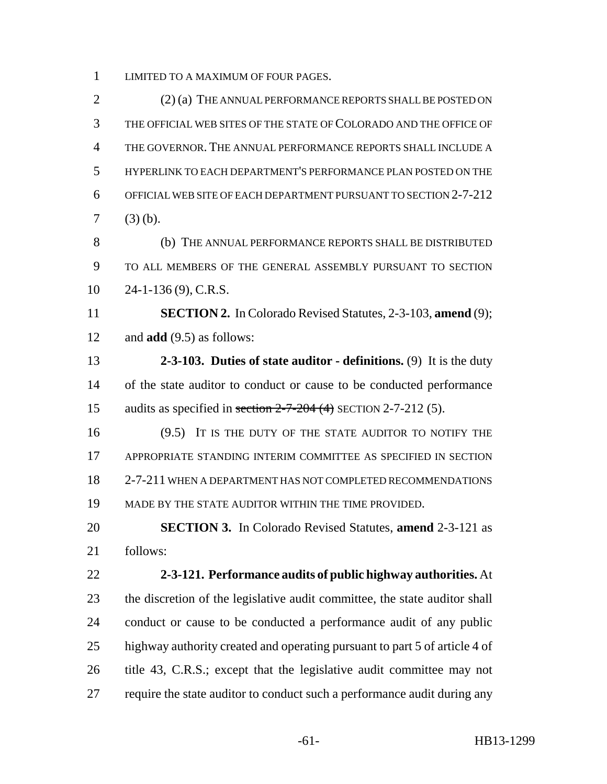LIMITED TO A MAXIMUM OF FOUR PAGES.

 (2) (a) THE ANNUAL PERFORMANCE REPORTS SHALL BE POSTED ON THE OFFICIAL WEB SITES OF THE STATE OF COLORADO AND THE OFFICE OF THE GOVERNOR. THE ANNUAL PERFORMANCE REPORTS SHALL INCLUDE A HYPERLINK TO EACH DEPARTMENT'S PERFORMANCE PLAN POSTED ON THE OFFICIAL WEB SITE OF EACH DEPARTMENT PURSUANT TO SECTION 2-7-212 (3) (b).

 (b) THE ANNUAL PERFORMANCE REPORTS SHALL BE DISTRIBUTED TO ALL MEMBERS OF THE GENERAL ASSEMBLY PURSUANT TO SECTION 24-1-136 (9), C.R.S.

 **SECTION 2.** In Colorado Revised Statutes, 2-3-103, **amend** (9); and **add** (9.5) as follows:

 **2-3-103. Duties of state auditor - definitions.** (9) It is the duty of the state auditor to conduct or cause to be conducted performance 15 audits as specified in section  $2-7-204$  (4) SECTION 2-7-212 (5).

16 (9.5) IT IS THE DUTY OF THE STATE AUDITOR TO NOTIFY THE APPROPRIATE STANDING INTERIM COMMITTEE AS SPECIFIED IN SECTION 2-7-211 WHEN A DEPARTMENT HAS NOT COMPLETED RECOMMENDATIONS MADE BY THE STATE AUDITOR WITHIN THE TIME PROVIDED.

 **SECTION 3.** In Colorado Revised Statutes, **amend** 2-3-121 as follows:

 **2-3-121. Performance audits of public highway authorities.** At the discretion of the legislative audit committee, the state auditor shall conduct or cause to be conducted a performance audit of any public highway authority created and operating pursuant to part 5 of article 4 of title 43, C.R.S.; except that the legislative audit committee may not require the state auditor to conduct such a performance audit during any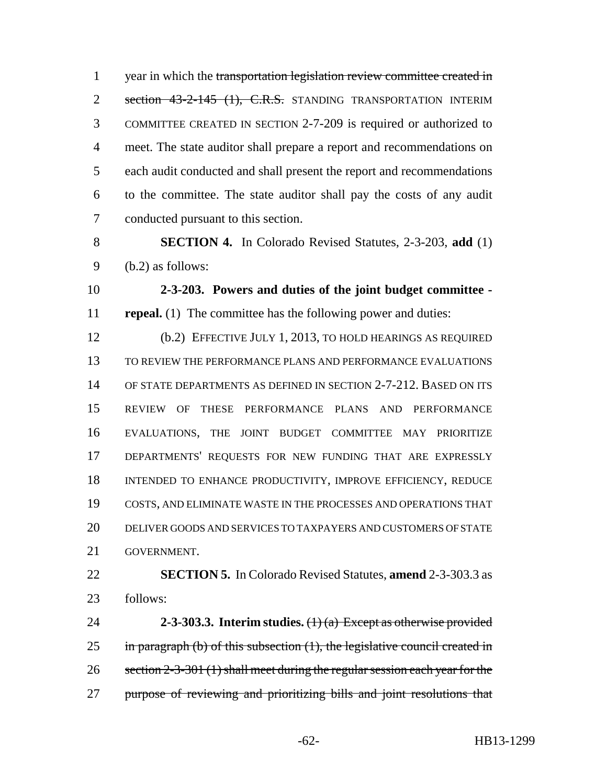1 year in which the transportation legislation review committee created in 2 section 43-2-145 (1), C.R.S. STANDING TRANSPORTATION INTERIM COMMITTEE CREATED IN SECTION 2-7-209 is required or authorized to meet. The state auditor shall prepare a report and recommendations on each audit conducted and shall present the report and recommendations to the committee. The state auditor shall pay the costs of any audit conducted pursuant to this section.

 **SECTION 4.** In Colorado Revised Statutes, 2-3-203, **add** (1) (b.2) as follows:

 **2-3-203. Powers and duties of the joint budget committee - repeal.** (1) The committee has the following power and duties:

 (b.2) EFFECTIVE JULY 1, 2013, TO HOLD HEARINGS AS REQUIRED TO REVIEW THE PERFORMANCE PLANS AND PERFORMANCE EVALUATIONS OF STATE DEPARTMENTS AS DEFINED IN SECTION 2-7-212. BASED ON ITS REVIEW OF THESE PERFORMANCE PLANS AND PERFORMANCE EVALUATIONS, THE JOINT BUDGET COMMITTEE MAY PRIORITIZE DEPARTMENTS' REQUESTS FOR NEW FUNDING THAT ARE EXPRESSLY INTENDED TO ENHANCE PRODUCTIVITY, IMPROVE EFFICIENCY, REDUCE COSTS, AND ELIMINATE WASTE IN THE PROCESSES AND OPERATIONS THAT DELIVER GOODS AND SERVICES TO TAXPAYERS AND CUSTOMERS OF STATE GOVERNMENT.

 **SECTION 5.** In Colorado Revised Statutes, **amend** 2-3-303.3 as follows:

 **2-3-303.3. Interim studies.** (1) (a) Except as otherwise provided 25 in paragraph (b) of this subsection  $(1)$ , the legislative council created in 26 section 2-3-301 (1) shall meet during the regular session each year for the 27 purpose of reviewing and prioritizing bills and joint resolutions that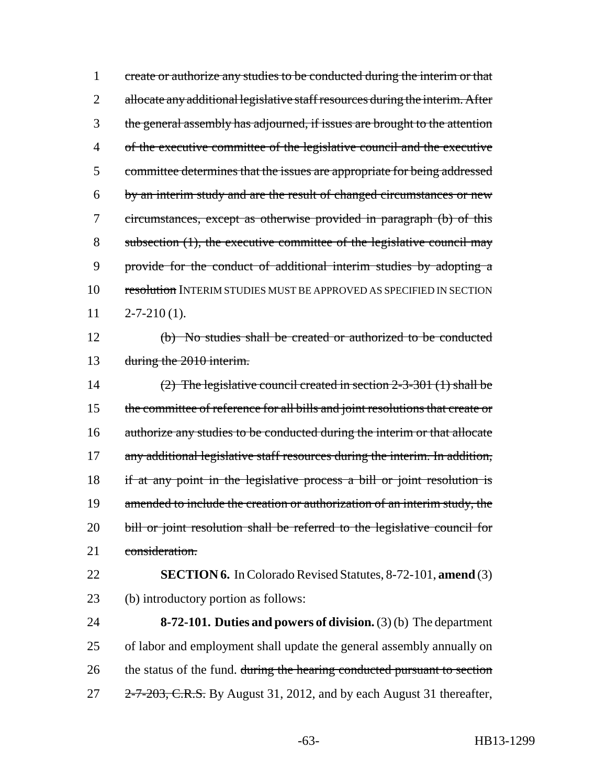1 create or authorize any studies to be conducted during the interim or that 2 allocate any additional legislative staff resources during the interim. After the general assembly has adjourned, if issues are brought to the attention of the executive committee of the legislative council and the executive committee determines that the issues are appropriate for being addressed by an interim study and are the result of changed circumstances or new circumstances, except as otherwise provided in paragraph (b) of this subsection (1), the executive committee of the legislative council may provide for the conduct of additional interim studies by adopting a 10 resolution INTERIM STUDIES MUST BE APPROVED AS SPECIFIED IN SECTION  $11 \qquad 2-7-210(1).$ 

12 (b) No studies shall be created or authorized to be conducted 13 during the 2010 interim.

14 (2) The legislative council created in section 2-3-301 (1) shall be 15 the committee of reference for all bills and joint resolutions that create or 16 authorize any studies to be conducted during the interim or that allocate 17 any additional legislative staff resources during the interim. In addition, 18 if at any point in the legislative process a bill or joint resolution is 19 amended to include the creation or authorization of an interim study, the 20 bill or joint resolution shall be referred to the legislative council for 21 consideration.

22 **SECTION 6.** In Colorado Revised Statutes, 8-72-101, **amend** (3) 23 (b) introductory portion as follows:

24 **8-72-101. Duties and powers of division.** (3) (b) The department 25 of labor and employment shall update the general assembly annually on 26 the status of the fund. during the hearing conducted pursuant to section 27 2-7-203, C.R.S. By August 31, 2012, and by each August 31 thereafter,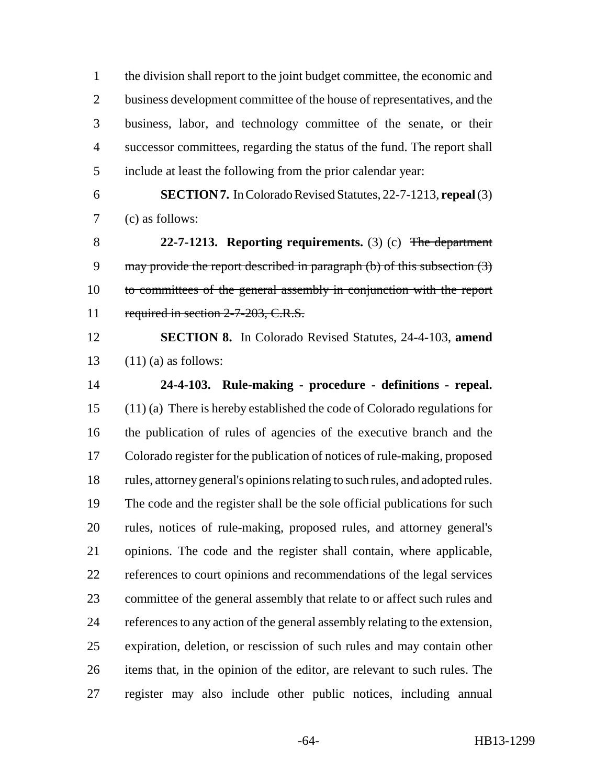the division shall report to the joint budget committee, the economic and 2 business development committee of the house of representatives, and the business, labor, and technology committee of the senate, or their successor committees, regarding the status of the fund. The report shall include at least the following from the prior calendar year:

 **SECTION 7.** In Colorado Revised Statutes, 22-7-1213, **repeal** (3) (c) as follows:

 **22-7-1213. Reporting requirements.** (3) (c) The department 9 may provide the report described in paragraph (b) of this subsection (3) to committees of the general assembly in conjunction with the report 11 required in section 2-7-203, C.R.S.

 **SECTION 8.** In Colorado Revised Statutes, 24-4-103, **amend** 13  $(11)$  (a) as follows:

 **24-4-103. Rule-making - procedure - definitions - repeal.** (11) (a) There is hereby established the code of Colorado regulations for the publication of rules of agencies of the executive branch and the Colorado register for the publication of notices of rule-making, proposed rules, attorney general's opinions relating to such rules, and adopted rules. The code and the register shall be the sole official publications for such rules, notices of rule-making, proposed rules, and attorney general's opinions. The code and the register shall contain, where applicable, references to court opinions and recommendations of the legal services committee of the general assembly that relate to or affect such rules and references to any action of the general assembly relating to the extension, expiration, deletion, or rescission of such rules and may contain other items that, in the opinion of the editor, are relevant to such rules. The register may also include other public notices, including annual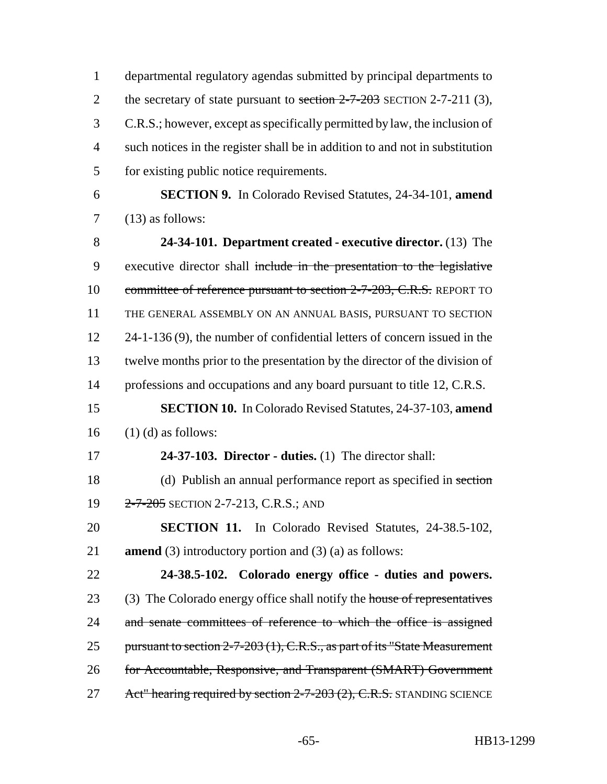departmental regulatory agendas submitted by principal departments to 2 the secretary of state pursuant to section  $2-7-203$  SECTION 2-7-211 (3), C.R.S.; however, except as specifically permitted by law, the inclusion of such notices in the register shall be in addition to and not in substitution for existing public notice requirements.

6 **SECTION 9.** In Colorado Revised Statutes, 24-34-101, **amend**  $7 \qquad (13)$  as follows:

8 **24-34-101. Department created - executive director.** (13) The 9 executive director shall include in the presentation to the legislative 10 committee of reference pursuant to section 2-7-203, C.R.S. REPORT TO 11 THE GENERAL ASSEMBLY ON AN ANNUAL BASIS, PURSUANT TO SECTION 12 24-1-136 (9), the number of confidential letters of concern issued in the 13 twelve months prior to the presentation by the director of the division of 14 professions and occupations and any board pursuant to title 12, C.R.S.

15 **SECTION 10.** In Colorado Revised Statutes, 24-37-103, **amend**  $16$  (1) (d) as follows:

- 17 **24-37-103. Director duties.** (1) The director shall: 18 (d) Publish an annual performance report as specified in section
- 19 2-7-205 SECTION 2-7-213, C.R.S.; AND

20 **SECTION 11.** In Colorado Revised Statutes, 24-38.5-102, 21 **amend** (3) introductory portion and (3) (a) as follows:

22 **24-38.5-102. Colorado energy office - duties and powers.** 23 (3) The Colorado energy office shall notify the house of representatives 24 and senate committees of reference to which the office is assigned 25 pursuant to section 2-7-203 (1), C.R.S., as part of its "State Measurement" 26 for Accountable, Responsive, and Transparent (SMART) Government 27 Act" hearing required by section 2-7-203 (2), C.R.S. STANDING SCIENCE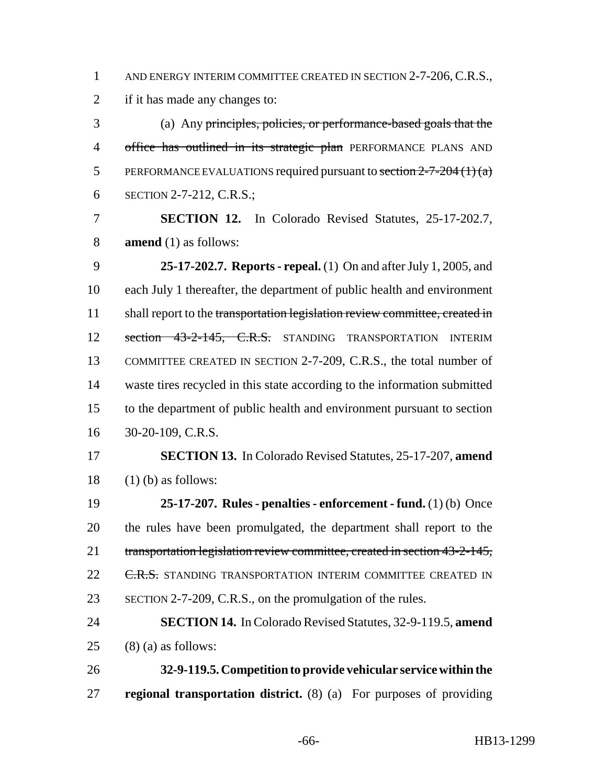1 AND ENERGY INTERIM COMMITTEE CREATED IN SECTION 2-7-206, C.R.S.,

if it has made any changes to:

 (a) Any principles, policies, or performance-based goals that the 4 office has outlined in its strategic plan PERFORMANCE PLANS AND 5 PERFORMANCE EVALUATIONS required pursuant to section  $2-7-204(1)(a)$ SECTION 2-7-212, C.R.S.;

 **SECTION 12.** In Colorado Revised Statutes, 25-17-202.7, **amend** (1) as follows:

 **25-17-202.7. Reports - repeal.** (1) On and after July 1, 2005, and each July 1 thereafter, the department of public health and environment 11 shall report to the transportation legislation review committee, created in 12 section 43-2-145, C.R.S. STANDING TRANSPORTATION INTERIM COMMITTEE CREATED IN SECTION 2-7-209, C.R.S., the total number of waste tires recycled in this state according to the information submitted to the department of public health and environment pursuant to section 30-20-109, C.R.S.

 **SECTION 13.** In Colorado Revised Statutes, 25-17-207, **amend** 18  $(1)$  (b) as follows:

 **25-17-207. Rules - penalties - enforcement - fund.** (1) (b) Once the rules have been promulgated, the department shall report to the transportation legislation review committee, created in section 43-2-145, 22 <del>C.R.S.</del> STANDING TRANSPORTATION INTERIM COMMITTEE CREATED IN SECTION 2-7-209, C.R.S., on the promulgation of the rules.

 **SECTION 14.** In Colorado Revised Statutes, 32-9-119.5, **amend** 25 (8) (a) as follows:

 **32-9-119.5. Competition to provide vehicular service within the regional transportation district.** (8) (a) For purposes of providing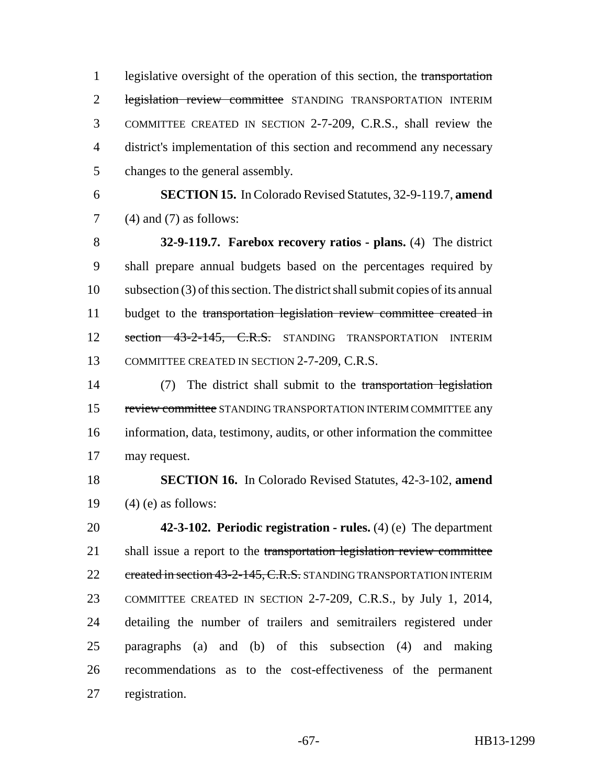1 legislative oversight of the operation of this section, the transportation 2 legislation review committee STANDING TRANSPORTATION INTERIM COMMITTEE CREATED IN SECTION 2-7-209, C.R.S., shall review the district's implementation of this section and recommend any necessary changes to the general assembly.

 **SECTION 15.** In Colorado Revised Statutes, 32-9-119.7, **amend** (4) and (7) as follows:

 **32-9-119.7. Farebox recovery ratios - plans.** (4) The district shall prepare annual budgets based on the percentages required by subsection (3) of this section. The district shall submit copies of its annual 11 budget to the transportation legislation review committee created in 12 section 43-2-145, C.R.S. STANDING TRANSPORTATION INTERIM COMMITTEE CREATED IN SECTION 2-7-209, C.R.S.

 (7) The district shall submit to the transportation legislation 15 review committee STANDING TRANSPORTATION INTERIM COMMITTEE any information, data, testimony, audits, or other information the committee may request.

 **SECTION 16.** In Colorado Revised Statutes, 42-3-102, **amend** 19  $(4)$  (e) as follows:

 **42-3-102. Periodic registration - rules.** (4) (e) The department 21 shall issue a report to the transportation legislation review committee 22 created in section 43-2-145, C.R.S. STANDING TRANSPORTATION INTERIM COMMITTEE CREATED IN SECTION 2-7-209, C.R.S., by July 1, 2014, detailing the number of trailers and semitrailers registered under paragraphs (a) and (b) of this subsection (4) and making recommendations as to the cost-effectiveness of the permanent registration.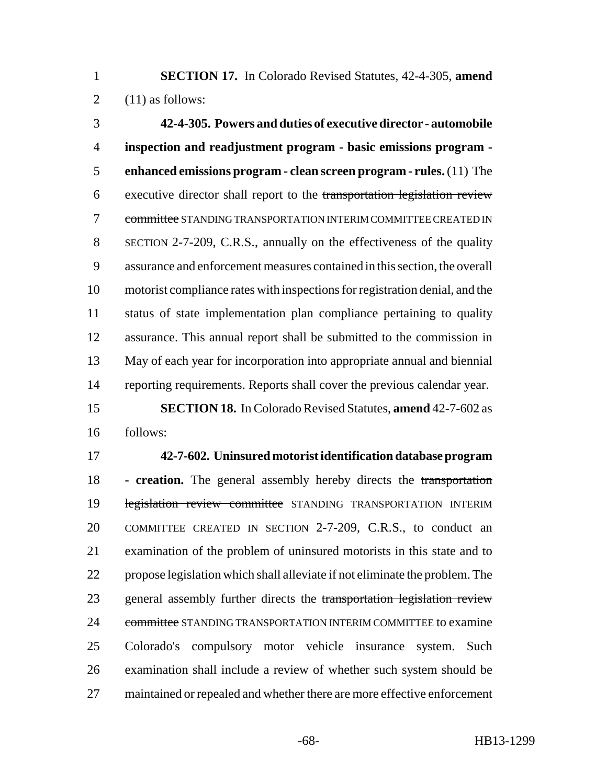**SECTION 17.** In Colorado Revised Statutes, 42-4-305, **amend** 2  $(11)$  as follows:

 **42-4-305. Powers and duties of executive director - automobile inspection and readjustment program - basic emissions program - enhanced emissions program - clean screen program - rules.** (11) The executive director shall report to the transportation legislation review committee STANDING TRANSPORTATION INTERIM COMMITTEE CREATED IN SECTION 2-7-209, C.R.S., annually on the effectiveness of the quality assurance and enforcement measures contained in this section, the overall motorist compliance rates with inspections for registration denial, and the status of state implementation plan compliance pertaining to quality assurance. This annual report shall be submitted to the commission in May of each year for incorporation into appropriate annual and biennial reporting requirements. Reports shall cover the previous calendar year.

 **SECTION 18.** In Colorado Revised Statutes, **amend** 42-7-602 as follows:

 **42-7-602. Uninsured motorist identification database program - creation.** The general assembly hereby directs the transportation 19 legislation review committee STANDING TRANSPORTATION INTERIM COMMITTEE CREATED IN SECTION 2-7-209, C.R.S., to conduct an examination of the problem of uninsured motorists in this state and to propose legislation which shall alleviate if not eliminate the problem. The 23 general assembly further directs the transportation legislation review 24 committee STANDING TRANSPORTATION INTERIM COMMITTEE to examine Colorado's compulsory motor vehicle insurance system. Such examination shall include a review of whether such system should be 27 maintained or repealed and whether there are more effective enforcement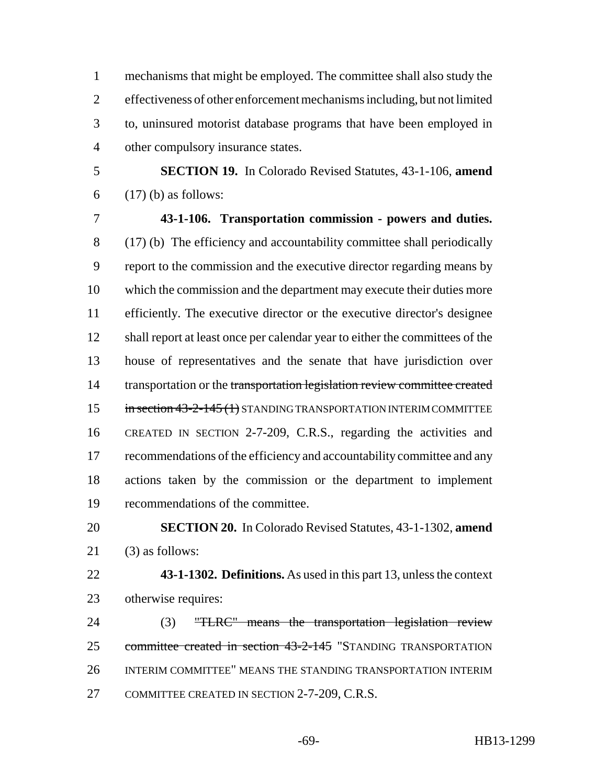mechanisms that might be employed. The committee shall also study the effectiveness of other enforcement mechanisms including, but not limited to, uninsured motorist database programs that have been employed in other compulsory insurance states.

 **SECTION 19.** In Colorado Revised Statutes, 43-1-106, **amend** (17) (b) as follows:

 **43-1-106. Transportation commission - powers and duties.** (17) (b) The efficiency and accountability committee shall periodically report to the commission and the executive director regarding means by which the commission and the department may execute their duties more efficiently. The executive director or the executive director's designee shall report at least once per calendar year to either the committees of the house of representatives and the senate that have jurisdiction over 14 transportation or the transportation legislation review committee created 15 in section 43-2-145 (1) STANDING TRANSPORTATION INTERIM COMMITTEE CREATED IN SECTION 2-7-209, C.R.S., regarding the activities and recommendations of the efficiency and accountability committee and any actions taken by the commission or the department to implement recommendations of the committee.

 **SECTION 20.** In Colorado Revised Statutes, 43-1-1302, **amend** (3) as follows:

 **43-1-1302. Definitions.** As used in this part 13, unless the context otherwise requires:

24 (3) "TLRC" means the transportation legislation review committee created in section 43-2-145 "STANDING TRANSPORTATION INTERIM COMMITTEE" MEANS THE STANDING TRANSPORTATION INTERIM COMMITTEE CREATED IN SECTION 2-7-209, C.R.S.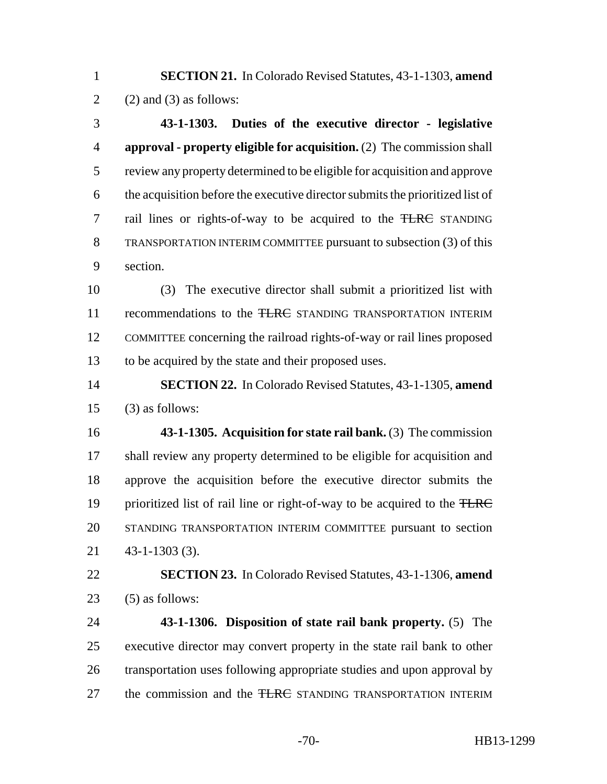**SECTION 21.** In Colorado Revised Statutes, 43-1-1303, **amend** 2 (2) and (3) as follows:

 **43-1-1303. Duties of the executive director - legislative approval - property eligible for acquisition.** (2) The commission shall review any property determined to be eligible for acquisition and approve the acquisition before the executive director submits the prioritized list of rail lines or rights-of-way to be acquired to the TLRC STANDING TRANSPORTATION INTERIM COMMITTEE pursuant to subsection (3) of this section.

 (3) The executive director shall submit a prioritized list with 11 recommendations to the TLRC STANDING TRANSPORTATION INTERIM COMMITTEE concerning the railroad rights-of-way or rail lines proposed to be acquired by the state and their proposed uses.

 **SECTION 22.** In Colorado Revised Statutes, 43-1-1305, **amend** (3) as follows:

 **43-1-1305. Acquisition for state rail bank.** (3) The commission shall review any property determined to be eligible for acquisition and approve the acquisition before the executive director submits the 19 prioritized list of rail line or right-of-way to be acquired to the TLRC STANDING TRANSPORTATION INTERIM COMMITTEE pursuant to section 43-1-1303 (3).

 **SECTION 23.** In Colorado Revised Statutes, 43-1-1306, **amend** (5) as follows:

 **43-1-1306. Disposition of state rail bank property.** (5) The executive director may convert property in the state rail bank to other transportation uses following appropriate studies and upon approval by 27 the commission and the <del>TLRC</del> STANDING TRANSPORTATION INTERIM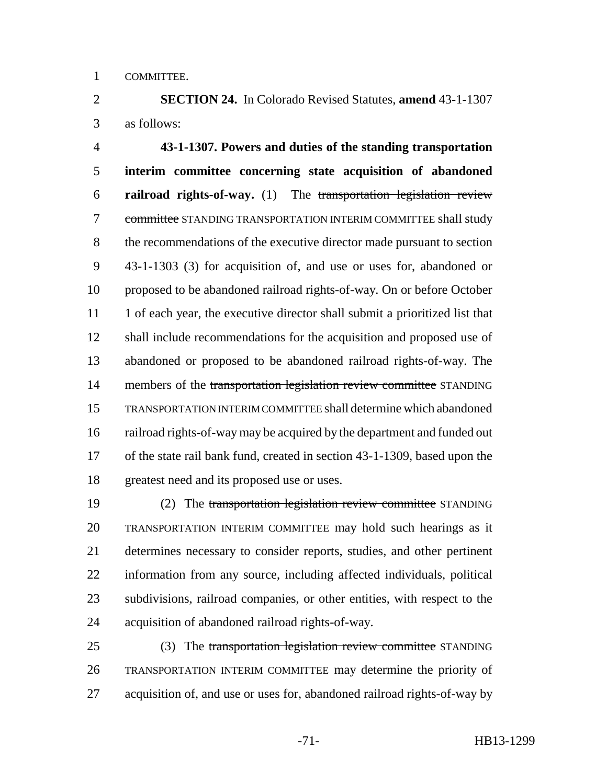COMMITTEE.

 **SECTION 24.** In Colorado Revised Statutes, **amend** 43-1-1307 as follows:

 **43-1-1307. Powers and duties of the standing transportation interim committee concerning state acquisition of abandoned railroad rights-of-way.** (1) The transportation legislation review 7 committee STANDING TRANSPORTATION INTERIM COMMITTEE shall study the recommendations of the executive director made pursuant to section 43-1-1303 (3) for acquisition of, and use or uses for, abandoned or proposed to be abandoned railroad rights-of-way. On or before October 11 1 1 of each year, the executive director shall submit a prioritized list that shall include recommendations for the acquisition and proposed use of abandoned or proposed to be abandoned railroad rights-of-way. The 14 members of the transportation legislation review committee STANDING TRANSPORTATION INTERIM COMMITTEE shall determine which abandoned railroad rights-of-way may be acquired by the department and funded out of the state rail bank fund, created in section 43-1-1309, based upon the greatest need and its proposed use or uses.

 (2) The transportation legislation review committee STANDING TRANSPORTATION INTERIM COMMITTEE may hold such hearings as it determines necessary to consider reports, studies, and other pertinent information from any source, including affected individuals, political subdivisions, railroad companies, or other entities, with respect to the acquisition of abandoned railroad rights-of-way.

25 (3) The transportation legislation review committee STANDING TRANSPORTATION INTERIM COMMITTEE may determine the priority of acquisition of, and use or uses for, abandoned railroad rights-of-way by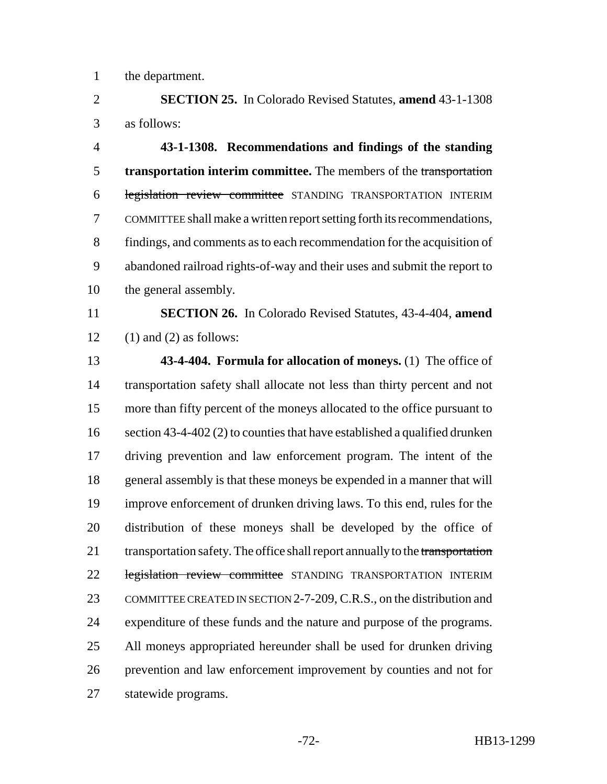the department.

 **SECTION 25.** In Colorado Revised Statutes, **amend** 43-1-1308 as follows:

 **43-1-1308. Recommendations and findings of the standing transportation interim committee.** The members of the transportation legislation review committee STANDING TRANSPORTATION INTERIM COMMITTEE shall make a written report setting forth its recommendations, findings, and comments as to each recommendation for the acquisition of abandoned railroad rights-of-way and their uses and submit the report to the general assembly.

 **SECTION 26.** In Colorado Revised Statutes, 43-4-404, **amend** 12 (1) and (2) as follows:

 **43-4-404. Formula for allocation of moneys.** (1) The office of transportation safety shall allocate not less than thirty percent and not more than fifty percent of the moneys allocated to the office pursuant to 16 section 43-4-402 (2) to counties that have established a qualified drunken driving prevention and law enforcement program. The intent of the general assembly is that these moneys be expended in a manner that will improve enforcement of drunken driving laws. To this end, rules for the distribution of these moneys shall be developed by the office of 21 transportation safety. The office shall report annually to the transportation 22 legislation review committee STANDING TRANSPORTATION INTERIM 23 COMMITTEE CREATED IN SECTION 2-7-209, C.R.S., on the distribution and expenditure of these funds and the nature and purpose of the programs. All moneys appropriated hereunder shall be used for drunken driving prevention and law enforcement improvement by counties and not for statewide programs.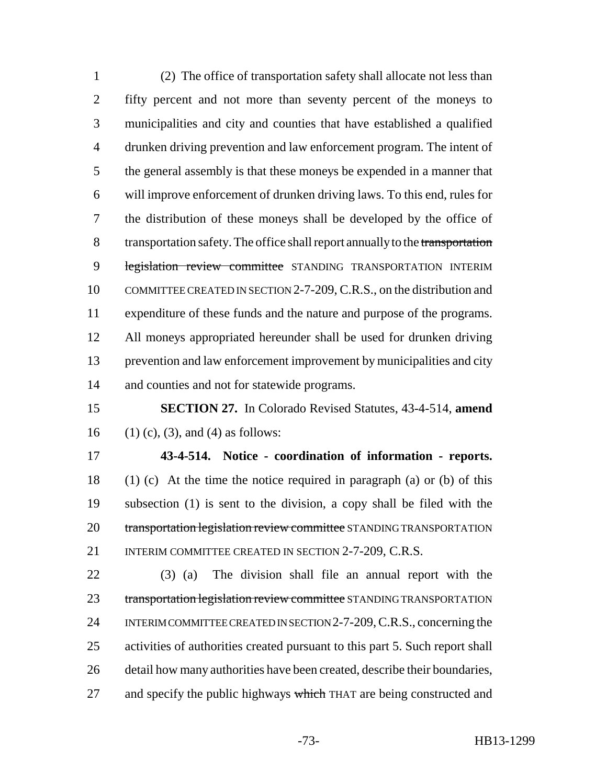(2) The office of transportation safety shall allocate not less than fifty percent and not more than seventy percent of the moneys to municipalities and city and counties that have established a qualified drunken driving prevention and law enforcement program. The intent of the general assembly is that these moneys be expended in a manner that will improve enforcement of drunken driving laws. To this end, rules for the distribution of these moneys shall be developed by the office of 8 transportation safety. The office shall report annually to the transportation 9 legislation review committee STANDING TRANSPORTATION INTERIM COMMITTEE CREATED IN SECTION 2-7-209, C.R.S., on the distribution and expenditure of these funds and the nature and purpose of the programs. All moneys appropriated hereunder shall be used for drunken driving prevention and law enforcement improvement by municipalities and city and counties and not for statewide programs.

 **SECTION 27.** In Colorado Revised Statutes, 43-4-514, **amend** 16 (1) (c), (3), and (4) as follows:

 **43-4-514. Notice - coordination of information - reports.** (1) (c) At the time the notice required in paragraph (a) or (b) of this subsection (1) is sent to the division, a copy shall be filed with the 20 transportation legislation review committee STANDING TRANSPORTATION 21 INTERIM COMMITTEE CREATED IN SECTION 2-7-209, C.R.S.

 (3) (a) The division shall file an annual report with the 23 transportation legislation review committee STANDING TRANSPORTATION INTERIM COMMITTEE CREATED IN SECTION 2-7-209, C.R.S., concerning the activities of authorities created pursuant to this part 5. Such report shall detail how many authorities have been created, describe their boundaries, 27 and specify the public highways which THAT are being constructed and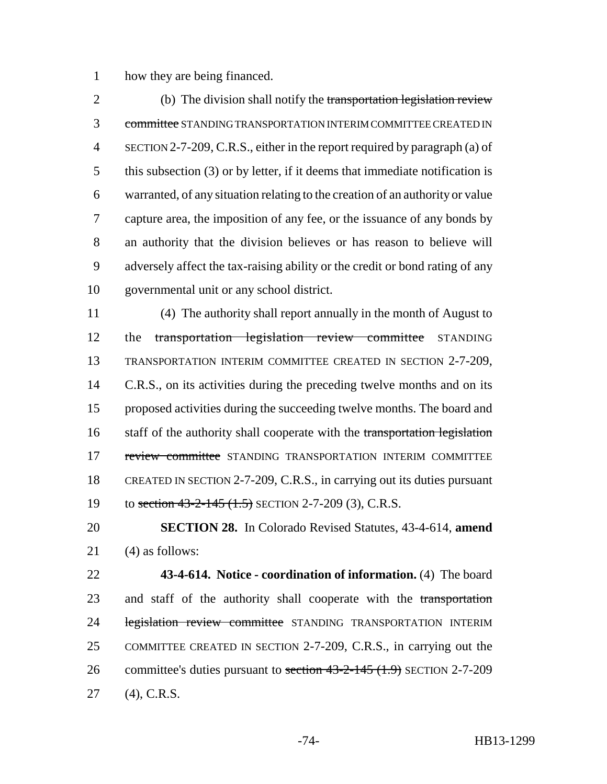how they are being financed.

2 (b) The division shall notify the transportation legislation review committee STANDING TRANSPORTATION INTERIM COMMITTEE CREATED IN SECTION 2-7-209, C.R.S., either in the report required by paragraph (a) of this subsection (3) or by letter, if it deems that immediate notification is warranted, of any situation relating to the creation of an authority or value capture area, the imposition of any fee, or the issuance of any bonds by an authority that the division believes or has reason to believe will adversely affect the tax-raising ability or the credit or bond rating of any governmental unit or any school district.

 (4) The authority shall report annually in the month of August to 12 the transportation legislation review committee STANDING TRANSPORTATION INTERIM COMMITTEE CREATED IN SECTION 2-7-209, 14 C.R.S., on its activities during the preceding twelve months and on its proposed activities during the succeeding twelve months. The board and 16 staff of the authority shall cooperate with the transportation legislation 17 review committee STANDING TRANSPORTATION INTERIM COMMITTEE CREATED IN SECTION 2-7-209, C.R.S., in carrying out its duties pursuant 19 to section 43-2-145 (1.5) SECTION 2-7-209 (3), C.R.S.

 **SECTION 28.** In Colorado Revised Statutes, 43-4-614, **amend** (4) as follows:

 **43-4-614. Notice - coordination of information.** (4) The board 23 and staff of the authority shall cooperate with the transportation 24 legislation review committee STANDING TRANSPORTATION INTERIM COMMITTEE CREATED IN SECTION 2-7-209, C.R.S., in carrying out the 26 committee's duties pursuant to section 43-2-145 (1.9) SECTION 2-7-209 (4), C.R.S.